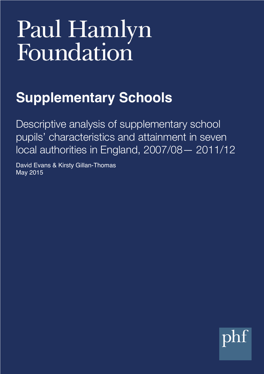# Paul Hamlyn<br>Foundation

# **Supplementary Schools**

Descriptive analysis of supplementary school pupils' characteristics and attainment in seven local authorities in England, 2007/08— 2011/12

David Evans & Kirsty Gillan-Thomas May 2015

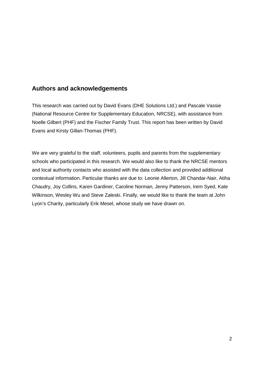# **Authors and acknowledgements**

This research was carried out by David Evans (DHE Solutions Ltd.) and Pascale Vassie (National Resource Centre for Supplementary Education, NRCSE), with assistance from Noelle Gilbert (PHF) and the Fischer Family Trust. This report has been written by David Evans and Kirsty Gillan-Thomas (PHF).

We are very grateful to the staff, volunteers, pupils and parents from the supplementary schools who participated in this research. We would also like to thank the NRCSE mentors and local authority contacts who assisted with the data collection and provided additional contextual information. Particular thanks are due to: Leonie Allerton, Jill Chandar-Nair, Atiha Chaudry, Joy Collins, Karen Gardiner, Caroline Norman, Jenny Patterson, Irem Syed, Kate Wilkinson, Wesley Wu and Steve Zaleski. Finally, we would like to thank the team at John Lyon's Charity, particularly Erik Mesel, whose study we have drawn on.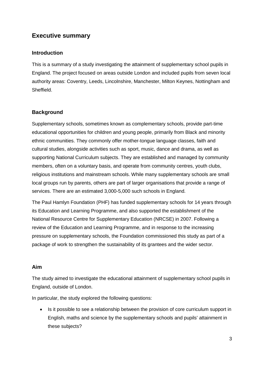# **Executive summary**

#### **Introduction**

This is a summary of a study investigating the attainment of supplementary school pupils in England. The project focused on areas outside London and included pupils from seven local authority areas: Coventry, Leeds, Lincolnshire, Manchester, Milton Keynes, Nottingham and Sheffield.

#### **Background**

Supplementary schools, sometimes known as complementary schools, provide part-time educational opportunities for children and young people, primarily from Black and minority ethnic communities. They commonly offer mother-tongue language classes, faith and cultural studies, alongside activities such as sport, music, dance and drama, as well as supporting National Curriculum subjects. They are established and managed by community members, often on a voluntary basis, and operate from community centres, youth clubs, religious institutions and mainstream schools. While many supplementary schools are small local groups run by parents, others are part of larger organisations that provide a range of services. There are an estimated 3,000-5,000 such schools in England.

The Paul Hamlyn Foundation (PHF) has funded supplementary schools for 14 years through its Education and Learning Programme, and also supported the establishment of the National Resource Centre for Supplementary Education (NRCSE) in 2007. Following a review of the Education and Learning Programme, and in response to the increasing pressure on supplementary schools, the Foundation commissioned this study as part of a package of work to strengthen the sustainability of its grantees and the wider sector.

#### **Aim**

The study aimed to investigate the educational attainment of supplementary school pupils in England, outside of London.

In particular, the study explored the following questions:

• Is it possible to see a relationship between the provision of core curriculum support in English, maths and science by the supplementary schools and pupils' attainment in these subjects?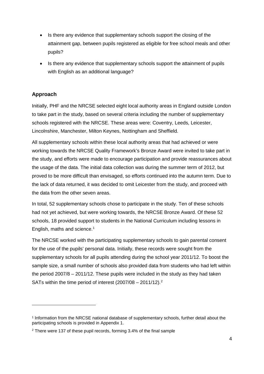- Is there any evidence that supplementary schools support the closing of the attainment gap, between pupils registered as eligible for free school meals and other pupils?
- Is there any evidence that supplementary schools support the attainment of pupils with English as an additional language?

# **Approach**

-

Initially, PHF and the NRCSE selected eight local authority areas in England outside London to take part in the study, based on several criteria including the number of supplementary schools registered with the NRCSE. These areas were: Coventry, Leeds, Leicester, Lincolnshire, Manchester, Milton Keynes, Nottingham and Sheffield.

All supplementary schools within these local authority areas that had achieved or were working towards the NRCSE Quality Framework's Bronze Award were invited to take part in the study, and efforts were made to encourage participation and provide reassurances about the usage of the data. The initial data collection was during the summer term of 2012, but proved to be more difficult than envisaged, so efforts continued into the autumn term. Due to the lack of data returned, it was decided to omit Leicester from the study, and proceed with the data from the other seven areas.

In total, 52 supplementary schools chose to participate in the study. Ten of these schools had not yet achieved, but were working towards, the NRCSE Bronze Award. Of these 52 schools, 18 provided support to students in the National Curriculum including lessons in English, maths and science. [1](#page-3-0)

The NRCSE worked with the participating supplementary schools to gain parental consent for the use of the pupils' personal data. Initially, these records were sought from the supplementary schools for all pupils attending during the school year 2011/12. To boost the sample size, a small number of schools also provided data from students who had left within the period 2007/8 – 2011/12. These pupils were included in the study as they had taken SATs within the time period of interest  $(2007/08 - 2011/12).$  $(2007/08 - 2011/12).$  $(2007/08 - 2011/12).$ <sup>2</sup>

<span id="page-3-0"></span><sup>1</sup> Information from the NRCSE national database of supplementary schools, further detail about the participating schools is provided in Appendix 1.

<span id="page-3-1"></span><sup>2</sup> There were 137 of these pupil records, forming 3.4% of the final sample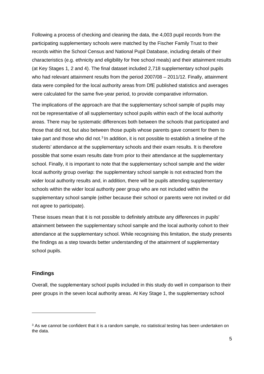Following a process of checking and cleaning the data, the 4,003 pupil records from the participating supplementary schools were matched by the Fischer Family Trust to their records within the School Census and National Pupil Database, including details of their characteristics (e.g. ethnicity and eligibility for free school meals) and their attainment results (at Key Stages 1, 2 and 4). The final dataset included 2,718 supplementary school pupils who had relevant attainment results from the period 2007/08 – 2011/12. Finally, attainment data were compiled for the local authority areas from DfE published statistics and averages were calculated for the same five-year period, to provide comparative information.

The implications of the approach are that the supplementary school sample of pupils may not be representative of all supplementary school pupils within each of the local authority areas. There may be systematic differences both between the schools that participated and those that did not, but also between those pupils whose parents gave consent for them to take part and those who did not. $3 \ln$  $3 \ln$  addition, it is not possible to establish a timeline of the students' attendance at the supplementary schools and their exam results. It is therefore possible that some exam results date from prior to their attendance at the supplementary school. Finally, it is important to note that the supplementary school sample and the wider local authority group overlap: the supplementary school sample is not extracted from the wider local authority results and, in addition, there will be pupils attending supplementary schools within the wider local authority peer group who are not included within the supplementary school sample (either because their school or parents were not invited or did not agree to participate).

These issues mean that it is not possible to definitely attribute any differences in pupils' attainment between the supplementary school sample and the local authority cohort to their attendance at the supplementary school. While recognising this limitation, the study presents the findings as a step towards better understanding of the attainment of supplementary school pupils.

#### **Findings**

-

Overall, the supplementary school pupils included in this study do well in comparison to their peer groups in the seven local authority areas. At Key Stage 1, the supplementary school

<span id="page-4-0"></span><sup>&</sup>lt;sup>3</sup> As we cannot be confident that it is a random sample, no statistical testing has been undertaken on the data.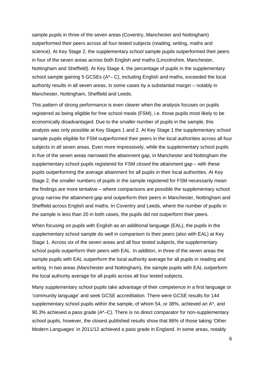sample pupils in three of the seven areas (Coventry, Manchester and Nottingham) outperformed their peers across all four tested subjects (reading, writing, maths and science). At Key Stage 2, the supplementary school sample pupils outperformed their peers in four of the seven areas across both English and maths (Lincolnshire, Manchester, Nottingham and Sheffield). At Key Stage 4, the percentage of pupils in the supplementary school sample gaining 5 GCSEs (A\*– C), including English and maths, exceeded the local authority results in all seven areas, in some cases by a substantial margin – notably in Manchester, Nottingham, Sheffield and Leeds.

This pattern of strong performance is even clearer when the analysis focuses on pupils registered as being eligible for free school meals (FSM), i.e. those pupils most likely to be economically disadvantaged. Due to the smaller number of pupils in the sample, this analysis was only possible at Key Stages 1 and 2. At Key Stage 1 the supplementary school sample pupils eligible for FSM outperformed their peers in the local authorities across all four subjects in all seven areas. Even more impressively, while the supplementary school pupils in five of the seven areas narrowed the attainment gap, in Manchester and Nottingham the supplementary school pupils registered for FSM *closed* the attainment gap – with these pupils outperforming the average attainment for all pupils in their local authorities. At Key Stage 2, the smaller numbers of pupils in the sample registered for FSM necessarily mean the findings are more tentative – where comparisons are possible the supplementary school group narrow the attainment gap and outperform their peers in Manchester, Nottingham and Sheffield across English and maths. In Coventry and Leeds, where the number of pupils in the sample is less than 20 in both cases, the pupils did not outperform their peers.

When focusing on pupils with English as an additional language (EAL), the pupils in the supplementary school sample do well in comparison to their peers (also with EAL) at Key Stage 1. Across six of the seven areas and all four tested subjects, the supplementary school pupils outperform their peers with EAL. In addition, in three of the seven areas the sample pupils with EAL outperform the local authority average for all pupils in reading and writing. In two areas (Manchester and Nottingham), the sample pupils with EAL outperform the local authority average for all pupils across all four tested subjects.

Many supplementary school pupils take advantage of their competence in a first language or 'community language' and seek GCSE accreditation. There were GCSE results for 144 supplementary school pupils within the sample, of whom 54, or 38%, achieved an A\*, and 90.3% achieved a pass grade  $(A<sup>*</sup>-C)$ . There is no direct comparator for non-supplementary school pupils, however, the closest published results show that 86% of those taking 'Other Modern Languages' in 2011/12 achieved a pass grade in England. In some areas, notably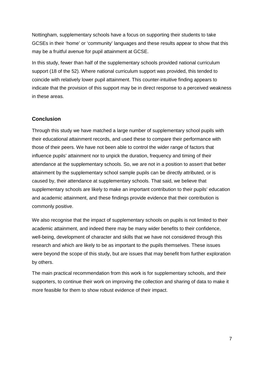Nottingham, supplementary schools have a focus on supporting their students to take GCSEs in their 'home' or 'community' languages and these results appear to show that this may be a fruitful avenue for pupil attainment at GCSE.

In this study, fewer than half of the supplementary schools provided national curriculum support (18 of the 52). Where national curriculum support was provided, this tended to coincide with relatively lower pupil attainment. This counter-intuitive finding appears to indicate that the provision of this support may be in direct response to a perceived weakness in these areas.

#### **Conclusion**

Through this study we have matched a large number of supplementary school pupils with their educational attainment records, and used these to compare their performance with those of their peers. We have not been able to control the wider range of factors that influence pupils' attainment nor to unpick the duration, frequency and timing of their attendance at the supplementary schools. So, we are not in a position to assert that better attainment by the supplementary school sample pupils can be directly attributed, or is caused by, their attendance at supplementary schools. That said, we believe that supplementary schools are likely to make an important contribution to their pupils' education and academic attainment, and these findings provide evidence that their contribution is commonly positive.

We also recognise that the impact of supplementary schools on pupils is not limited to their academic attainment, and indeed there may be many wider benefits to their confidence, well-being, development of character and skills that we have not considered through this research and which are likely to be as important to the pupils themselves. These issues were beyond the scope of this study, but are issues that may benefit from further exploration by others.

The main practical recommendation from this work is for supplementary schools, and their supporters, to continue their work on improving the collection and sharing of data to make it more feasible for them to show robust evidence of their impact.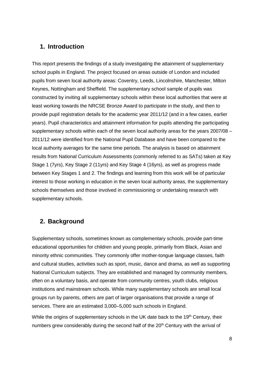# **1. Introduction**

This report presents the findings of a study investigating the attainment of supplementary school pupils in England. The project focused on areas outside of London and included pupils from seven local authority areas: Coventry, Leeds, Lincolnshire, Manchester, Milton Keynes, Nottingham and Sheffield. The supplementary school sample of pupils was constructed by inviting all supplementary schools within these local authorities that were at least working towards the NRCSE Bronze Award to participate in the study, and then to provide pupil registration details for the academic year 2011/12 (and in a few cases, earlier years). Pupil characteristics and attainment information for pupils attending the participating supplementary schools within each of the seven local authority areas for the years 2007/08 – 2011/12 were identified from the National Pupil Database and have been compared to the local authority averages for the same time periods. The analysis is based on attainment results from National Curriculum Assessments (commonly referred to as SATs) taken at Key Stage 1 (7yrs), Key Stage 2 (11yrs) and Key Stage 4 (16yrs), as well as progress made between Key Stages 1 and 2. The findings and learning from this work will be of particular interest to those working in education in the seven local authority areas, the supplementary schools themselves and those involved in commissioning or undertaking research with supplementary schools.

# **2. Background**

Supplementary schools, sometimes known as complementary schools, provide part-time educational opportunities for children and young people, primarily from Black, Asian and minority ethnic communities. They commonly offer mother-tongue language classes, faith and cultural studies, activities such as sport, music, dance and drama, as well as supporting National Curriculum subjects. They are established and managed by community members, often on a voluntary basis, and operate from community centres, youth clubs, religious institutions and mainstream schools. While many supplementary schools are small local groups run by parents, others are part of larger organisations that provide a range of services. There are an estimated 3,000–5,000 such schools in England.

While the origins of supplementary schools in the UK date back to the 19<sup>th</sup> Century, their numbers grew considerably during the second half of the 20<sup>th</sup> Century with the arrival of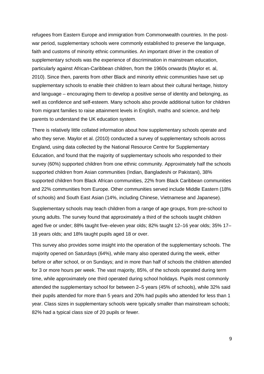refugees from Eastern Europe and immigration from Commonwealth countries. In the postwar period, supplementary schools were commonly established to preserve the language, faith and customs of minority ethnic communities. An important driver in the creation of supplementary schools was the experience of discrimination in mainstream education, particularly against African-Caribbean children, from the 1960s onwards (Maylor et. al, 2010). Since then, parents from other Black and minority ethnic communities have set up supplementary schools to enable their children to learn about their cultural heritage, history and language – encouraging them to develop a positive sense of identity and belonging, as well as confidence and self-esteem. Many schools also provide additional tuition for children from migrant families to raise attainment levels in English, maths and science, and help parents to understand the UK education system.

There is relatively little collated information about how supplementary schools operate and who they serve. Maylor et al. (2010) conducted a survey of supplementary schools across England, using data collected by the National Resource Centre for Supplementary Education, and found that the majority of supplementary schools who responded to their survey (60%) supported children from one ethnic community. Approximately half the schools supported children from Asian communities (Indian, Bangladeshi or Pakistani), 38% supported children from Black African communities, 22% from Black Caribbean communities and 22% communities from Europe. Other communities served include Middle Eastern (18% of schools) and South East Asian (14%, including Chinese, Vietnamese and Japanese).

Supplementary schools may teach children from a range of age groups, from pre-school to young adults. The survey found that approximately a third of the schools taught children aged five or under; 88% taught five–eleven year olds; 82% taught 12–16 year olds; 35% 17– 18 years olds; and 18% taught pupils aged 18 or over.

This survey also provides some insight into the operation of the supplementary schools. The majority opened on Saturdays (64%), while many also operated during the week, either before or after school, or on Sundays; and in more than half of schools the children attended for 3 or more hours per week. The vast majority, 85%, of the schools operated during term time, while approximately one third operated during school holidays. Pupils most commonly attended the supplementary school for between 2–5 years (45% of schools), while 32% said their pupils attended for more than 5 years and 20% had pupils who attended for less than 1 year. Class sizes in supplementary schools were typically smaller than mainstream schools; 82% had a typical class size of 20 pupils or fewer.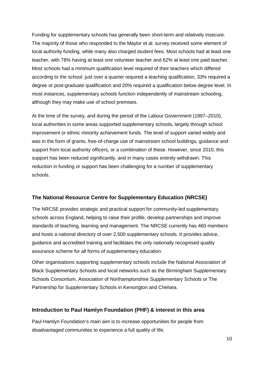Funding for supplementary schools has generally been short-term and relatively insecure. The majority of those who responded to the Maylor et al. survey received some element of local authority funding, while many also charged student fees. Most schools had at least one teacher, with 78% having at least one volunteer teacher and 62% at least one paid teacher. Most schools had a minimum qualification level required of their teachers which differed according to the school: just over a quarter required a teaching qualification, 33% required a degree or post-graduate qualification and 20% required a qualification below degree level. In most instances, supplementary schools function independently of mainstream schooling, although they may make use of school premises.

At the time of the survey, and during the period of the Labour Government (1997–2010), local authorities in some areas supported supplementary schools, largely through school improvement or ethnic minority achievement funds. The level of support varied widely and was in the form of grants, free-of-charge use of mainstream school buildings, guidance and support from local authority officers, or a combination of these. However, since 2010, this support has been reduced significantly, and in many cases entirely withdrawn. This reduction in funding or support has been challenging for a number of supplementary schools.

#### **The National Resource Centre for Supplementary Education (NRCSE)**

The NRCSE provides strategic and practical support for community-led supplementary schools across England, helping to raise their profile, develop partnerships and improve standards of teaching, learning and management. The NRCSE currently has 460 members and hosts a national directory of over 2,500 supplementary schools. It provides advice, guidance and accredited training and facilitates the only nationally recognised quality assurance scheme for all forms of supplementary education.

Other organisations supporting supplementary schools include the National Association of Black Supplementary Schools and local networks such as the Birmingham Supplementary Schools Consortium, Association of Northamptonshire Supplementary Schools or The Partnership for Supplementary Schools in Kensington and Chelsea.

#### **Introduction to Paul Hamlyn Foundation (PHF) & interest in this area**

Paul Hamlyn Foundation's main aim is to increase opportunities for people from disadvantaged communities to experience a full quality of life.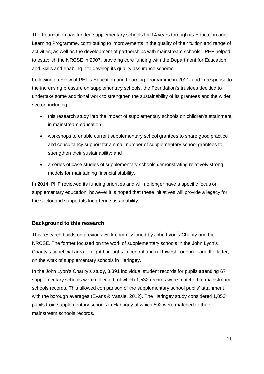The Foundation has funded supplementary schools for 14 years through its Education and Learning Programme, contributing to improvements in the quality of their tuition and range of activities, as well as the development of partnerships with mainstream schools. PHF helped to establish the NRCSE in 2007, providing core funding with the Department for Education and Skills and enabling it to develop its quality assurance scheme.

Following a review of PHF's Education and Learning Programme in 2011, and in response to the increasing pressure on supplementary schools, the Foundation's trustees decided to undertake some additional work to strengthen the sustainability of its grantees and the wider sector, including:

- this research study into the impact of supplementary schools on children's attainment in mainstream education;
- workshops to enable current supplementary school grantees to share good practice and consultancy support for a small number of supplementary school grantees to strengthen their sustainability; and
- a series of case studies of supplementary schools demonstrating relatively strong models for maintaining financial stability.

In 2014, PHF reviewed its funding priorities and will no longer have a specific focus on supplementary education, however it is hoped that these initiatives will provide a legacy for the sector and support its long-term sustainability.

# **Background to this research**

This research builds on previous work commissioned by John Lyon's Charity and the NRCSE. The former focused on the work of supplementary schools in the John Lyon's Charity's beneficial area: – eight boroughs in central and northwest London – and the latter, on the work of supplementary schools in Haringey.

In the John Lyon's Charity's study, 3,391 individual student records for pupils attending 67 supplementary schools were collected, of which 1,532 records were matched to mainstream schools records. This allowed comparison of the supplementary school pupils' attainment with the borough averages (Evans & Vassie, 2012). The Haringey study considered 1,053 pupils from supplementary schools in Haringey of which 502 were matched to their mainstream schools records.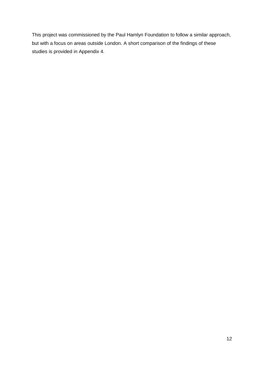This project was commissioned by the Paul Hamlyn Foundation to follow a similar approach, but with a focus on areas outside London. A short comparison of the findings of these studies is provided in Appendix 4.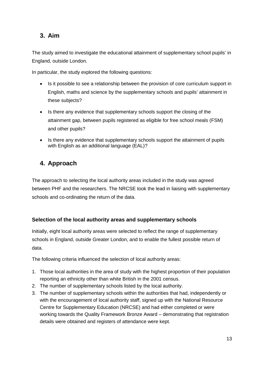# **3. Aim**

The study aimed to investigate the educational attainment of supplementary school pupils' in England, outside London.

In particular, the study explored the following questions:

- Is it possible to see a relationship between the provision of core curriculum support in English, maths and science by the supplementary schools and pupils' attainment in these subjects?
- Is there any evidence that supplementary schools support the closing of the attainment gap, between pupils registered as eligible for free school meals (FSM) and other pupils?
- Is there any evidence that supplementary schools support the attainment of pupils with English as an additional language (EAL)?

# **4. Approach**

The approach to selecting the local authority areas included in the study was agreed between PHF and the researchers. The NRCSE took the lead in liaising with supplementary schools and co-ordinating the return of the data.

# **Selection of the local authority areas and supplementary schools**

Initially, eight local authority areas were selected to reflect the range of supplementary schools in England, outside Greater London, and to enable the fullest possible return of data.

The following criteria influenced the selection of local authority areas:

- 1. Those local authorities in the area of study with the highest proportion of their population reporting an ethnicity other than white British in the 2001 census.
- 2. The number of supplementary schools listed by the local authority.
- 3. The number of supplementary schools within the authorities that had, independently or with the encouragement of local authority staff, signed up with the National Resource Centre for Supplementary Education (NRCSE) and had either completed or were working towards the Quality Framework Bronze Award – demonstrating that registration details were obtained and registers of attendance were kept.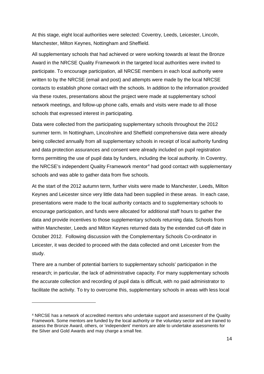At this stage, eight local authorities were selected: Coventry, Leeds, Leicester, Lincoln, Manchester, Milton Keynes, Nottingham and Sheffield.

All supplementary schools that had achieved or were working towards at least the Bronze Award in the NRCSE Quality Framework in the targeted local authorities were invited to participate. To encourage participation, all NRCSE members in each local authority were written to by the NRCSE (email and post) and attempts were made by the local NRCSE contacts to establish phone contact with the schools. In addition to the information provided via these routes, presentations about the project were made at supplementary school network meetings, and follow-up phone calls, emails and visits were made to all those schools that expressed interest in participating.

Data were collected from the participating supplementary schools throughout the 2012 summer term. In Nottingham, Lincolnshire and Sheffield comprehensive data were already being collected annually from all supplementary schools in receipt of local authority funding and data protection assurances and consent were already included on pupil registration forms permitting the use of pupil data by funders, including the local authority. In Coventry, the NRCSE's independent Quality Framework mentor<sup>[4](#page-13-0)</sup> had good contact with supplementary schools and was able to gather data from five schools.

At the start of the 2012 autumn term, further visits were made to Manchester, Leeds, Milton Keynes and Leicester since very little data had been supplied in these areas. In each case, presentations were made to the local authority contacts and to supplementary schools to encourage participation, and funds were allocated for additional staff hours to gather the data and provide incentives to those supplementary schools returning data. Schools from within Manchester, Leeds and Milton Keynes returned data by the extended cut-off date in October 2012. Following discussion with the Complementary Schools Co-ordinator in Leicester, it was decided to proceed with the data collected and omit Leicester from the study.

There are a number of potential barriers to supplementary schools' participation in the research; in particular, the lack of administrative capacity. For many supplementary schools the accurate collection and recording of pupil data is difficult, with no paid administrator to facilitate the activity. To try to overcome this, supplementary schools in areas with less local

<span id="page-13-0"></span><sup>4</sup> NRCSE has a network of accredited mentors who undertake support and assessment of the Quality Framework. Some mentors are funded by the local authority or the voluntary sector and are trained to assess the Bronze Award, others, or 'independent' mentors are able to undertake assessments for the Silver and Gold Awards and may charge a small fee.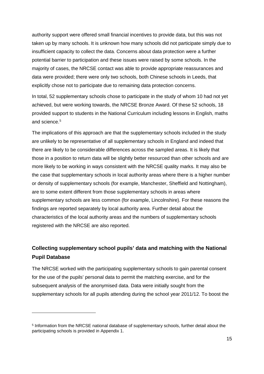authority support were offered small financial incentives to provide data, but this was not taken up by many schools. It is unknown how many schools did not participate simply due to insufficient capacity to collect the data. Concerns about data protection were a further potential barrier to participation and these issues were raised by some schools. In the majority of cases, the NRCSE contact was able to provide appropriate reassurances and data were provided; there were only two schools, both Chinese schools in Leeds, that explicitly chose not to participate due to remaining data protection concerns.

In total, 52 supplementary schools chose to participate in the study of whom 10 had not yet achieved, but were working towards, the NRCSE Bronze Award. Of these 52 schools, 18 provided support to students in the National Curriculum including lessons in English, maths and science. [5](#page-14-0)

The implications of this approach are that the supplementary schools included in the study are unlikely to be representative of all supplementary schools in England and indeed that there are likely to be considerable differences across the sampled areas. It is likely that those in a position to return data will be slightly better resourced than other schools and are more likely to be working in ways consistent with the NRCSE quality marks. It may also be the case that supplementary schools in local authority areas where there is a higher number or density of supplementary schools (for example, Manchester, Sheffield and Nottingham), are to some extent different from those supplementary schools in areas where supplementary schools are less common (for example, Lincolnshire). For these reasons the findings are reported separately by local authority area. Further detail about the characteristics of the local authority areas and the numbers of supplementary schools registered with the NRCSE are also reported.

# **Collecting supplementary school pupils' data and matching with the National Pupil Database**

The NRCSE worked with the participating supplementary schools to gain parental consent for the use of the pupils' personal data to permit the matching exercise, and for the subsequent analysis of the anonymised data. Data were initially sought from the supplementary schools for all pupils attending during the school year 2011/12. To boost the

<span id="page-14-0"></span><sup>5</sup> Information from the NRCSE national database of supplementary schools, further detail about the participating schools is provided in Appendix 1.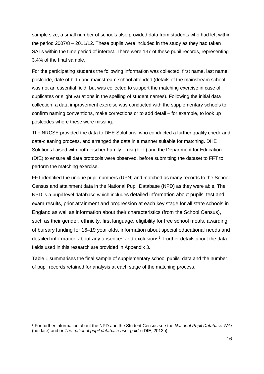sample size, a small number of schools also provided data from students who had left within the period 2007/8 – 2011/12. These pupils were included in the study as they had taken SATs within the time period of interest. There were 137 of these pupil records, representing 3.4% of the final sample.

For the participating students the following information was collected: first name, last name, postcode, date of birth and mainstream school attended (details of the mainstream school was not an essential field, but was collected to support the matching exercise in case of duplicates or slight variations in the spelling of student names). Following the initial data collection, a data improvement exercise was conducted with the supplementary schools to confirm naming conventions, make corrections or to add detail – for example, to look up postcodes where these were missing.

The NRCSE provided the data to DHE Solutions, who conducted a further quality check and data-cleaning process, and arranged the data in a manner suitable for matching. DHE Solutions liaised with both Fischer Family Trust (FFT) and the Department for Education (DfE) to ensure all data protocols were observed, before submitting the dataset to FFT to perform the matching exercise.

FFT identified the unique pupil numbers (UPN) and matched as many records to the School Census and attainment data in the National Pupil Database (NPD) as they were able. The NPD is a pupil level database which includes detailed information about pupils' test and exam results, prior attainment and progression at each key stage for all state schools in England as well as information about their characteristics (from the School Census), such as their gender, ethnicity, first language, eligibility for free school meals, awarding of bursary funding for 16–19 year olds, information about special educational needs and detailed information about any absences and exclusions<sup>[6](#page-15-0)</sup>. Further details about the data fields used in this research are provided in Appendix 3.

Table 1 summarises the final sample of supplementary school pupils' data and the number of pupil records retained for analysis at each stage of the matching process.

<span id="page-15-0"></span><sup>6</sup> For further information about the NPD and the Student Census see the *National Pupil Database Wiki* (no date) and or *The national pupil database user guide* (DfE, 2013b).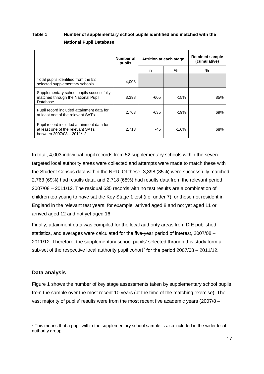# **Table 1 Number of supplementary school pupils identified and matched with the National Pupil Database**

|                                                                                                             | Number of<br>pupils |      | Attrition at each stage | <b>Retained sample</b><br>(cumulative) |  |
|-------------------------------------------------------------------------------------------------------------|---------------------|------|-------------------------|----------------------------------------|--|
|                                                                                                             |                     | n    | %                       | %                                      |  |
| Total pupils identified from the 52<br>selected supplementary schools                                       | 4,003               |      |                         |                                        |  |
| Supplementary school pupils successfully<br>matched through the National Pupil<br>Database                  | 3,398               | -605 | $-15%$                  | 85%                                    |  |
| Pupil record included attainment data for<br>at least one of the relevant SATs                              | 2,763               | -635 | $-19%$                  | 69%                                    |  |
| Pupil record included attainment data for<br>at least one of the relevant SATs<br>between 2007/08 - 2011/12 | 2,718               | -45  | $-1.6%$                 | 68%                                    |  |

In total, 4,003 individual pupil records from 52 supplementary schools within the seven targeted local authority areas were collected and attempts were made to match these with the Student Census data within the NPD. Of these, 3,398 (85%) were successfully matched, 2,763 (69%) had results data, and 2,718 (68%) had results data from the relevant period 2007/08 – 2011/12. The residual 635 records with no test results are a combination of children too young to have sat the Key Stage 1 test (i.e. under 7), or those not resident in England in the relevant test years; for example, arrived aged 8 and not yet aged 11 or arrived aged 12 and not yet aged 16.

Finally, attainment data was compiled for the local authority areas from DfE published statistics, and averages were calculated for the five-year period of interest, 2007/08 – 2011/12. Therefore, the supplementary school pupils' selected through this study form a sub-set of the respective local authority pupil cohort<sup>[7](#page-16-0)</sup> for the period  $2007/08 - 2011/12$ .

# **Data analysis**

-

Figure 1 shows the number of key stage assessments taken by supplementary school pupils from the sample over the most recent 10 years (at the time of the matching exercise). The vast majority of pupils' results were from the most recent five academic years (2007/8 –

<span id="page-16-0"></span><sup>7</sup> This means that a pupil within the supplementary school sample is also included in the wider local authority group.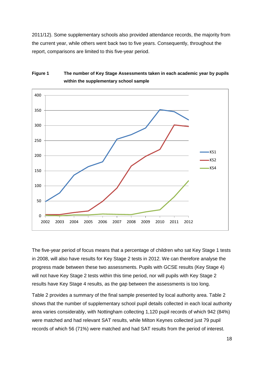2011/12). Some supplementary schools also provided attendance records, the majority from the current year, while others went back two to five years. Consequently, throughout the report, comparisons are limited to this five-year period.



# **Figure 1 The number of Key Stage Assessments taken in each academic year by pupils within the supplementary school sample**

The five-year period of focus means that a percentage of children who sat Key Stage 1 tests in 2008, will also have results for Key Stage 2 tests in 2012. We can therefore analyse the progress made between these two assessments. Pupils with GCSE results (Key Stage 4) will not have Key Stage 2 tests within this time period, nor will pupils with Key Stage 2 results have Key Stage 4 results, as the gap between the assessments is too long.

Table 2 provides a summary of the final sample presented by local authority area. Table 2 shows that the number of supplementary school pupil details collected in each local authority area varies considerably, with Nottingham collecting 1,120 pupil records of which 942 (84%) were matched and had relevant SAT results, while Milton Keynes collected just 79 pupil records of which 56 (71%) were matched and had SAT results from the period of interest.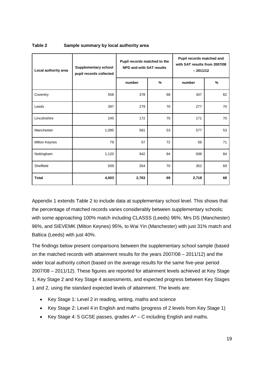| Local authority area | <b>Supplementary school</b><br>pupil records collected | Pupil records matched to the<br>NPD and with SAT results |    | Pupil records matched and<br>with SAT results from 2007/08<br>$-2011/12$ |               |  |
|----------------------|--------------------------------------------------------|----------------------------------------------------------|----|--------------------------------------------------------------------------|---------------|--|
|                      |                                                        | number                                                   | %  | number                                                                   | $\frac{9}{6}$ |  |
| Coventry             | 558                                                    | 378                                                      | 68 | 347                                                                      | 62            |  |
| Leeds                | 397                                                    | 279                                                      | 70 | 277                                                                      | 70            |  |
| Lincolnshire         | 245                                                    | 172                                                      | 70 | 171                                                                      | 70            |  |
| Manchester           | 1,095                                                  | 581                                                      | 53 | 577                                                                      | 53            |  |
| <b>Milton Keynes</b> | 79                                                     | 57                                                       | 72 | 56                                                                       | 71            |  |
| Nottingham           | 1,120                                                  | 942                                                      | 84 | 938                                                                      | 84            |  |
| Sheffield            | 509                                                    | 354                                                      | 70 | 352                                                                      | 69            |  |
| <b>Total</b>         | 4,003                                                  | 2,763                                                    | 69 | 2,718                                                                    | 68            |  |

#### **Table 2 Sample summary by local authority area**

Appendix 1 extends Table 2 to include data at supplementary school level. This shows that the percentage of matched records varies considerably between supplementary schools; with some approaching 100% match including CLASSS (Leeds) 96%; Mrs DS (Manchester) 96%, and SIEVEMK (Milton Keynes) 95%, to Wai Yin (Manchester) with just 31% match and Baltica (Leeds) with just 40%.

The findings below present comparisons between the supplementary school sample (based on the matched records with attainment results for the years 2007/08 – 2011/12) and the wider local authority cohort (based on the average results for the same five-year period 2007/08 – 2011/12). These figures are reported for attainment levels achieved at Key Stage 1, Key Stage 2 and Key Stage 4 assessments, and expected progress between Key Stages 1 and 2, using the standard expected levels of attainment. The levels are:

- Key Stage 1: Level 2 in reading, writing, maths and science
- Key Stage 2: Level 4 in English and maths (progress of 2 levels from Key Stage 1)
- Key Stage 4: 5 GCSE passes, grades  $A^* C$  including English and maths.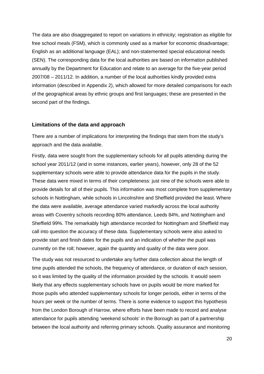The data are also disaggregated to report on variations in ethnicity; registration as eligible for free school meals (FSM), which is commonly used as a marker for economic disadvantage; English as an additional language (EAL); and non-statemented special educational needs (SEN). The corresponding data for the local authorities are based on information published annually by the Department for Education and relate to an average for the five-year period 2007/08 – 2011/12. In addition, a number of the local authorities kindly provided extra information (described in Appendix 2), which allowed for more detailed comparisons for each of the geographical areas by ethnic groups and first languages; these are presented in the second part of the findings.

#### **Limitations of the data and approach**

There are a number of implications for interpreting the findings that stem from the study's approach and the data available.

Firstly, data were sought from the supplementary schools for all pupils attending during the school year 2011/12 (and in some instances, earlier years), however, only 28 of the 52 supplementary schools were able to provide attendance data for the pupils in the study. These data were mixed in terms of their completeness: just nine of the schools were able to provide details for all of their pupils. This information was most complete from supplementary schools in Nottingham, while schools in Lincolnshire and Sheffield provided the least. Where the data were available, average attendance varied markedly across the local authority areas with Coventry schools recording 80% attendance, Leeds 84%, and Nottingham and Sheffield 99%. The remarkably high attendance recorded for Nottingham and Sheffield may call into question the accuracy of these data. Supplementary schools were also asked to provide start and finish dates for the pupils and an indication of whether the pupil was currently on the roll; however, again the quantity and quality of the data were poor.

The study was not resourced to undertake any further data collection about the length of time pupils attended the schools, the frequency of attendance, or duration of each session, so it was limited by the quality of the information provided by the schools. It would seem likely that any effects supplementary schools have on pupils would be more marked for those pupils who attended supplementary schools for longer periods, either in terms of the hours per week or the number of terms. There is some evidence to support this hypothesis from the London Borough of Harrow, where efforts have been made to record and analyse attendance for pupils attending 'weekend schools' in the Borough as part of a partnership between the local authority and referring primary schools. Quality assurance and monitoring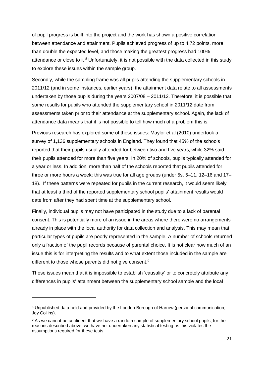of pupil progress is built into the project and the work has shown a positive correlation between attendance and attainment. Pupils achieved progress of up to 4.72 points, more than double the expected level, and those making the greatest progress had 100% attendance or close to it*. [8](#page-20-0)* Unfortunately, it is not possible with the data collected in this study to explore these issues within the sample group.

Secondly, while the sampling frame was all pupils attending the supplementary schools in 2011/12 (and in some instances, earlier years), the attainment data relate to all assessments undertaken by those pupils during the years 2007/08 – 2011/12. Therefore, it is possible that some results for pupils who attended the supplementary school in 2011/12 date from assessments taken prior to their attendance at the supplementary school. Again, the lack of attendance data means that it is not possible to tell how much of a problem this is.

Previous research has explored some of these issues: Maylor et al (2010) undertook a survey of 1,136 supplementary schools in England. They found that 45% of the schools reported that their pupils usually attended for between two and five years, while 32% said their pupils attended for more than five years. In 20% of schools, pupils typically attended for a year or less. In addition, more than half of the schools reported that pupils attended for three or more hours a week; this was true for all age groups (under 5s, 5–11, 12–16 and 17– 18). If these patterns were repeated for pupils in the current research, it would seem likely that at least a third of the reported supplementary school pupils' attainment results would date from after they had spent time at the supplementary school.

Finally, individual pupils may not have participated in the study due to a lack of parental consent. This is potentially more of an issue in the areas where there were no arrangements already in place with the local authority for data collection and analysis. This may mean that particular types of pupils are poorly represented in the sample. A number of schools returned only a fraction of the pupil records because of parental choice. It is not clear how much of an issue this is for interpreting the results and to what extent those included in the sample are different to those whose parents did not give consent.<sup>[9](#page-20-1)</sup>

These issues mean that it is impossible to establish 'causality' or to concretely attribute any differences in pupils' attainment between the supplementary school sample and the local

<span id="page-20-0"></span><sup>&</sup>lt;sup>8</sup> Unpublished data held and provided by the London Borough of Harrow (personal communication, Joy Collins).

<span id="page-20-1"></span><sup>&</sup>lt;sup>9</sup> As we cannot be confident that we have a random sample of supplementary school pupils, for the reasons described above, we have not undertaken any statistical testing as this violates the assumptions required for these tests.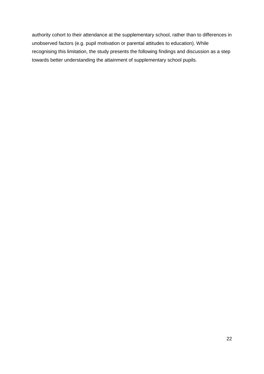authority cohort to their attendance at the supplementary school, rather than to differences in unobserved factors (e.g. pupil motivation or parental attitudes to education). While recognising this limitation, the study presents the following findings and discussion as a step towards better understanding the attainment of supplementary school pupils.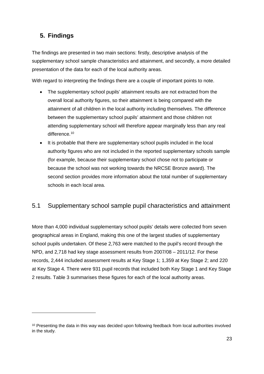# **5. Findings**

-

The findings are presented in two main sections: firstly, descriptive analysis of the supplementary school sample characteristics and attainment, and secondly, a more detailed presentation of the data for each of the local authority areas.

With regard to interpreting the findings there are a couple of important points to note.

- The supplementary school pupils' attainment results are not extracted from the overall local authority figures, so their attainment is being compared with the attainment of all children in the local authority including themselves. The difference between the supplementary school pupils' attainment and those children not attending supplementary school will therefore appear marginally less than any real difference.<sup>10</sup>
- It is probable that there are supplementary school pupils included in the local authority figures who are not included in the reported supplementary schools sample (for example, because their supplementary school chose not to participate or because the school was not working towards the NRCSE Bronze award). The second section provides more information about the total number of supplementary schools in each local area.

# 5.1 Supplementary school sample pupil characteristics and attainment

More than 4,000 individual supplementary school pupils' details were collected from seven geographical areas in England, making this one of the largest studies of supplementary school pupils undertaken. Of these 2,763 were matched to the pupil's record through the NPD, and 2,718 had key stage assessment results from 2007/08 – 2011/12. For these records, 2,444 included assessment results at Key Stage 1; 1,359 at Key Stage 2; and 220 at Key Stage 4. There were 931 pupil records that included both Key Stage 1 and Key Stage 2 results. Table 3 summarises these figures for each of the local authority areas.

<span id="page-22-0"></span><sup>&</sup>lt;sup>10</sup> Presenting the data in this way was decided upon following feedback from local authorities involved in the study.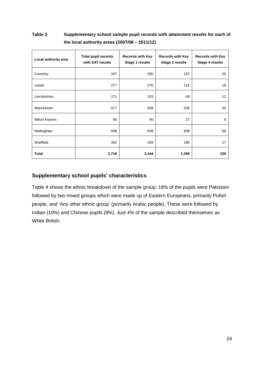# **Table 3 Supplementary school sample pupil records with attainment results for each of the local authority areas (2007/08 – 2011/12)**

| Local authority area | <b>Total pupil records</b><br>with SAT results | <b>Records with Key</b><br>Stage 1 results | <b>Records with Key</b><br>Stage 2 results | <b>Records with Key</b><br>Stage 4 results |  |
|----------------------|------------------------------------------------|--------------------------------------------|--------------------------------------------|--------------------------------------------|--|
| Coventry             | 347                                            | 290                                        | 197                                        | 55                                         |  |
| Leeds                | 277                                            | 270                                        | 116                                        | 19                                         |  |
| Lincolnshire         | 171                                            | 153                                        | 69                                         | 12                                         |  |
| Manchester           | 577                                            | 509                                        | 256                                        | 45                                         |  |
| <b>Milton Keynes</b> | 56                                             | 45                                         | 27                                         | 6                                          |  |
| Nottingham           | 938                                            | 849                                        | 508                                        | 66                                         |  |
| Sheffield            | 352                                            | 328                                        | 186                                        | 17                                         |  |
| <b>Total</b>         | 2,718                                          | 2,444                                      | 1,359                                      | 220                                        |  |

# **Supplementary school pupils' characteristics**

Table 4 shows the ethnic breakdown of the sample group: 18% of the pupils were Pakistani followed by two mixed groups which were made up of Eastern Europeans, primarily Polish people, and 'Any other ethnic group' (primarily Arabic people). These were followed by Indian (10%) and Chinese pupils (9%). Just 4% of the sample described themselves as White British.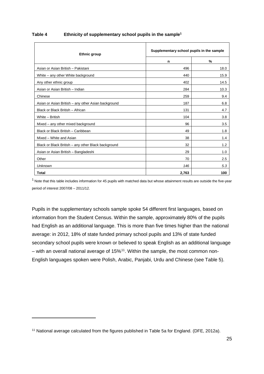| <b>Ethnic group</b>                                 |       | Supplementary school pupils in the sample |  |  |  |
|-----------------------------------------------------|-------|-------------------------------------------|--|--|--|
|                                                     | n     | $\%$                                      |  |  |  |
| Asian or Asian British - Pakistani                  | 496   | 18.0                                      |  |  |  |
| White - any other White background                  | 440   | 15.9                                      |  |  |  |
| Any other ethnic group                              | 402   | 14.5                                      |  |  |  |
| Asian or Asian British - Indian                     | 284   | 10.3                                      |  |  |  |
| Chinese                                             | 259   | 9.4                                       |  |  |  |
| Asian or Asian British - any other Asian background | 187   | 6.8                                       |  |  |  |
| Black or Black British - African                    | 131   | 4.7                                       |  |  |  |
| White - British                                     | 104   | 3.8                                       |  |  |  |
| Mixed – any other mixed background                  | 96    | 3.5                                       |  |  |  |
| Black or Black British - Caribbean                  | 49    | 1.8                                       |  |  |  |
| Mixed - White and Asian                             | 38    | 1.4                                       |  |  |  |
| Black or Black British - any other Black background | 32    | 1.2                                       |  |  |  |
| Asian or Asian British - Bangladeshi                | 29    | 1.0                                       |  |  |  |
| Other                                               | 70    | 2.5                                       |  |  |  |
| <b>Unknown</b>                                      | 146   | 5.3                                       |  |  |  |
| <b>Total</b>                                        | 2,763 | 100                                       |  |  |  |

#### **Table 4 Ethnicity of supplementary school pupils in the sample1**

 $1$  Note that this table includes information for 45 pupils with matched data but whose attainment results are outside the five-year period of interest 2007/08 – 2011/12.

Pupils in the supplementary schools sample spoke 54 different first languages, based on information from the Student Census. Within the sample, approximately 80% of the pupils had English as an additional language. This is more than five times higher than the national average: in 2012, 18% of state funded primary school pupils and 13% of state funded secondary school pupils were known or believed to speak English as an additional language – with an overall national average of  $15\%$ <sup>[11](#page-24-0)</sup>. Within the sample, the most common non-English languages spoken were Polish, Arabic, Panjabi, Urdu and Chinese (see Table 5).

<span id="page-24-0"></span><sup>11</sup> National average calculated from the figures published in Table 5a for England. (DFE, 2012a).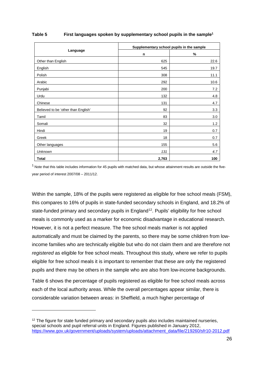|                                     | Supplementary school pupils in the sample |      |  |  |  |
|-------------------------------------|-------------------------------------------|------|--|--|--|
| Language                            | n                                         | %    |  |  |  |
| Other than English                  | 625                                       | 22.6 |  |  |  |
| English                             | 545                                       | 19.7 |  |  |  |
| Polish                              | 308                                       | 11.1 |  |  |  |
| Arabic                              | 292                                       | 10.6 |  |  |  |
| Punjabi                             | 200                                       | 7.2  |  |  |  |
| Urdu                                | 132                                       | 4.8  |  |  |  |
| Chinese                             | 131                                       | 4.7  |  |  |  |
| Believed to be 'other than English' | 92                                        | 3.3  |  |  |  |
| Tamil                               | 83                                        | 3.0  |  |  |  |
| Somali                              | 32                                        | 1.2  |  |  |  |
| Hindi                               | 19                                        | 0.7  |  |  |  |
| Greek                               | 18                                        | 0.7  |  |  |  |
| Other languages                     | 155                                       | 5.6  |  |  |  |
| <b>Unknown</b>                      | 131                                       | 4.7  |  |  |  |
| <b>Total</b>                        | 2,763                                     | 100  |  |  |  |

#### **Table 5 First languages spoken by supplementary school pupils in the sample1**

 $1$  Note that this table includes information for 45 pupils with matched data, but whose attainment results are outside the fiveyear period of interest 2007/08 – 2011/12.

Within the sample, 18% of the pupils were registered as eligible for free school meals (FSM), this compares to 16% of pupils in state-funded secondary schools in England, and 18.2% of state-funded primary and secondary pupils in England<sup>[12](#page-25-0)</sup>. Pupils' eligibility for free school meals is commonly used as a marker for economic disadvantage in educational research. However, it is not a perfect measure. The free school meals marker is not applied automatically and must be claimed by the parents, so there may be some children from lowincome families who are technically eligible but who do not claim them and are therefore not *registered* as eligible for free school meals. Throughout this study, where we refer to pupils eligible for free school meals it is important to remember that these are only the registered pupils and there may be others in the sample who are also from low-income backgrounds.

Table 6 shows the percentage of pupils registered as eligible for free school meals across each of the local authority areas. While the overall percentages appear similar, there is considerable variation between areas: in Sheffield, a much higher percentage of

<span id="page-25-0"></span> $12$  The figure for state funded primary and secondary pupils also includes maintained nurseries, special schools and pupil referral units in England. Figures published in January 2012, [https://www.gov.uk/government/uploads/system/uploads/attachment\\_data/file/219260/sfr10-2012.pdf](https://www.gov.uk/government/uploads/system/uploads/attachment_data/file/219260/sfr10-2012.pdf)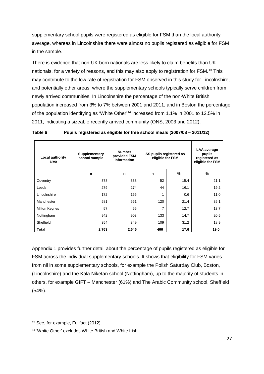supplementary school pupils were registered as eligible for FSM than the local authority average, whereas in Lincolnshire there were almost no pupils registered as eligible for FSM in the sample.

There is evidence that non-UK born nationals are less likely to claim benefits than UK nationals, for a variety of reasons, and this may also apply to registration for FSM.<sup>[13](#page-26-0)</sup> This may contribute to the low rate of registration for FSM observed in this study for Lincolnshire, and potentially other areas, where the supplementary schools typically serve children from newly arrived communities. In Lincolnshire the percentage of the non-White British population increased from 3% to 7% between 2001 and 2011, and in Boston the percentage of the population identifying as 'White Other'[14](#page-26-1) increased from 1.1% in 2001 to 12.5% in 2011, indicating a sizeable recently arrived community (ONS, 2003 and 2012).

| Local authority<br>area | Supplementary<br>school sample | <b>Number</b><br>provided FSM<br>information | SS pupils registered as<br>eligible for FSM | <b>LAA</b> average<br>pupils<br>registered as<br>eligible for FSM |      |
|-------------------------|--------------------------------|----------------------------------------------|---------------------------------------------|-------------------------------------------------------------------|------|
|                         | n                              | n                                            | n                                           | %                                                                 | %    |
| Coventry                | 378                            | 338                                          | 52                                          | 15.4                                                              | 21.1 |
| Leeds                   | 279                            | 274                                          | 44                                          | 16.1                                                              | 19.2 |
| Lincolnshire            | 172                            | 166                                          | 1                                           | 0.6                                                               | 11.0 |
| Manchester              | 581                            | 561                                          | 120                                         | 21.4                                                              | 35.1 |
| Milton Keynes           | 57                             | 55                                           | 7                                           | 12.7                                                              | 13.7 |
| Nottingham              | 942                            | 903                                          | 133                                         | 14.7                                                              | 20.5 |
| Sheffield               | 354                            | 349                                          | 109                                         | 31.2                                                              | 18.9 |
| <b>Total</b>            | 2,763                          | 2,646                                        | 466                                         | 17.6                                                              | 19.0 |

| Pupils registered as eligible for free school meals (2007/08 - 2011/12)<br>Table 6 |  |
|------------------------------------------------------------------------------------|--|
|------------------------------------------------------------------------------------|--|

Appendix 1 provides further detail about the percentage of pupils registered as eligible for FSM across the individual supplementary schools. It shows that eligibility for FSM varies from nil in some supplementary schools, for example the Polish Saturday Club, Boston, (Lincolnshire) and the Kala Niketan school (Nottingham), up to the majority of students in others, for example GIFT – Manchester (61%) and The Arabic Community school, Sheffield (54%).

<span id="page-26-0"></span><sup>13</sup> See, for example, Fullfact (2012).

<span id="page-26-1"></span><sup>14</sup> 'White Other' excludes White British and White Irish.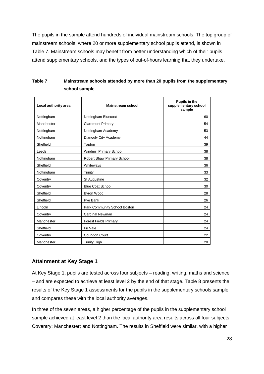The pupils in the sample attend hundreds of individual mainstream schools. The top group of mainstream schools, where 20 or more supplementary school pupils attend, is shown in Table 7. Mainstream schools may benefit from better understanding which of their pupils attend supplementary schools, and the types of out-of-hours learning that they undertake.

| Local authority area | <b>Mainstream school</b>     | Pupils in the<br>supplementary school<br>sample |
|----------------------|------------------------------|-------------------------------------------------|
| Nottingham           | Nottingham Bluecoat          | 60                                              |
| Manchester           | <b>Claremont Primary</b>     | 54                                              |
| Nottingham           | Nottingham Academy           | 53                                              |
| Nottingham           | Djanogly City Academy        | 44                                              |
| Sheffield            | Tapton                       | 39                                              |
| Leeds                | Windmill Primary School      | 38                                              |
| Nottingham           | Robert Shaw Primary School   | 38                                              |
| Sheffield            | Whiteways                    | 36                                              |
| Nottingham           | Trinity                      | 33                                              |
| Coventry             | St Augustine                 | 32                                              |
| Coventry             | <b>Blue Coat School</b>      | 30                                              |
| Sheffield            | Byron Wood                   | 28                                              |
| Sheffield            | Pye Bank                     | 26                                              |
| Lincoln              | Park Community School Boston | 24                                              |
| Coventry             | <b>Cardinal Newman</b>       | 24                                              |
| Manchester           | <b>Forest Fields Primary</b> | 24                                              |
| Sheffield            | Fir Vale                     | 24                                              |
| Coventry             | Coundon Court                | 22                                              |
| Manchester           | <b>Trinity High</b>          | 20                                              |

| Table 7 | Mainstream schools attended by more than 20 pupils from the supplementary |
|---------|---------------------------------------------------------------------------|
|         | school sample                                                             |

# **Attainment at Key Stage 1**

At Key Stage 1, pupils are tested across four subjects – reading, writing, maths and science – and are expected to achieve at least level 2 by the end of that stage. Table 8 presents the results of the Key Stage 1 assessments for the pupils in the supplementary schools sample and compares these with the local authority averages.

In three of the seven areas, a higher percentage of the pupils in the supplementary school sample achieved at least level 2 than the local authority area results across all four subjects: Coventry; Manchester; and Nottingham. The results in Sheffield were similar, with a higher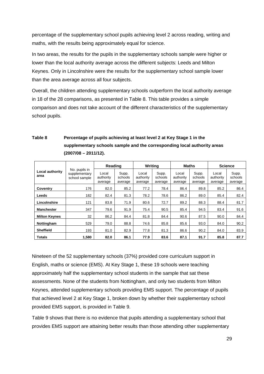percentage of the supplementary school pupils achieving level 2 across reading, writing and maths, with the results being approximately equal for science.

In two areas, the results for the pupils in the supplementary schools sample were higher or lower than the local authority average across the different subjects: Leeds and Milton Keynes. Only in Lincolnshire were the results for the supplementary school sample lower than the area average across all four subjects.

Overall, the children attending supplementary schools outperform the local authority average in 18 of the 28 comparisons, as presented in Table 8. This table provides a simple comparison and does not take account of the different characteristics of the supplementary school pupils.

|                         |                                                 | Reading                       |                             | Writing                       |                             | Maths                         |                             |                               | <b>Science</b>              |
|-------------------------|-------------------------------------------------|-------------------------------|-----------------------------|-------------------------------|-----------------------------|-------------------------------|-----------------------------|-------------------------------|-----------------------------|
| Local authority<br>area | No. pupils in<br>supplementary<br>school sample | Local<br>authority<br>average | Supp.<br>schools<br>average | Local<br>authority<br>average | Supp.<br>schools<br>average | Local<br>authority<br>average | Supp.<br>schools<br>average | Local<br>authority<br>average | Supp.<br>schools<br>average |
| Coventry                | 176                                             | 82.0                          | 85.2                        | 77.2                          | 78.4                        | 86.4                          | 89.8                        | 85.2                          | 86.4                        |
| Leeds                   | 182                                             | 82.4                          | 81.3                        | 78.2                          | 78.6                        | 86.2                          | 89.0                        | 85.4                          | 82.4                        |
| Lincolnshire            | 121                                             | 83.8                          | 71.9                        | 80.6                          | 72.7                        | 89.2                          | 88.3                        | 88.4                          | 81.7                        |
| <b>Manchester</b>       | 347                                             | 79.6                          | 91.9                        | 75.4                          | 90.5                        | 85.4                          | 94.5                        | 83.4                          | 91.6                        |
| <b>Milton Keynes</b>    | 32                                              | 86.2                          | 84.4                        | 81.8                          | 84.4                        | 90.6                          | 87.5                        | 90.0                          | 84.4                        |
| Nottingham              | 529                                             | 79.0                          | 88.8                        | 74.6                          | 85.8                        | 85.6                          | 93.0                        | 84.0                          | 90.2                        |
| <b>Sheffield</b>        | 193                                             | 81.0                          | 82.9                        | 77.8                          | 81.3                        | 86.6                          | 90.2                        | 84.0                          | 83.9                        |
| <b>Totals</b>           | 1,580                                           | 82.0                          | 86.1                        | 77.9                          | 83.6                        | 87.1                          | 91.7                        | 85.8                          | 87.7                        |

# **Table 8 Percentage of pupils achieving at least level 2 at Key Stage 1 in the supplementary schools sample and the corresponding local authority areas (2007/08 – 2011/12).**

Nineteen of the 52 supplementary schools (37%) provided core curriculum support in English, maths or science (EMS). At Key Stage 1, these 19 schools were teaching approximately half the supplementary school students in the sample that sat these assessments. None of the students from Nottingham, and only two students from Milton Keynes, attended supplementary schools providing EMS support. The percentage of pupils that achieved level 2 at Key Stage 1, broken down by whether their supplementary school provided EMS support, is provided in Table 9.

Table 9 shows that there is no evidence that pupils attending a supplementary school that provides EMS support are attaining better results than those attending other supplementary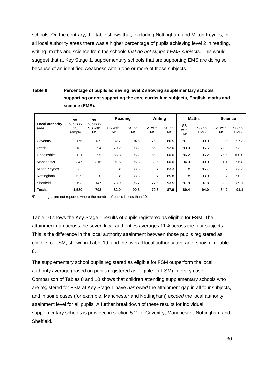schools. On the contrary, the table shows that, excluding Nottingham and Milton Keynes, in all local authority areas there was a higher percentage of pupils achieving level 2 in reading, writing, maths and science from the schools *that do not support EMS subjects*. This would suggest that at Key Stage 1, supplementary schools that are supporting EMS are doing so because of an identified weakness within one or more of those subjects.

# **Table 9 Percentage of pupils achieving level 2 showing supplementary schools supporting or not supporting the core curriculum subjects, English, maths and science (EMS).**

|                         | No.<br>No.                |                                          | Reading               |                     | <b>Writing</b>        |                     | <b>Maths</b>             |                                | <b>Science</b>        |                                |
|-------------------------|---------------------------|------------------------------------------|-----------------------|---------------------|-----------------------|---------------------|--------------------------|--------------------------------|-----------------------|--------------------------------|
| Local authority<br>area | pupils in<br>SS<br>sample | pupils in<br>SS with<br>EMS <sup>1</sup> | SS with<br><b>EMS</b> | SS no<br><b>EMS</b> | SS with<br><b>EMS</b> | SS no<br><b>EMS</b> | SS<br>with<br><b>EMS</b> | SS <sub>no</sub><br><b>EMS</b> | SS with<br><b>EMS</b> | SS <sub>no</sub><br><b>EMS</b> |
| Coventry                | 176                       | 139                                      | 82.7                  | 94.6                | 76.3                  | 86.5                | 87.1                     | 100.0                          | 83.5                  | 97.3                           |
| Leeds                   | 182                       | 94                                       | 70.2                  | 93.2                | 66.0                  | 92.0                | 83.0                     | 95.5                           | 72.3                  | 93.2                           |
| Lincolnshire            | 121                       | 95                                       | 65.3                  | 96.2                | 65.3                  | 100.0               | 86.2                     | 96.2                           | 76.6                  | 100.0                          |
| Manchester              | 347                       | 316                                      | 91.5                  | 96.8                | 89.6                  | 100.0               | 94.0                     | 100.0                          | 91.1                  | 96.8                           |
| <b>Milton Keynes</b>    | 32                        | 2                                        | x                     | 83.3                | x                     | 83.3                | х                        | 86.7                           | x                     | 83.3                           |
| Nottingham              | 529                       | 0                                        | x                     | 88.8                | x                     | 85.8                | x                        | 93.0                           | x                     | 90.2                           |
| Sheffield               | 193                       | 147                                      | 78.9                  | 95.7                | 77.6                  | 93.5                | 87.8                     | 97.8                           | 82.3                  | 89.1                           |
| <b>Totals</b>           | 1.580                     | 793                                      | 82.0                  | 90.3                | 79.3                  | 87.9                | 89.4                     | 94.0                           | 84.2                  | 91.1                           |

1 Percentages are not reported where the number of pupils is less than 10.

Table 10 shows the Key Stage 1 results of pupils registered as eligible for FSM. The attainment gap across the seven local authorities averages 11% across the four subjects. This is the difference in the local authority attainment between those pupils registered as eligible for FSM, shown in Table 10, and the overall local authority average, shown in Table 8.

The supplementary school pupils registered as eligible for FSM outperform the local authority average (based on pupils registered as eligible for FSM) in every case. Comparison of Tables 8 and 10 shows that children attending supplementary schools who are registered for FSM at Key Stage 1 have *narrowed* the attainment gap in all four subjects, and in some cases (for example, Manchester and Nottingham) *exceed* the local authority attainment level for all pupils. A further breakdown of these results for individual supplementary schools is provided in section 5.2 for Coventry, Manchester, Nottingham and Sheffield.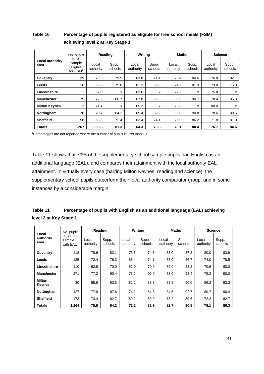# **Table 10 Percentage of pupils registered as eligible for free school meals (FSM) achieving level 2 at Key Stage 1**

|                         | No. pupils                                          | Reading            |                  | Writina            |                  | <b>Maths</b>       |                  |                    | <b>Science</b>   |  |
|-------------------------|-----------------------------------------------------|--------------------|------------------|--------------------|------------------|--------------------|------------------|--------------------|------------------|--|
| Local authority<br>area | in SS<br>sample<br>eligible<br>for FSM <sup>1</sup> | Local<br>authority | Supp.<br>schools | Local<br>authority | Supp.<br>schools | Local<br>authority | Supp.<br>schools | Local<br>authority | Supp.<br>schools |  |
| Coventry                | 39                                                  | 70.6               | 79.5             | 63.8               | 74.4             | 78.4               | 84.6             | 76.8               | 82.1             |  |
| Leeds                   | 16                                                  | 66.8               | 75.0             | 61.2               | 68.8             | 74.2               | 81.3             | 73.0               | 75.0             |  |
| Lincolnshire            | 1                                                   | 67.0               | x                | 62.6               | x                | 77.2               | X                | 75.8               | x                |  |
| <b>Manchester</b>       | 75                                                  | 72.6               | 86.7             | 67.8               | 85.3             | 80.6               | 90.7             | 78.4               | 85.3             |  |
| <b>Milton Keynes</b>    | $\overline{2}$                                      | 71.4               | x                | 65.2               | x                | 78.8               | x                | 80.0               | x                |  |
| Nottingham              | 76                                                  | 70.7               | 84.2             | 65.4               | 82.9             | 80.0               | 90.8             | 78.6               | 89.5             |  |
| <b>Sheffield</b>        | 58                                                  | 68.6               | 72.4             | 63.4               | 74.1             | 76.0               | 86.2             | 71.8               | 81.0             |  |
| Totals                  | 267                                                 | 69.8               | 81.3             | 64.3               | 79.8             | 78.1               | 88.4             | 76.7               | 84.6             |  |

1 Percentages are not reported where the number of pupils is less than 10.

Table 11 shows that 79% of the supplementary school sample pupils had English as an additional language (EAL), and compares their attainment with the local authority EAL attainment. In virtually every case (barring Milton Keynes, reading and science), the supplementary school pupils outperform their local authority comparator group, and in some instances by a considerable margin.

| Table 11               | Percentage of pupils with English as an additional language (EAL) achieving |
|------------------------|-----------------------------------------------------------------------------|
| level 2 at Key Stage 1 |                                                                             |

| Local<br>authority<br>area | No. pupils                  | Reading            |                  |                    | Writing          | <b>Maths</b>       |                  | <b>Science</b>     |                  |
|----------------------------|-----------------------------|--------------------|------------------|--------------------|------------------|--------------------|------------------|--------------------|------------------|
|                            | in SS<br>sample<br>with EAL | Local<br>authority | Supp.<br>schools | Local<br>authority | Supp.<br>schools | Local<br>authority | Supp.<br>schools | Local<br>authority | Supp.<br>schools |
| Coventry                   | 118                         | 78.6               | 83.1             | 73.6               | 74.6             | 83.0               | 87.3             | 80.0               | 83.9             |
| Leeds                      | 135                         | 72.4               | 76.3             | 68.4               | 74.1             | 78.0               | 86.7             | 74.0               | 78.5             |
| Lincolnshire               | 110                         | 62.8               | 70.0             | 62.0               | 70.9             | 79.0               | 88.2             | 70.6               | 80.0             |
| <b>Manchester</b>          | 271                         | 77.2               | 90.4             | 73.2               | 90.0             | 83.0               | 93.4             | 79.2               | 90.0             |
| Milton<br>Keynes           | 30                          | 85.6               | 83.3             | 82.2               | 83.3             | 89.8               | 90.0             | 86.2               | 83.3             |
| Nottingham                 | 427                         | 77.8               | 87.6             | 74.1               | 84.3             | 84.5               | 92.7             | 80.7               | 90.4             |
| <b>Sheffield</b>           | 173                         | 73.4               | 82.7             | 69.2               | 80.9             | 78.2               | 89.6             | 72.2               | 82.7             |
| Totals                     | 1.264                       | 75.8               | 84.2             | 72.2               | 81.9             | 82.7               | 90.8             | 78.1               | 86.3             |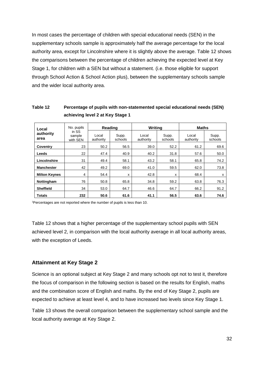In most cases the percentage of children with special educational needs (SEN) in the supplementary schools sample is approximately half the average percentage for the local authority area, except for Lincolnshire where it is slightly above the average. Table 12 shows the comparisons between the percentage of children achieving the expected level at Key Stage 1, for children with a SEN but without a statement. (i.e. those eligible for support through School Action & School Action plus), between the supplementary schools sample and the wider local authority area.

### **Table 12 Percentage of pupils with non-statemented special educational needs (SEN) achieving level 2 at Key Stage 1**

| Local<br>authority<br>area | No. pupils                  | Reading            |                  | <b>Writing</b>     |                  | <b>Maths</b>       |                  |
|----------------------------|-----------------------------|--------------------|------------------|--------------------|------------------|--------------------|------------------|
|                            | in SS<br>sample<br>with SEN | Local<br>authority | Supp.<br>schools | Local<br>authority | Supp.<br>schools | Local<br>authority | Supp.<br>schools |
| Coventry                   | 23                          | 50.2               | 56.5             | 39.0               | 52.2             | 61.2               | 69.6             |
| Leeds                      | 22                          | 47.4               | 40.9             | 40.2               | 31.8             | 57.6               | 50.0             |
| Lincolnshire               | 31                          | 49.4               | 58.1             | 43.2               | 58.1             | 65.8               | 74.2             |
| <b>Manchester</b>          | 42                          | 49.2               | 69.0             | 41.0               | 59.5             | 62.0               | 73.8             |
| <b>Milton Keynes</b>       | 4                           | 54.4               | X                | 42.8               | x                | 68.4               | x                |
| Nottingham                 | 76                          | 50.8               | 65.8             | 34.8               | 59.2             | 63.8               | 76.3             |
| <b>Sheffield</b>           | 34                          | 53.0               | 64.7             | 46.6               | 64.7             | 66.2               | 91.2             |
| <b>Totals</b>              | 232                         | 50.6               | 61.6             | 41.1               | 56.5             | 63.6               | 74.6             |

1 Percentages are not reported where the number of pupils is less than 10.

Table 12 shows that a higher percentage of the supplementary school pupils with SEN achieved level 2, in comparison with the local authority average in all local authority areas, with the exception of Leeds.

#### **Attainment at Key Stage 2**

Science is an optional subject at Key Stage 2 and many schools opt not to test it, therefore the focus of comparison in the following section is based on the results for English, maths and the combination score of English and maths. By the end of Key Stage 2, pupils are expected to achieve at least level 4, and to have increased two levels since Key Stage 1.

Table 13 shows the overall comparison between the supplementary school sample and the local authority average at Key Stage 2.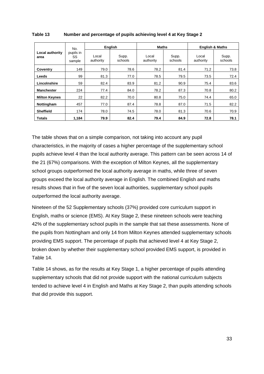| <b>Local authority</b><br>area | No.                       | English            |                  | <b>Maths</b>       |                  | <b>English &amp; Maths</b> |                  |
|--------------------------------|---------------------------|--------------------|------------------|--------------------|------------------|----------------------------|------------------|
|                                | pupils in<br>SS<br>sample | Local<br>authority | Supp.<br>schools | Local<br>authority | Supp.<br>schools | Local<br>authority         | Supp.<br>schools |
| Coventry                       | 149                       | 79.0               | 78.6             | 78.2               | 81.4             | 71.2                       | 73.8             |
| Leeds                          | 99                        | 81.3               | 77.0             | 78.5               | 79.5             | 73.5                       | 72.4             |
| Lincolnshire                   | 59                        | 82.4               | 83.9             | 81.2               | 90.9             | 75.4                       | 83.6             |
| <b>Manchester</b>              | 224                       | 77.4               | 84.0             | 78.2               | 87.3             | 70.8                       | 80.2             |
| <b>Milton Keynes</b>           | 22                        | 82.2               | 70.0             | 80.8               | 75.0             | 74.4                       | 65.0             |
| Nottingham                     | 457                       | 77.0               | 87.4             | 78.8               | 87.0             | 71.5                       | 82.2             |
| <b>Sheffield</b>               | 174                       | 78.0               | 74.5             | 78.0               | 81.3             | 70.6                       | 70.9             |
| <b>Totals</b>                  | 1.184                     | 79.9               | 82.4             | 79.4               | 84.9             | 72.8                       | 78.1             |

#### **Table 13 Number and percentage of pupils achieving level 4 at Key Stage 2**

The table shows that on a simple comparison, not taking into account any pupil characteristics, in the majority of cases a higher percentage of the supplementary school pupils achieve level 4 than the local authority average. This pattern can be seen across 14 of the 21 (67%) comparisons. With the exception of Milton Keynes, all the supplementary school groups outperformed the local authority average in maths, while three of seven groups exceed the local authority average in English. The combined English and maths results shows that in five of the seven local authorities, supplementary school pupils outperformed the local authority average.

Nineteen of the 52 Supplementary schools (37%) provided core curriculum support in English, maths or science (EMS). At Key Stage 2, these nineteen schools were teaching 42% of the supplementary school pupils in the sample that sat these assessments. None of the pupils from Nottingham and only 14 from Milton Keynes attended supplementary schools providing EMS support. The percentage of pupils that achieved level 4 at Key Stage 2, broken down by whether their supplementary school provided EMS support, is provided in Table 14.

Table 14 shows, as for the results at Key Stage 1, a higher percentage of pupils attending supplementary schools that did not provide support with the national curriculum subjects tended to achieve level 4 in English and Maths at Key Stage 2, than pupils attending schools that did provide this support.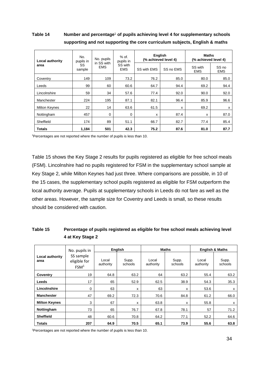**Table 14 Number and percentage**<sup>1</sup> **of pupils achieving level 4 for supplementary schools supporting and not supporting the core curriculum subjects, English & maths**

| Local authority      | No.<br>pupils in | No. pupils               | $%$ of $.$<br>pupils in<br>SS with<br><b>EMS</b> | <b>English</b> | (% achieved level 4) | <b>Maths</b><br>(% achieved level 4) |                                |
|----------------------|------------------|--------------------------|--------------------------------------------------|----------------|----------------------|--------------------------------------|--------------------------------|
| area                 | SS<br>sample     | in SS with<br><b>EMS</b> |                                                  | SS with EMS    | SS no EMS            | SS with<br><b>EMS</b>                | SS <sub>no</sub><br><b>EMS</b> |
| Coventry             | 149              | 109                      | 73.2                                             | 76.2           | 85.0                 | 80.0                                 | 85.0                           |
| Leeds                | 99               | 60                       | 60.6                                             | 64.7           | 94.4                 | 69.2                                 | 94.4                           |
| Lincolnshire         | 59               | 34                       | 57.6                                             | 77.4           | 92.0                 | 90.0                                 | 92.0                           |
| Manchester           | 224              | 195                      | 87.1                                             | 82.1           | 96.4                 | 85.9                                 | 96.6                           |
| <b>Milton Keynes</b> | 22               | 14                       | 63.6                                             | 61.5           | x                    | 69.2                                 | x                              |
| Nottingham           | 457              | 0                        | $\mathbf 0$                                      | X              | 87.4                 | x                                    | 87.0                           |
| Sheffield            | 174              | 89                       | 51.1                                             | 66.7           | 82.7                 | 77.4                                 | 85.4                           |
| <b>Totals</b>        | 1,184            | 501                      | 42.3                                             | 75.2           | 87.6                 | 81.0                                 | 87.7                           |

1 Percentages are not reported where the number of pupils is less than 10.

Table 15 shows the Key Stage 2 results for pupils registered as eligible for free school meals (FSM). Lincolnshire had no pupils registered for FSM in the supplementary school sample at Key Stage 2, while Milton Keynes had just three. Where comparisons are possible, in 10 of the 15 cases, the supplementary school pupils registered as eligible for FSM outperform the local authority average. Pupils at supplementary schools in Leeds do not fare as well as the other areas. However, the sample size for Coventry and Leeds is small, so these results should be considered with caution.

# **Table 15 Percentage of pupils registered as eligible for free school meals achieving level 4 at Key Stage 2**

| Local authority<br>area | No. pupils in                                 | English            |                  |                    | <b>Maths</b>     | <b>English &amp; Maths</b> |                  |
|-------------------------|-----------------------------------------------|--------------------|------------------|--------------------|------------------|----------------------------|------------------|
|                         | SS sample<br>eligible for<br>FSM <sup>1</sup> | Local<br>authority | Supp.<br>schools | Local<br>authority | Supp.<br>schools | Local<br>authority         | Supp.<br>schools |
| Coventry                | 19                                            | 64.8               | 63.2             | 64                 | 63.2             | 55.4                       | 63.2             |
| Leeds                   | 17                                            | 65                 | 52.9             | 62.5               | 38.9             | 54.3                       | 35.3             |
| Lincolnshire            | 0                                             | 63                 | x                | 63                 | x                | 53.6                       | x                |
| <b>Manchester</b>       | 47                                            | 69.2               | 72.3             | 70.6               | 84.8             | 61.2                       | 66.0             |
| <b>Milton Keynes</b>    | 3                                             | 67                 | x                | 63.8               | х                | 55.8                       | х                |
| Nottingham              | 73                                            | 65                 | 76.7             | 67.8               | 78.1             | 57                         | 71.2             |
| <b>Sheffield</b>        | 48                                            | 60.6               | 70.8             | 64.2               | 77.1             | 52.2                       | 64.6             |
| <b>Totals</b>           | 207                                           | 64.9               | 70.5             | 65.1               | 73.9             | 55.6                       | 63.8             |

1 Percentages are not reported where the number of pupils is less than 10.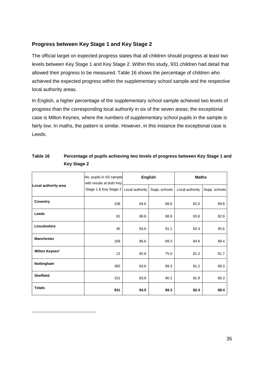# **Progress between Key Stage 1 and Key Stage 2**

The official target on expected progress states that all children should progress at least two levels between Key Stage 1 and Key Stage 2. Within this study, 931 children had detail that allowed their progress to be measured. Table 16 shows the percentage of children who achieved the expected progress within the supplementary school sample and the respective local authority areas.

In English, a higher percentage of the supplementary school sample achieved two levels of progress than the corresponding local authority in six of the seven areas; the exceptional case is Milton Keynes, where the numbers of supplementary school pupils in the sample is fairly low. In maths, the pattern is similar. However, in this instance the exceptional case is Leeds.

|                            | No. pupils in SS sample<br>with results at both Key |                 | <b>English</b> | <b>Maths</b>    |               |  |
|----------------------------|-----------------------------------------------------|-----------------|----------------|-----------------|---------------|--|
| Local authority area       | Stage 1 & Key Stage 2                               | Local authority | Supp. schools  | Local authority | Supp. schools |  |
| Coventry                   | 108                                                 | 84.6            | 88.9           | 82.0            | 89.8          |  |
| Leeds                      | 81                                                  | 86.8            | 88.9           | 83.6            | 82.9          |  |
| Lincolnshire               | 45                                                  | 83.6            | 91.1           | 82.4            | 95.6          |  |
| <b>Manchester</b>          | 169                                                 | 86.6            | 89.3           | 84.6            | 89.4          |  |
| Milton Keynes <sup>1</sup> | 12                                                  | 82.8            | 75.0           | 81.2            | 91.7          |  |
| Nottingham                 | 365                                                 | 83.6            | 89.3           | 81.2            | 88.3          |  |
| <b>Sheffield</b>           | 151                                                 | 83.8            | 90.1           | 81.8            | 86.3          |  |
| <b>Totals</b>              | 931                                                 | 84.5            | 89.3           | 82.4            | 88.4          |  |

<span id="page-34-0"></span>-

# **Table 16 Percentage of pupils achieving two levels of progress between Key Stage 1 and Key Stage 2**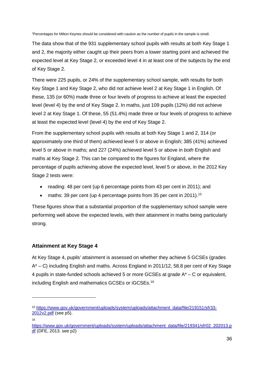1 Percentages for Milton Keynes should be considered with caution as the number of pupils in the sample is small.

The data show that of the 931 supplementary school pupils with results at both Key Stage 1 and 2, the majority either caught up their peers from a lower starting point and achieved the expected level at Key Stage 2, or exceeded level 4 in at least one of the subjects by the end of Key Stage 2.

There were 225 pupils, or 24% of the supplementary school sample, with results for both Key Stage 1 and Key Stage 2, who did not achieve level 2 at Key Stage 1 in English. Of these, 135 (or 60%) made three or four levels of progress to achieve at least the expected level (level 4) by the end of Key Stage 2. In maths, just 109 pupils (12%) did not achieve level 2 at Key Stage 1. Of these, 55 (51.4%) made three or four levels of progress to achieve at least the expected level (level 4) by the end of Key Stage 2.

From the supplementary school pupils with results at both Key Stage 1 and 2, 314 (or approximately one third of them) achieved level 5 or above in English; 385 (41%) achieved level 5 or above in maths; and 227 (24%) achieved level 5 or above in *both* English and maths at Key Stage 2. This can be compared to the figures for England, where the percentage of pupils achieving above the expected level, level 5 or above, in the 2012 Key Stage 2 tests were:

- reading: 48 per cent (up 6 percentage points from 43 per cent in 2011); and
- maths: 39 per cent (up 4 percentage points from 35 per cent in 2011).<sup>[15](#page-35-0)</sup>

These figures show that a substantial proportion of the supplementary school sample were performing well above the expected levels, with their attainment in maths being particularly strong.

# **Attainment at Key Stage 4**

At Key Stage 4, pupils' attainment is assessed on whether they achieve 5 GCSEs (grades A\* – C) including English and maths. Across England in 2011/12, 58.8 per cent of Key Stage 4 pupils in state-funded schools achieved 5 or more GCSEs at grade  $A^* - C$  or equivalent, including English and mathematics GCSEs or iGCSEs.[16](#page-35-1)

16

<span id="page-35-0"></span><sup>15</sup> [https://www.gov.uk/government/uploads/system/uploads/attachment\\_data/file/219151/sfr33-](https://www.gov.uk/government/uploads/system/uploads/attachment_data/file/219151/sfr33-2012v2.pdf) [2012v2.pdf](https://www.gov.uk/government/uploads/system/uploads/attachment_data/file/219151/sfr33-2012v2.pdf) (see p5).

<span id="page-35-1"></span>[https://www.gov.uk/government/uploads/system/uploads/attachment\\_data/file/219341/sfr02\\_202013.p](https://www.gov.uk/government/uploads/system/uploads/attachment_data/file/219341/sfr02_202013.pdf) [df](https://www.gov.uk/government/uploads/system/uploads/attachment_data/file/219341/sfr02_202013.pdf) (DFE, 2013. see p2)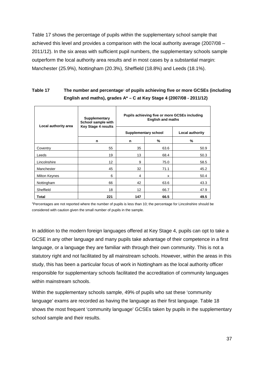Table 17 shows the percentage of pupils within the supplementary school sample that achieved this level and provides a comparison with the local authority average (2007/08 – 2011/12). In the six areas with sufficient pupil numbers, the supplementary schools sample outperform the local authority area results and in most cases by a substantial margin: Manchester (25.9%), Nottingham (20.3%), Sheffield (18.8%) and Leeds (18.1%).

# **Table 17 The number and percentage**<sup>1</sup> **of pupils achieving five or more GCSEs (including English and maths), grades A\* – C at Key Stage 4 (2007/08 - 2011/12)**

| Local authority area | Supplementary<br>School sample with<br><b>Key Stage 4 results</b> | Pupils achieving five or more GCSEs including<br><b>English and maths</b> |                 |      |  |  |  |  |
|----------------------|-------------------------------------------------------------------|---------------------------------------------------------------------------|-----------------|------|--|--|--|--|
|                      |                                                                   | Supplementary school                                                      | Local authority |      |  |  |  |  |
|                      | n                                                                 | n                                                                         | %               | %    |  |  |  |  |
| Coventry             | 55                                                                | 35                                                                        | 63.6            | 50.9 |  |  |  |  |
| Leeds                | 19                                                                | 13                                                                        | 68.4            | 50.3 |  |  |  |  |
| Lincolnshire         | 12                                                                | 9                                                                         | 75.0            | 58.5 |  |  |  |  |
| Manchester           | 45                                                                | 32                                                                        | 71.1            | 45.2 |  |  |  |  |
| Milton Keynes        | 6                                                                 | 4                                                                         | x               | 50.4 |  |  |  |  |
| Nottingham           | 66                                                                | 42                                                                        | 63.6            | 43.3 |  |  |  |  |
| Sheffield            | 18                                                                | 12                                                                        | 66.7            | 47.9 |  |  |  |  |
| Total                | 221                                                               | 147                                                                       | 66.5            | 49.5 |  |  |  |  |

1 Percentages are not reported where the number of pupils is less than 10; the percentage for Lincolnshire should be considered with caution given the small number of pupils in the sample.

In addition to the modern foreign languages offered at Key Stage 4, pupils can opt to take a GCSE in any other language and many pupils take advantage of their competence in a first language, or a language they are familiar with through their own community. This is not a statutory right and not facilitated by all mainstream schools. However, within the areas in this study, this has been a particular focus of work in Nottingham as the local authority officer responsible for supplementary schools facilitated the accreditation of community languages within mainstream schools.

Within the supplementary schools sample, 49% of pupils who sat these 'community language' exams are recorded as having the language as their first language. Table 18 shows the most frequent 'community language' GCSEs taken by pupils in the supplementary school sample and their results.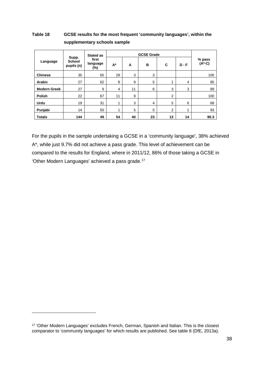## **Table 18 GCSE results for the most frequent 'community languages', within the supplementary schools sample**

|                     |                                      | Stated as                |    |    |    |                |         |                    |
|---------------------|--------------------------------------|--------------------------|----|----|----|----------------|---------|--------------------|
| Language            | Supp.<br><b>School</b><br>pupils (n) | first<br>language<br>(%) | A* | A  | в  | C              | $D - F$ | % pass<br>$(A*-C)$ |
| <b>Chinese</b>      | 35                                   | 65                       | 29 | 3  | 3  |                |         | 100                |
| Arabic              | 27                                   | 62                       | 8  | 9  | 5  | 4              | 4       | 85                 |
| <b>Modern Greek</b> | 27                                   | 9                        | 4  | 11 | 6  | 3              | 3       | 89                 |
| <b>Polish</b>       | 22                                   | 67                       | 11 | 9  |    | $\overline{2}$ |         | 100                |
| <b>Urdu</b>         | 19                                   | 31                       | 4  | 3  | 4  | 5              | 6       | 68                 |
| Punjabi             | 14                                   | 50                       | 1  | 5  | 5  | 2              | 4       | 93                 |
| <b>Totals</b>       | 144                                  | 49                       | 54 | 40 | 23 | 13             | 14      | 90.3               |

For the pupils in the sample undertaking a GCSE in a 'community language', 38% achieved A\*, while just 9.7% did not achieve a pass grade. This level of achievement can be compared to the results for England, where in 2011/12, 86% of those taking a GCSE in 'Other Modern Languages' achieved a pass grade.<sup>[17](#page-37-0)</sup>

<span id="page-37-0"></span><sup>17</sup> 'Other Modern Languages' excludes French, German, Spanish and Italian. This is the closest comparator to 'community languages' for which results are published. See table 8 (DfE, 2013a).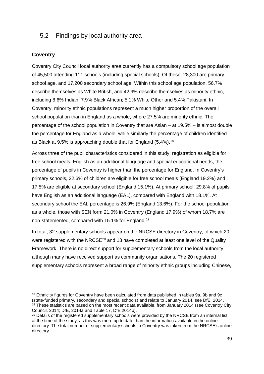# 5.2 Findings by local authority area

### **Coventry**

-

Coventry City Council local authority area currently has a compulsory school age population of 45,500 attending 111 schools (including special schools). Of these, 28,300 are primary school age, and 17,200 secondary school age. Within this school age population, 56.7% describe themselves as White British, and 42.9% describe themselves as minority ethnic, including 8.6% Indian; 7.9% Black African; 5.1% White Other and 5.4% Pakistani. In Coventry, minority ethnic populations represent a much higher proportion of the overall school population than in England as a whole, where 27.5% are minority ethnic. The percentage of the school population in Coventry that are Asian – at 19.5% – is almost double the percentage for England as a whole, while similarly the percentage of children identified as Black at 9.5% is approaching double that for England (5.4%).<sup>[18](#page-38-0)</sup>

Across three of the pupil characteristics considered in this study: registration as eligible for free school meals, English as an additional language and special educational needs, the percentage of pupils in Coventry is higher than the percentage for England. In Coventry's primary schools, 22.6% of children are eligible for free school meals (England 19.2%) and 17.5% are eligible at secondary school (England 15.1%). At primary school, 29.8% of pupils have English as an additional language (EAL), compared with England with 18.1%. At secondary school the EAL percentage is 26.9% (England 13.6%). For the school population as a whole, those with SEN form 21.0% in Coventry (England 17.9%) of whom 18.7% are non-statemented, compared with 15.1% for England.[19](#page-38-1)

In total, 32 supplementary schools appear on the NRCSE directory in Coventry, of which 20 were registered with the NRCSE<sup>[20](#page-38-2)</sup> and 13 have completed at least one level of the Quality Framework. There is no direct support for supplementary schools from the local authority, although many have received support as community organisations. The 20 registered supplementary schools represent a broad range of minority ethnic groups including Chinese,

<span id="page-38-0"></span><sup>&</sup>lt;sup>18</sup> Ethnicity figures for Coventry have been calculated from data published in tables 9a, 9b and 9c (state-funded primary, secondary and special schools) and relate to January 2014, see DfE, 2014. <sup>19</sup> These statistics are based on the most recent data available, from January 2014 (see Coventry City Council, 2014; DfE, 2014a and Table 17, DfE 2014b).

<span id="page-38-2"></span><span id="page-38-1"></span><sup>&</sup>lt;sup>20</sup> Details of the registered supplementary schools were provided by the NRCSE from an internal list at the time of the study, as this was more up to date than the information available in the online directory. The total number of supplementary schools in Coventry was taken from the NRCSE's online directory.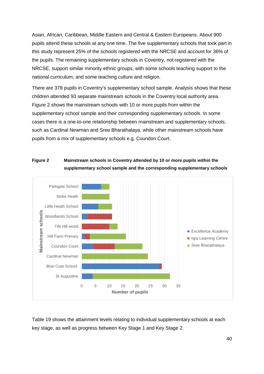Asian, African, Caribbean, Middle Eastern and Central & Eastern Europeans. About 900 pupils attend these schools at any one time. The five supplementary schools that took part in this study represent 25% of the schools registered with the NRCSE and account for 36% of the pupils. The remaining supplementary schools in Coventry, not registered with the NRCSE, support similar minority ethnic groups, with some schools teaching support to the national curriculum, and some teaching culture and religion.

There are 378 pupils in Coventry's supplementary school sample. Analysis shows that these children attended 93 separate mainstream schools in the Coventry local authority area. Figure 2 shows the mainstream schools with 10 or more pupils from within the supplementary school sample and their corresponding supplementary schools. In some cases there is a one-to-one relationship between mainstream and supplementary schools, such as Cardinal Newman and Sree Bharathalaya, while other mainstream schools have pupils from a mix of supplementary schools e.g. Coundon Court.

### **Figure 2 Mainstream schools in Coventry attended by 10 or more pupils within the supplementary school sample and the corresponding supplementary schools**



Table 19 shows the attainment levels relating to individual supplementary schools at each key stage, as well as progress between Key Stage 1 and Key Stage 2.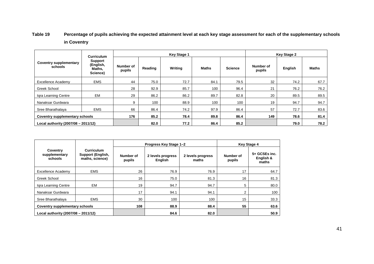# **Table 19 Percentage of pupils achieving the expected attainment level at each key stage assessment for each of the supplementary schools in Coventry**

|                                          | <b>Curriculum</b><br>Support<br>(English,<br>Maths.<br>Science) |                     |         | <b>Key Stage 1</b> |              |                | <b>Key Stage 2</b>  |         |              |  |
|------------------------------------------|-----------------------------------------------------------------|---------------------|---------|--------------------|--------------|----------------|---------------------|---------|--------------|--|
| <b>Coventry supplementary</b><br>schools |                                                                 | Number of<br>pupils | Reading | Writing            | <b>Maths</b> | <b>Science</b> | Number of<br>pupils | English | <b>Maths</b> |  |
| <b>Excellence Academy</b>                | <b>EMS</b>                                                      | 44                  | 75.0    | 72.7               | 84.1         | 79.5           | 32                  | 74.2    | 67.7         |  |
| Greek School                             |                                                                 | 28                  | 92.9    | 85.7               | 100          | 96.4           | 21                  | 76.2    | 76.2         |  |
| Igra Learning Centre                     | <b>EM</b>                                                       | 29                  | 86.2    | 86.2               | 89.7         | 82.8           | 20                  | 89.5    | 89.5         |  |
| Nanaksar Gurdwara                        |                                                                 | 9                   | 100     | 88.9               | 100          | 100            | 19                  | 94.7    | 94.7         |  |
| Sree Bharathalaya                        | <b>EMS</b>                                                      | 66                  | 86.4    | 74.2               | 97.9         | 86.4           | 57                  | 72.7    | 83.6         |  |
| Coventry supplementary schools           |                                                                 | 176                 | 85.2    | 78.4               | 89.8         | 86.4           | 149                 | 78.6    | 81.4         |  |
| Local authority (2007/08 - 2011/12)      |                                                                 |                     | 82.0    | 77.2               | 86.4         | 85.2           |                     | 79.0    | 78.2         |  |

|                                      |                                                           |                     | Progress Key Stage 1-2       |                            | <b>Key Stage 4</b>  |                                     |  |
|--------------------------------------|-----------------------------------------------------------|---------------------|------------------------------|----------------------------|---------------------|-------------------------------------|--|
| Coventry<br>supplementary<br>schools | <b>Curriculum</b><br>Support (English,<br>maths, science) | Number of<br>pupils | 2 levels progress<br>English | 2 levels progress<br>maths | Number of<br>pupils | 5+ GCSEs inc.<br>English &<br>maths |  |
| Excellence Academy                   | <b>EMS</b>                                                | 26                  | 76.9                         | 76.9                       | 17                  | 64.7                                |  |
| Greek School                         |                                                           | 16                  | 75.0                         | 81.3                       | 16                  | 81.3                                |  |
| Igra Learning Centre                 | <b>EM</b>                                                 | 19                  | 94.7                         | 94.7                       | 5                   | 80.0                                |  |
| Nanaksar Gurdwara                    |                                                           | 17                  | 94.1                         | 94.1                       | 2                   | 100                                 |  |
| Sree Bharathalaya                    | <b>EMS</b>                                                | 30                  | 100                          | 100                        | 15                  | 33.3                                |  |
| Coventry supplementary schools       |                                                           | 108                 | 88.9                         | 88.4                       | 55                  | 63.6                                |  |
| Local authority (2007/08 - 2011/12)  |                                                           |                     | 84.6                         | 82.0                       |                     | 50.9                                |  |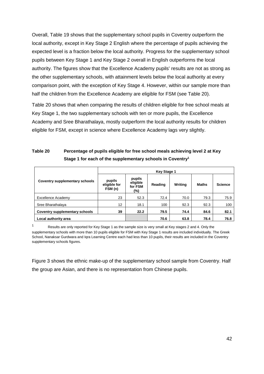Overall, Table 19 shows that the supplementary school pupils in Coventry outperform the local authority, except in Key Stage 2 English where the percentage of pupils achieving the expected level is a fraction below the local authority. Progress for the supplementary school pupils between Key Stage 1 and Key Stage 2 overall in English outperforms the local authority. The figures show that the Excellence Academy pupils' results are not as strong as the other supplementary schools, with attainment levels below the local authority at every comparison point, with the exception of Key Stage 4. However, within our sample more than half the children from the Excellence Academy are eligible for FSM (see Table 20).

Table 20 shows that when comparing the results of children eligible for free school meals at Key Stage 1, the two supplementary schools with ten or more pupils, the Excellence Academy and Sree Bharathalaya, mostly outperform the local authority results for children eligible for FSM, except in science where Excellence Academy lags very slightly.

# **Table 20 Percentage of pupils eligible for free school meals achieving level 2 at Key Stage 1 for each of the supplementary schools in Coventry1**

|                                | <b>Key Stage 1</b>                |                                      |         |         |              |                |  |  |  |
|--------------------------------|-----------------------------------|--------------------------------------|---------|---------|--------------|----------------|--|--|--|
| Coventry supplementary schools | pupils<br>eligible for<br>FSM (n) | pupils<br>eligible<br>for FSM<br>(%) | Reading | Writing | <b>Maths</b> | <b>Science</b> |  |  |  |
| Excellence Academy             | 23                                | 52.3                                 | 72.4    | 70.0    | 79.3         | 75.9           |  |  |  |
| Sree Bharathalaya              | 12                                | 18.1                                 | 100     | 92.3    | 92.3         | 100            |  |  |  |
| Coventry supplementary schools | 39                                | 22.2                                 | 79.5    | 74.4    | 84.6         | 82.1           |  |  |  |
| Local authority area           |                                   |                                      | 70.6    | 63.8    | 78.4         | 76.8           |  |  |  |

Results are only reported for Key Stage 1 as the sample size is very small at Key stages 2 and 4. Only the supplementary schools with more than 10 pupils eligible for FSM with Key Stage 1 results are included individually. The Greek School, Nanaksar Gurdwara and Iqra Learning Centre each had less than 10 pupils, their results are included in the Coventry supplementary schools figures.

Figure 3 shows the ethnic make-up of the supplementary school sample from Coventry. Half the group are Asian, and there is no representation from Chinese pupils.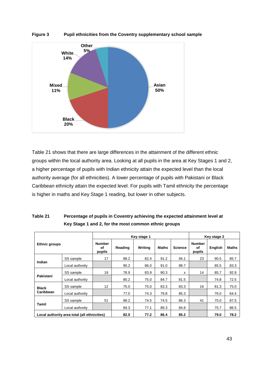

**Figure 3 Pupil ethnicities from the Coventry supplementary school sample**

Table 21 shows that there are large differences in the attainment of the different ethnic groups within the local authority area. Looking at all pupils in the area at Key Stages 1 and 2, a higher percentage of pupils with Indian ethnicity attain the expected level than the local authority average (for all ethnicities). A lower percentage of pupils with Pakistani or Black Caribbean ethnicity attain the expected level. For pupils with Tamil ethnicity the percentage is higher in maths and Key Stage 1 reading, but lower in other subjects.

| Table 21 | Percentage of pupils in Coventry achieving the expected attainment level at |
|----------|-----------------------------------------------------------------------------|
|          | Key Stage 1 and 2, for the most common ethnic groups                        |

|                      |                                              |                               | Key stage 1 |         | Key stage 2  |                |                                      |         |              |  |
|----------------------|----------------------------------------------|-------------------------------|-------------|---------|--------------|----------------|--------------------------------------|---------|--------------|--|
| <b>Ethnic groups</b> |                                              | <b>Number</b><br>οf<br>pupils | Reading     | Writing | <b>Maths</b> | <b>Science</b> | <b>Number</b><br><b>of</b><br>pupils | English | <b>Maths</b> |  |
|                      | SS sample                                    | 17                            | 88.2        | 82.4    | 91.2         | 94.1           | 23                                   | 90.5    | 85.7         |  |
| Indian               | Local authority                              |                               | 90.2        | 86.0    | 91.0         | 89.7           |                                      | 85.5    | 83.3         |  |
|                      | SS sample                                    | 19                            | 78.9        | 83.9    | 90.3         | x              | 14                                   | 85.7    | 92.9         |  |
| Pakistani            | Local authority                              |                               | 80.2        | 75.0    | 84.7         | 81.5           |                                      | 74.8    | 72.5         |  |
| <b>Black</b>         | SS sample                                    | 12                            | 75.0        | 75.0    | 83.3         | 83.3           | 16                                   | 81.3    | 75.0         |  |
| Caribbean            | Local authority                              |                               | 77.0        | 74.3    | 79.8         | 85.3           |                                      | 76.0    | 64.4         |  |
|                      | SS sample                                    | 51                            | 88.2        | 74.5    | 74.5         | 86.3           | 41                                   | 75.0    | 87.5         |  |
| <b>Tamil</b>         | Local authority                              |                               | 84.3        | 77.1    | 89.3         | 84.8           |                                      | 75.7    | 86.5         |  |
|                      | Local authority area total (all ethnicities) |                               | 82.0        | 77.2    | 86.4         | 85.2           | 78.2<br>79.0                         |         |              |  |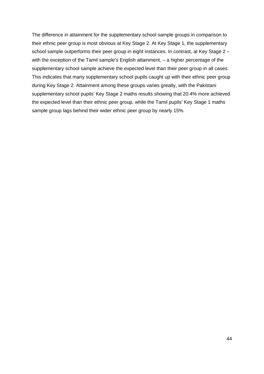The difference in attainment for the supplementary school sample groups in comparison to their ethnic peer group is most obvious at Key Stage 2. At Key Stage 1, the supplementary school sample outperforms their peer group in eight instances. In contrast, at Key Stage 2 with the exception of the Tamil sample's English attainment, – a higher percentage of the supplementary school sample achieve the expected level than their peer group in all cases. This indicates that many supplementary school pupils caught up with their ethnic peer group during Key Stage 2. Attainment among these groups varies greatly, with the Pakistani supplementary school pupils' Key Stage 2 maths results showing that 20.4% more achieved the expected level than their ethnic peer group, while the Tamil pupils' Key Stage 1 maths sample group lags behind their wider ethnic peer group by nearly 15%.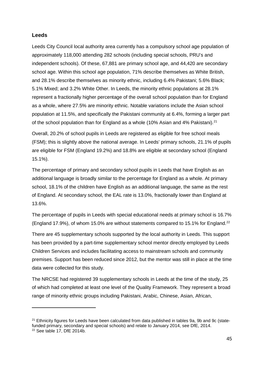### **Leeds**

Leeds City Council local authority area currently has a compulsory school age population of approximately 118,000 attending 282 schools (including special schools, PRU's and independent schools). Of these, 67,881 are primary school age, and 44,420 are secondary school age. Within this school age population, 71% describe themselves as White British, and 28.1% describe themselves as minority ethnic, including 6.4% Pakistani; 5.6% Black; 5.1% Mixed; and 3.2% White Other. In Leeds, the minority ethnic populations at 28.1% represent a fractionally higher percentage of the overall school population than for England as a whole, where 27.5% are minority ethnic. Notable variations include the Asian school population at 11.5%, and specifically the Pakistani community at 6.4%, forming a larger part of the school population than for England as a whole (10% Asian and 4% Pakistani).<sup>[21](#page-44-0)</sup>

Overall, 20.2% of school pupils in Leeds are registered as eligible for free school meals (FSM); this is slightly above the national average. In Leeds' primary schools, 21.1% of pupils are eligible for FSM (England 19.2%) and 18.8% are eligible at secondary school (England 15.1%).

The percentage of primary and secondary school pupils in Leeds that have English as an additional language is broadly similar to the percentage for England as a whole. At primary school, 18.1% of the children have English as an additional language, the same as the rest of England. At secondary school, the EAL rate is 13.0%, fractionally lower than England at 13.6%.

The percentage of pupils in Leeds with special educational needs at primary school is 16.7% (England 17.9%), of whom 15.0% are without statements compared to 15.1% for England. $^{22}$  $^{22}$  $^{22}$ 

There are 45 supplementary schools supported by the local authority in Leeds. This support has been provided by a part-time supplementary school mentor directly employed by Leeds Children Services and includes facilitating access to mainstream schools and community premises. Support has been reduced since 2012, but the mentor was still in place at the time data were collected for this study.

The NRCSE had registered 39 supplementary schools in Leeds at the time of the study, 25 of which had completed at least one level of the Quality Framework. They represent a broad range of minority ethnic groups including Pakistani, Arabic, Chinese, Asian, African,

<span id="page-44-0"></span><sup>&</sup>lt;sup>21</sup> Ethnicity figures for Leeds have been calculated from data published in tables 9a, 9b and 9c (statefunded primary, secondary and special schools) and relate to January 2014, see DfE, 2014.

<span id="page-44-1"></span><sup>22</sup> See table 17, DfE 2014b.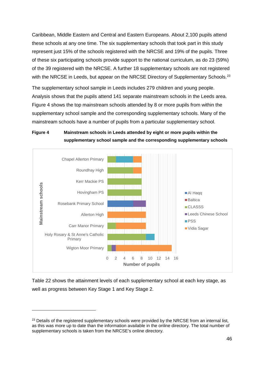Caribbean, Middle Eastern and Central and Eastern Europeans. About 2,100 pupils attend these schools at any one time. The six supplementary schools that took part in this study represent just 15% of the schools registered with the NRCSE and 19% of the pupils. Three of these six participating schools provide support to the national curriculum, as do 23 (59%) of the 39 registered with the NRCSE. A further 18 supplementary schools are not registered with the NRCSE in Leeds, but appear on the NRCSE Directory of Supplementary Schools.<sup>[23](#page-45-0)</sup>

The supplementary school sample in Leeds includes 279 children and young people. Analysis shows that the pupils attend 141 separate mainstream schools in the Leeds area. Figure 4 shows the top mainstream schools attended by 8 or more pupils from within the supplementary school sample and the corresponding supplementary schools. Many of the mainstream schools have a number of pupils from a particular supplementary school.

### **Figure 4 Mainstream schools in Leeds attended by eight or more pupils within the supplementary school sample and the corresponding supplementary schools**



Table 22 shows the attainment levels of each supplementary school at each key stage, as well as progress between Key Stage 1 and Key Stage 2.

<span id="page-45-0"></span><sup>&</sup>lt;sup>23</sup> Details of the registered supplementary schools were provided by the NRCSE from an internal list, as this was more up to date than the information available in the online directory. The total number of supplementary schools is taken from the NRCSE's online directory.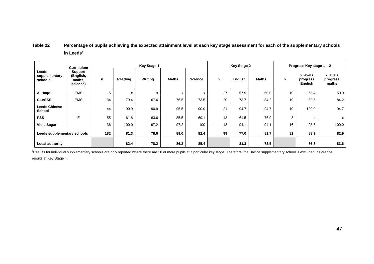# **Table 22 Percentage of pupils achieving the expected attainment level at each key stage assessment for each of the supplementary schools in Leeds1**

|                                       | <b>Curriculum</b>                                 | <b>Key Stage 1</b> |         |         |       |                |    | <b>Key Stage 2</b> |              |    | Progress Key stage $1 - 2$      |                               |  |
|---------------------------------------|---------------------------------------------------|--------------------|---------|---------|-------|----------------|----|--------------------|--------------|----|---------------------------------|-------------------------------|--|
| Leeds<br>supplementary<br>schools     | <b>Support</b><br>(English,<br>maths,<br>science) | n                  | Reading | Writing | Maths | <b>Science</b> | n  | English            | <b>Maths</b> | n  | 2 levels<br>progress<br>English | 2 levels<br>progress<br>maths |  |
| Al Haqq                               | <b>EMS</b>                                        | 5                  | X       | X       | x     | x              | 27 | 57.9               | 50.0         | 19 | 68.4                            | 50.0                          |  |
| <b>CLASSS</b>                         | <b>EMS</b>                                        | 34                 | 79.4    | 67.6    | 76.5  | 73.5           | 20 | 73.7               | 84.2         | 19 | 89.5                            | 84.2                          |  |
| <b>Leeds Chinese</b><br><b>School</b> |                                                   | 44                 | 90.9    | 90.9    | 95.5  | 90.9           | 21 | 94.7               | 94.7         | 19 | 100.0                           | 94.7                          |  |
| <b>PSS</b>                            | E.                                                | 55                 | 61.8    | 63.6    | 85.5  | 69.1           | 13 | 61.5               | 76.9         | 8  | x                               | x                             |  |
| Vidia Sagar                           |                                                   | 36                 | 100.0   | 97.2    | 97.2  | 100            | 18 | 94.1               | 94.1         | 16 | 93.8                            | 100.0                         |  |
| Leeds supplementary schools           |                                                   | 182                | 81.3    | 78.6    | 89.0  | 82.4           | 99 | 77.0               | 81.7         | 81 | 88.9                            | 82.9                          |  |
| Local authority                       |                                                   |                    | 82.4    | 78.2    | 86.2  | 85.4           |    | 81.3               | 78.5         |    | 86.8                            | 83.6                          |  |

1 Results for individual supplementary schools are only reported where there are 10 or more pupils at a particular key stage. Therefore, the Baltica supplementary school is excluded, as are the results at Key Stage 4.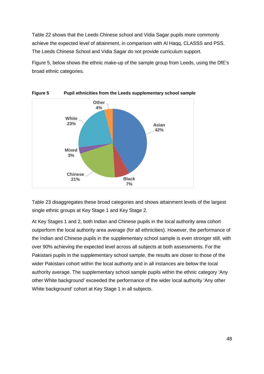Table 22 shows that the Leeds Chinese school and Vidia Sagar pupils more commonly achieve the expected level of attainment, in comparison with Al Haqq, CLASSS and PSS. The Leeds Chinese School and Vidia Sagar do not provide curriculum support.

Figure 5, below shows the ethnic make-up of the sample group from Leeds, using the DfE's broad ethnic categories.



**Figure 5 Pupil ethnicities from the Leeds supplementary school sample**

Table 23 disaggregates these broad categories and shows attainment levels of the largest single ethnic groups at Key Stage 1 and Key Stage 2.

At Key Stages 1 and 2, both Indian and Chinese pupils in the local authority area cohort outperform the local authority area average (for all ethnicities). However, the performance of the Indian and Chinese pupils in the supplementary school sample is even stronger still, with over 90% achieving the expected level across all subjects at both assessments. For the Pakistani pupils in the supplementary school sample, the results are closer to those of the wider Pakistani cohort within the local authority and in all instances are below the local authority average. The supplementary school sample pupils within the ethnic category 'Any other White background' exceeded the performance of the wider local authority 'Any other White background' cohort at Key Stage 1 in all subjects.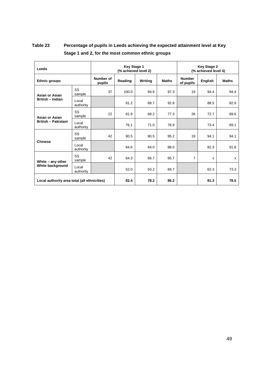# **Table 23 Percentage of pupils in Leeds achieving the expected attainment level at Key Stage 1 and 2, for the most common ethnic groups**

| Leeds                                        |                    | <b>Key Stage 1</b><br>(% achieved level 2) | <b>Key Stage 2</b><br>(% achieved level 4) |         |              |                            |         |              |
|----------------------------------------------|--------------------|--------------------------------------------|--------------------------------------------|---------|--------------|----------------------------|---------|--------------|
| <b>Ethnic groups</b>                         |                    | Number of<br>pupils                        | Reading                                    | Writing | <b>Maths</b> | <b>Number</b><br>of pupils | English | <b>Maths</b> |
| Asian or Asian                               | SS<br>sample       | 37                                         | 100.0                                      | 94.6    | 97.3         | 19                         | 94.4    | 94.4         |
| <b>British - Indian</b>                      | Local<br>authority |                                            | 91.2                                       | 88.7    | 92.8         |                            | 88.5    | 82.9         |
| Asian or Asian                               | SS<br>sample       | 22                                         | 81.8                                       | 68.2    | 77.3         | 26                         | 72.7    | 69.6         |
| <b>British - Pakistani</b>                   | Local<br>authority |                                            | 76.1                                       | 71.0    | 78.9         |                            | 73.4    | 69.1         |
|                                              | SS<br>sample       | 42                                         | 90.5                                       | 90.5    | 95.2         | 19                         | 94.1    | 94.1         |
| <b>Chinese</b>                               | Local<br>authority |                                            | 84.6                                       | 84.0    | 88.0         |                            | 82.3    | 91.8         |
| White - any other                            | SS<br>sample       | 42                                         | 64.3                                       | 66.7    | 85.7         | 7                          | x       | x            |
| White background                             | Local<br>authority |                                            | 52.0                                       | 50.2    | 68.7         |                            | 62.3    | 73.3         |
| Local authority area total (all ethnicities) |                    |                                            | 82.4                                       | 78.2    | 86.2         |                            | 81.3    | 78.5         |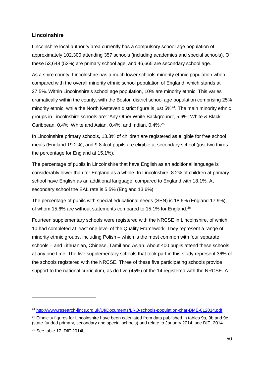# **Lincolnshire**

Lincolnshire local authority area currently has a compulsory school age population of approximately 102,300 attending 357 schools (including academies and special schools). Of these 53,648 (52%) are primary school age, and 46,665 are secondary school age.

As a shire county, Lincolnshire has a much lower schools minority ethnic population when compared with the overall minority ethnic school population of England, which stands at 27.5%. Within Lincolnshire's school age population, 10% are minority ethnic. This varies dramatically within the county, with the Boston district school age population comprising 25% minority ethnic, while the North Kesteven district figure is just 5%<sup>24</sup>. The main minority ethnic groups in Lincolnshire schools are: 'Any Other White Background', 5.6%; White & Black Caribbean, 0.4%; White and Asian, 0.4%; and Indian, 0.4%.<sup>[25](#page-49-1)</sup>

In Lincolnshire primary schools, 13.3% of children are registered as eligible for free school meals (England 19.2%), and 9.8% of pupils are eligible at secondary school (just two thirds the percentage for England at 15.1%).

The percentage of pupils in Lincolnshire that have English as an additional language is considerably lower than for England as a whole. In Lincolnshire, 8.2% of children at primary school have English as an additional language, compared to England with 18.1%. At secondary school the EAL rate is 5.5% (England 13.6%).

The percentage of pupils with special educational needs (SEN) is 18.6% (England 17.9%), of whom 15.6% are without statements compared to 15.1% for England.<sup>[26](#page-49-2)</sup>

Fourteen supplementary schools were registered with the NRCSE in Lincolnshire, of which 10 had completed at least one level of the Quality Framework. They represent a range of minority ethnic groups, including Polish – which is the most common with four separate schools – and Lithuanian, Chinese, Tamil and Asian. About 400 pupils attend these schools at any one time. The five supplementary schools that took part in this study represent 36% of the schools registered with the NRCSE. Three of these five participating schools provide support to the national curriculum, as do five (45%) of the 14 registered with the NRCSE. A

<span id="page-49-0"></span><sup>24</sup> <http://www.research-lincs.org.uk/UI/Documents/LRO-schools-population-char-BME-012014.pdf>

<span id="page-49-1"></span><sup>&</sup>lt;sup>25</sup> Ethnicity figures for Lincolnshire have been calculated from data published in tables 9a, 9b and 9c (state-funded primary, secondary and special schools) and relate to January 2014, see DfE, 2014.

<span id="page-49-2"></span><sup>26</sup> See table 17, DfE 2014b.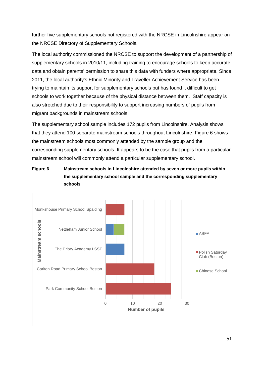further five supplementary schools not registered with the NRCSE in Lincolnshire appear on the NRCSE Directory of Supplementary Schools.

The local authority commissioned the NRCSE to support the development of a partnership of supplementary schools in 2010/11, including training to encourage schools to keep accurate data and obtain parents' permission to share this data with funders where appropriate. Since 2011, the local authority's Ethnic Minority and Traveller Achievement Service has been trying to maintain its support for supplementary schools but has found it difficult to get schools to work together because of the physical distance between them. Staff capacity is also stretched due to their responsibility to support increasing numbers of pupils from migrant backgrounds in mainstream schools.

The supplementary school sample includes 172 pupils from Lincolnshire. Analysis shows that they attend 100 separate mainstream schools throughout Lincolnshire. Figure 6 shows the mainstream schools most commonly attended by the sample group and the corresponding supplementary schools. It appears to be the case that pupils from a particular mainstream school will commonly attend a particular supplementary school.

# **Figure 6 Mainstream schools in Lincolnshire attended by seven or more pupils within the supplementary school sample and the corresponding supplementary schools**

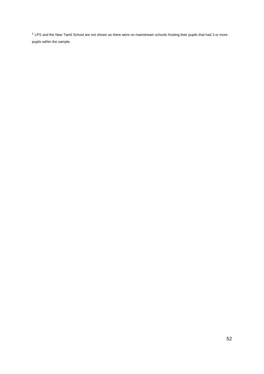<sup>1</sup> LPS and the New Tamil School are not shown as there were no mainstream schools hosting their pupils that had 3 or more pupils within the sample.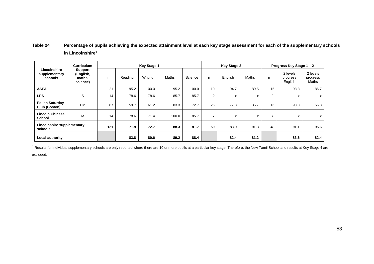# **Table 24 Percentage of pupils achieving the expected attainment level at each key stage assessment for each of the supplementary schools in Lincolnshire1**

|                                          | <b>Curriculum</b>                                 |     |         | <b>Key Stage 1</b> |              |         | <b>Key Stage 2</b> |         |              |    | Progress Key Stage 1 - 2        |                               |  |
|------------------------------------------|---------------------------------------------------|-----|---------|--------------------|--------------|---------|--------------------|---------|--------------|----|---------------------------------|-------------------------------|--|
| Lincolnshire<br>supplementary<br>schools | <b>Support</b><br>(English,<br>maths.<br>science) | n   | Reading | Writing            | <b>Maths</b> | Science | n                  | English | <b>Maths</b> | n  | 2 levels<br>progress<br>English | 2 levels<br>progress<br>Maths |  |
| <b>ASFA</b>                              |                                                   | 21  | 95.2    | 100.0              | 95.2         | 100.0   | 19                 | 94.7    | 89.5         | 15 | 93.3                            | 86.7                          |  |
| <b>LPS</b>                               | S                                                 | 14  | 78.6    | 78.6               | 85.7         | 85.7    | 2                  | x       | X            | 2  | x                               | х                             |  |
| <b>Polish Saturday</b><br>Club (Boston)  | <b>EM</b>                                         | 67  | 59.7    | 61.2               | 83.3         | 72.7    | 25                 | 77.3    | 85.7         | 16 | 93.8                            | 56.3                          |  |
| <b>Lincoln Chinese</b><br><b>School</b>  | M                                                 | 14  | 78.6    | 71.4               | 100.0        | 85.7    | 7                  | x       | х            |    | x                               | х                             |  |
| Lincolnshire supplementary<br>schools    |                                                   | 121 | 71.9    | 72.7               | 88.3         | 81.7    | 59                 | 83.9    | 91.3         | 40 | 91.1                            | 95.6                          |  |
| Local authority                          |                                                   |     | 83.8    | 80.6               | 89.2         | 88.4    |                    | 82.4    | 81.2         |    | 83.6                            | 82.4                          |  |

 $1$  Results for individual supplementary schools are only reported where there are 10 or more pupils at a particular key stage. Therefore, the New Tamil School and results at Key Stage 4 are

excluded.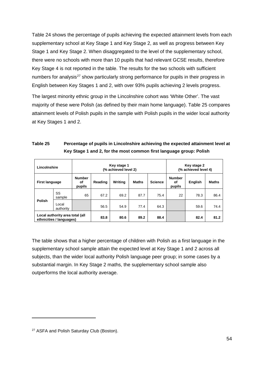Table 24 shows the percentage of pupils achieving the expected attainment levels from each supplementary school at Key Stage 1 and Key Stage 2, as well as progress between Key Stage 1 and Key Stage 2. When disaggregated to the level of the supplementary school, there were no schools with more than 10 pupils that had relevant GCSE results, therefore Key Stage 4 is not reported in the table. The results for the two schools with sufficient numbers for analysis<sup>[27](#page-53-0)</sup> show particularly strong performance for pupils in their progress in English between Key Stages 1 and 2, with over 93% pupils achieving 2 levels progress.

The largest minority ethnic group in the Lincolnshire cohort was 'White Other'. The vast majority of these were Polish (as defined by their main home language). Table 25 compares attainment levels of Polish pupils in the sample with Polish pupils in the wider local authority at Key Stages 1 and 2.

| Table 25 | Percentage of pupils in Lincolnshire achieving the expected attainment level at |
|----------|---------------------------------------------------------------------------------|
|          | Key Stage 1 and 2, for the most common first language group: Polish             |

| Lincolnshire                                                |                    |                               |         | Key stage 1<br>(% achieved level 2) |       | Key stage 2<br>(% achieved level 4) |                               |         |              |
|-------------------------------------------------------------|--------------------|-------------------------------|---------|-------------------------------------|-------|-------------------------------------|-------------------------------|---------|--------------|
| <b>First language</b>                                       |                    | <b>Number</b><br>οf<br>pupils | Reading | Writing                             | Maths | <b>Science</b>                      | <b>Number</b><br>οf<br>pupils | English | <b>Maths</b> |
| Polish                                                      | SS<br>sample       | 65                            | 67.2    | 69.2                                | 87.7  | 75.4                                | 22                            | 78.3    | 86.4         |
|                                                             | Local<br>authority |                               | 56.5    | 54.9                                | 77.4  | 64.3                                |                               | 59.6    | 74.4         |
| Local authority area total (all<br>ethnicities / languages) |                    | 83.8                          | 80.6    | 89.2                                | 88.4  |                                     | 82.4                          | 81.2    |              |

The table shows that a higher percentage of children with Polish as a first language in the supplementary school sample attain the expected level at Key Stage 1 and 2 across all subjects, than the wider local authority Polish language peer group; in some cases by a substantial margin. In Key Stage 2 maths, the supplementary school sample also outperforms the local authority average.

<span id="page-53-0"></span><sup>&</sup>lt;sup>27</sup> ASFA and Polish Saturday Club (Boston).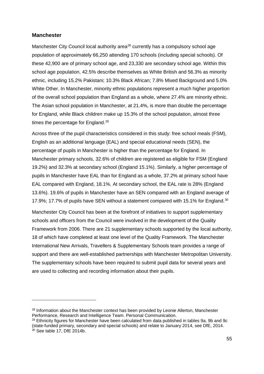#### **Manchester**

-

Manchester City Council local authority area<sup>[28](#page-54-0)</sup> currently has a compulsory school age population of approximately 66,250 attending 170 schools (including special schools). Of these 42,900 are of primary school age, and 23,330 are secondary school age. Within this school age population, 42.5% describe themselves as White British and 56.3% as minority ethnic, including 15.2% Pakistani; 10.3% Black African; 7.8% Mixed Background and 5.0% White Other. In Manchester, minority ethnic populations represent a much higher proportion of the overall school population than England as a whole, where 27.4% are minority ethnic. The Asian school population in Manchester, at 21.4%, is more than double the percentage for England, while Black children make up 15.3% of the school population, almost three times the percentage for England.<sup>[29](#page-54-1)</sup>

Across three of the pupil characteristics considered in this study: free school meals (FSM), English as an additional language (EAL) and special educational needs (SEN), the percentage of pupils in Manchester is higher than the percentage for England. In Manchester primary schools, 32.6% of children are registered as eligible for FSM (England 19.2%) and 32.3% at secondary school (England 15.1%). Similarly, a higher percentage of pupils in Manchester have EAL than for England as a whole, 37.2% at primary school have EAL compared with England, 18.1%. At secondary school, the EAL rate is 28% (England 13.6%). 19.6% of pupils in Manchester have an SEN compared with an England average of 17.9%; 17.7% of pupils have SEN without a statement compared with 15.1% for England.<sup>[30](#page-54-2)</sup>

Manchester City Council has been at the forefront of initiatives to support supplementary schools and officers from the Council were involved in the development of the Quality Framework from 2006. There are 21 supplementary schools supported by the local authority, 18 of which have completed at least one level of the Quality Framework. The Manchester International New Arrivals, Travellers & Supplementary Schools team provides a range of support and there are well-established partnerships with Manchester Metropolitan University. The supplementary schools have been required to submit pupil data for several years and are used to collecting and recording information about their pupils.

<span id="page-54-0"></span><sup>&</sup>lt;sup>28</sup> Information about the Manchester context has been provided by Leonie Allerton, Manchester Performance, Research and Intelligence Team. Personal Communication.

<span id="page-54-2"></span><span id="page-54-1"></span><sup>&</sup>lt;sup>29</sup> Ethnicity figures for Manchester have been calculated from data published in tables 9a, 9b and 9c (state-funded primary, secondary and special schools) and relate to January 2014, see DfE, 2014. <sup>30</sup> See table 17, DfE 2014b.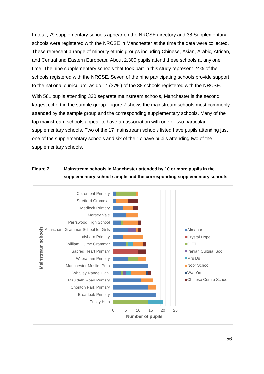In total, 79 supplementary schools appear on the NRCSE directory and 38 Supplementary schools were registered with the NRCSE in Manchester at the time the data were collected. These represent a range of minority ethnic groups including Chinese, Asian, Arabic, African, and Central and Eastern European. About 2,300 pupils attend these schools at any one time. The nine supplementary schools that took part in this study represent 24% of the schools registered with the NRCSE. Seven of the nine participating schools provide support to the national curriculum, as do 14 (37%) of the 38 schools registered with the NRCSE.

With 581 pupils attending 330 separate mainstream schools, Manchester is the second largest cohort in the sample group. Figure 7 shows the mainstream schools most commonly attended by the sample group and the corresponding supplementary schools. Many of the top mainstream schools appear to have an association with one or two particular supplementary schools. Two of the 17 mainstream schools listed have pupils attending just one of the supplementary schools and six of the 17 have pupils attending two of the supplementary schools.

### **Figure 7 Mainstream schools in Manchester attended by 10 or more pupils in the supplementary school sample and the corresponding supplementary schools**

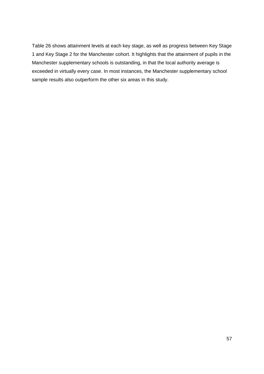Table 26 shows attainment levels at each key stage, as well as progress between Key Stage 1 and Key Stage 2 for the Manchester cohort. It highlights that the attainment of pupils in the Manchester supplementary schools is outstanding, in that the local authority average is exceeded in virtually every case. In most instances, the Manchester supplementary school sample results also outperform the other six areas in this study.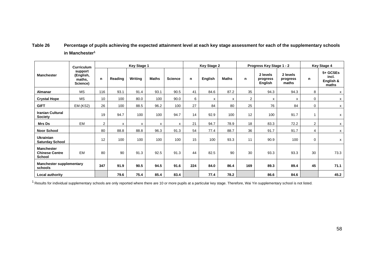# **Table 26 Percentage of pupils achieving the expected attainment level at each key stage assessment for each of the supplementary schools in Manchester1**

|                                                      | <b>Curriculum</b>                          |     |         | <b>Key Stage 1</b> |              |                |     | <b>Key Stage 2</b> |              |     | Progress Key Stage 1 - 2        |                               | <b>Key Stage 4</b> |                                         |  |
|------------------------------------------------------|--------------------------------------------|-----|---------|--------------------|--------------|----------------|-----|--------------------|--------------|-----|---------------------------------|-------------------------------|--------------------|-----------------------------------------|--|
| <b>Manchester</b>                                    | support<br>(English,<br>maths,<br>Science) | n   | Reading | Writing            | <b>Maths</b> | <b>Science</b> | n   | English            | <b>Maths</b> | n   | 2 levels<br>progress<br>English | 2 levels<br>progress<br>maths | n                  | 5+ GCSEs<br>incl.<br>English &<br>maths |  |
| <b>Almanar</b>                                       | <b>MS</b>                                  | 116 | 93.1    | 91.4               | 93.1         | 90.5           | 41  | 84.6               | 87.2         | 35  | 94.3                            | 94.3                          | 8                  | x                                       |  |
| <b>Crystal Hope</b>                                  | <b>MS</b>                                  | 10  | 100     | 80.0               | 100          | 90.0           | 6   | x                  | X            | 2   | x                               | X                             | $\mathbf 0$        | x                                       |  |
| <b>GIFT</b>                                          | EM (KS2)                                   | 26  | 100     | 88.5               | 96.2         | 100            | 27  | 84                 | 80           | 25  | 76                              | 84                            | $\mathbf 0$        | x                                       |  |
| <b>Iranian Cultural</b><br><b>Society</b>            |                                            | 19  | 94.7    | 100                | 100          | 94.7           | 14  | 92.9               | 100          | 12  | 100                             | 91.7                          |                    | x                                       |  |
| <b>Mrs Ds</b>                                        | <b>EM</b>                                  | 2   | x       | x                  | x            | $\mathsf{x}$   | 21  | 94.7               | 78.9         | 18  | 83.3                            | 72.2                          | $\overline{2}$     | x                                       |  |
| <b>Noor School</b>                                   |                                            | 80  | 88.8    | 88.8               | 96.3         | 91.3           | 54  | 77.4               | 88.7         | 36  | 91.7                            | 91.7                          | 4                  | X                                       |  |
| <b>Ukrainian</b><br><b>Saturday School</b>           |                                            | 12  | 100     | 100                | 100          | 100            | 15  | 100                | 93.3         | 11  | 90.9                            | 100                           | $\mathbf 0$        | x                                       |  |
| <b>Manchester</b><br><b>Chinese Centre</b><br>School | <b>EM</b>                                  | 80  | 90      | 91.3               | 92.5         | 91.3           | 44  | 82.5               | 90           | 30  | 93.3                            | 93.3                          | 30                 | 73.3                                    |  |
| <b>Manchester supplementary</b><br>schools           |                                            | 347 | 91.9    | 90.5               | 94.5         | 91.6           | 224 | 84.0               | 86.4         | 169 | 89.3                            | 89.4                          | 45                 | 71.1                                    |  |
| Local authority                                      |                                            |     | 79.6    | 75.4               | 85.4         | 83.4           |     | 77.4               | 78.2         |     | 86.6                            | 84.6                          |                    | 45.2                                    |  |

<sup>1</sup> Results for individual supplementary schools are only reported where there are 10 or more pupils at a particular key stage. Therefore, Wai Yin supplementary school is not listed.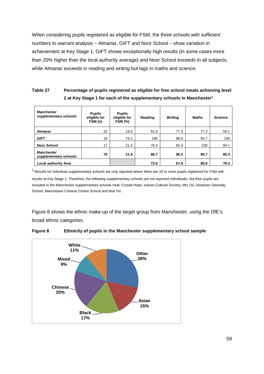When considering pupils registered as eligible for FSM, the three schools with sufficient numbers to warrant analysis – Almanar, GIFT and Noor School – show variation in achievement at Key Stage 1. GIFT shows exceptionally high results (in some cases more than 20% higher than the local authority average) and Noor School exceeds in all subjects, while Almanar exceeds in reading and writing but lags in maths and science.

# **Table 27 Percentage of pupils registered as eligible for free school meals achieving level 2 at Key Stage 1 for each of the supplementary schools in Manchester1**

| <b>Manchester</b><br>supplementary schools | <b>Pupils</b><br>eligible for<br>FSM (n) | <b>Pupils</b><br>eligible for<br><b>FSM (%)</b> | Reading | Writing | <b>Maths</b> | <b>Science</b> |
|--------------------------------------------|------------------------------------------|-------------------------------------------------|---------|---------|--------------|----------------|
| Almanar                                    | 22                                       | 19.0                                            | 81.8    | 77.3    | 77.3         | 59.1           |
| <b>GIFT</b>                                | 19                                       | 73.1                                            | 100     | 89.5    | 94.7         | 100            |
| <b>Noor School</b>                         | 17                                       | 21.3                                            | 76.5    | 82.4    | 100          | 94.1           |
| <b>Manchester</b><br>supplementary schools | 75                                       | 21.6                                            | 86.7    | 85.3    | 90.7         | 85.3           |
| <b>Local authority Area</b>                |                                          |                                                 | 72.6    | 67.8    | 80.6         | 78.4           |

 $1$  Results for individual supplementary schools are only reported where there are 10 or more pupils registered for FSM with results at Key Stage 1. Therefore, the following supplementary schools are not reported individually, but their pupils are included in the Manchester supplementary schools total: Crystal Hope; Iranian Cultural Society; Mrs Ds; Ukrainian Saturday School; Manchester Chinese Centre School and Wai Yin.

Figure 8 shows the ethnic make-up of the target group from Manchester, using the DfE's broad ethnic categories.



**Figure 8 Ethnicity of pupils in the Manchester supplementary school sample**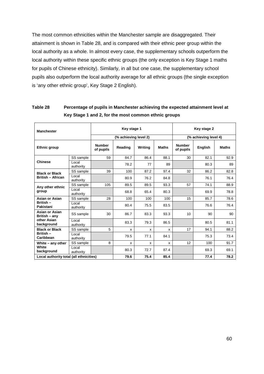The most common ethnicities within the Manchester sample are disaggregated. Their attainment is shown in Table 28, and is compared with their ethnic peer group within the local authority as a whole. In almost every case, the supplementary schools outperform the local authority within these specific ethnic groups (the only exception is Key Stage 1 maths for pupils of Chinese ethnicity). Similarly, in all but one case, the supplementary school pupils also outperform the local authority average for all ethnic groups (the single exception is 'any other ethnic group', Key Stage 2 English).

| <b>Manchester</b>                 |                                         | Key stage 1                |                       | Key stage 2 |              |                            |                |              |
|-----------------------------------|-----------------------------------------|----------------------------|-----------------------|-------------|--------------|----------------------------|----------------|--------------|
|                                   |                                         |                            | (% achieving level 2) |             |              | (% achieving level 4)      |                |              |
| <b>Ethnic group</b>               |                                         | <b>Number</b><br>of pupils | Reading               | Writina     | <b>Maths</b> | <b>Number</b><br>of pupils | <b>English</b> | <b>Maths</b> |
|                                   | SS sample                               | 59                         | 84.7                  | 86.4        | 88.1         | 30                         | 82.1           | 92.9         |
| <b>Chinese</b>                    | Local<br>authority                      |                            | 78.2                  | 77          | 89           |                            | 80.3           | 89           |
| <b>Black or Black</b>             | SS sample                               | 39                         | 100                   | 87.2        | 97.4         | 32                         | 86.2           | 82.8         |
| <b>British - African</b>          | Local<br>authority                      |                            | 80.9                  | 76.2        | 84.8         |                            | 76.1           | 76.4         |
| Any other ethnic                  | SS sample                               | 105                        | 89.5                  | 89.5        | 93.3         | 57                         | 74.1           | 88.9         |
| group                             | Local<br>authority                      |                            | 68.8                  | 65.4        | 80.3         |                            | 69.9           | 78.8         |
| Asian or Asian                    | SS sample                               | 28                         | 100                   | 100         | 100          | 15                         | 85.7           | 78.6         |
| British-<br>Pakistani             | Local<br>authority                      |                            | 80.4                  | 75.5        | 83.5         |                            | 76.6           | 76.4         |
| Asian or Asian<br>British $-$ any | SS sample                               | 30                         | 86.7                  | 83.3        | 93.3         | 10                         | 90             | 90           |
| other Asian<br>background         | Local<br>authority                      |                            | 83.3                  | 79.3        | 86.5         |                            | 80.5           | 81.1         |
| <b>Black or Black</b>             | SS sample                               | 5                          | x                     | x           | X            | 17                         | 94.1           | 88.2         |
| British-<br>Caribbean             | Local<br>authority                      |                            | 79.5                  | 77.1        | 84.1         |                            | 75.3           | 73.4         |
| White - any other                 | SS sample                               | 8                          | X                     | X           | X            | 12                         | 100            | 91.7         |
| <b>White</b><br>background        | Local<br>authority                      |                            | 80.3                  | 72.7        | 87.4         |                            | 69.3           | 69.1         |
|                                   | Local authority total (all ethnicities) |                            |                       | 75.4        | 85.4         |                            | 77.4           | 78.2         |

# **Table 28 Percentage of pupils in Manchester achieving the expected attainment level at Key Stage 1 and 2, for the most common ethnic groups**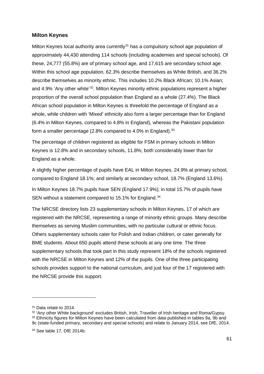#### **Milton Keynes**

Milton Keynes local authority area currently<sup>[31](#page-60-0)</sup> has a compulsory school age population of approximately 44,430 attending 114 schools (including academies and special schools). Of these, 24,777 (55.8%) are of primary school age, and 17,615 are secondary school age. Within this school age population, 62.3% describe themselves as White British, and 36.2% describe themselves as minority ethnic. This includes 10.2% Black African; 10.1% Asian; and 4.9% 'Any other white' [32](#page-60-1). Milton Keynes minority ethnic populations represent a higher proportion of the overall school population than England as a whole (27.4%). The Black African school population in Milton Keynes is threefold the percentage of England as a whole, while children with 'Mixed' ethnicity also form a larger percentage than for England (6.4% in Milton Keynes, compared to 4.8% in England), whereas the Pakistani population form a smaller percentage  $(2.8\%$  compared to 4.0% in England).  $33$ 

The percentage of children registered as eligible for FSM in primary schools in Milton Keynes is 12.8% and in secondary schools, 11.8%; both considerably lower than for England as a whole.

A slightly higher percentage of pupils have EAL in Milton Keynes, 24.9% at primary school, compared to England 18.1%; and similarly at secondary school, 18.7% (England 13.6%).

In Milton Keynes 18.7% pupils have SEN (England 17.9%); in total 15.7% of pupils have SEN without a statement compared to 15.1% for England.<sup>[34](#page-60-3)</sup>

The NRCSE directory lists 23 supplementary schools in Milton Keynes, 17 of which are registered with the NRCSE, representing a range of minority ethnic groups. Many describe themselves as serving Muslim communities, with no particular cultural or ethnic focus. Others supplementary schools cater for Polish and Indian children, or cater generally for BME students. About 650 pupils attend these schools at any one time. The three supplementary schools that took part in this study represent 18% of the schools registered with the NRCSE in Milton Keynes and 12% of the pupils. One of the three participating schools provides support to the national curriculum, and just four of the 17 registered with the NRCSE provide this support.

<span id="page-60-0"></span><sup>&</sup>lt;sup>31</sup> Data relate to 2014.

<span id="page-60-2"></span><span id="page-60-1"></span><sup>32</sup> 'Any other White background' excludes British, Irish, Traveller of Irish heritage and Roma/Gypsy. 33 Ethnicity figures for Milton Keynes have been calculated from data published in tables 9a, 9b and 9c (state-funded primary, secondary and special schools) and relate to January 2014, see DfE, 2014.

<span id="page-60-3"></span><sup>34</sup> See table 17, DfE 2014b.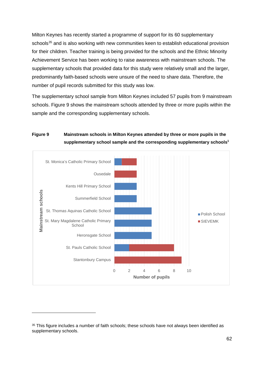Milton Keynes has recently started a programme of support for its 60 supplementary schools<sup>[35](#page-61-0)</sup> and is also working with new communities keen to establish educational provision for their children. Teacher training is being provided for the schools and the Ethnic Minority Achievement Service has been working to raise awareness with mainstream schools. The supplementary schools that provided data for this study were relatively small and the larger, predominantly faith-based schools were unsure of the need to share data. Therefore, the number of pupil records submitted for this study was low.

The supplementary school sample from Milton Keynes included 57 pupils from 9 mainstream schools. Figure 9 shows the mainstream schools attended by three or more pupils within the sample and the corresponding supplementary schools.

# **Figure 9 Mainstream schools in Milton Keynes attended by three or more pupils in the**  supplementary school sample and the corresponding supplementary schools<sup>1</sup>



<span id="page-61-0"></span><sup>&</sup>lt;sup>35</sup> This figure includes a number of faith schools; these schools have not always been identified as supplementary schools.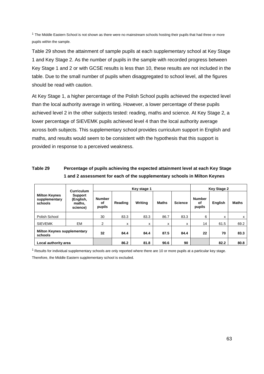$1$  The Middle Eastern School is not shown as there were no mainstream schools hosting their pupils that had three or more pupils within the sample.

Table 29 shows the attainment of sample pupils at each supplementary school at Key Stage 1 and Key Stage 2. As the number of pupils in the sample with recorded progress between Key Stage 1 and 2 or with GCSE results is less than 10, these results are not included in the table. Due to the small number of pupils when disaggregated to school level, all the figures should be read with caution.

At Key Stage 1, a higher percentage of the Polish School pupils achieved the expected level than the local authority average in writing. However, a lower percentage of these pupils achieved level 2 in the other subjects tested: reading, maths and science. At Key Stage 2, a lower percentage of SIEVEMK pupils achieved level 4 than the local authority average across both subjects. This supplementary school provides curriculum support in English and maths, and results would seem to be consistent with the hypothesis that this support is provided in response to a perceived weakness.

# **Table 29 Percentage of pupils achieving the expected attainment level at each Key Stage 1 and 2 assessment for each of the supplementary schools in Milton Keynes**

| Curriculum                                       |                                                   |                               |         | Key stage 1 | <b>Key Stage 2</b> |                |                               |                |              |
|--------------------------------------------------|---------------------------------------------------|-------------------------------|---------|-------------|--------------------|----------------|-------------------------------|----------------|--------------|
| <b>Milton Keynes</b><br>supplementary<br>schools | <b>Support</b><br>(English,<br>maths,<br>science) | <b>Number</b><br>οf<br>pupils | Reading | Writing     | <b>Maths</b>       | <b>Science</b> | <b>Number</b><br>of<br>pupils | <b>English</b> | <b>Maths</b> |
| Polish School                                    |                                                   | 30                            | 83.3    | 83.3        | 86.7               | 83.3           | 6                             | x              | X            |
| <b>SIEVEMK</b>                                   | EM                                                | $\overline{2}$                | x       | x           | x                  | x              | 14                            | 61.5           | 69.2         |
| <b>Milton Keynes supplementary</b><br>schools    |                                                   | 32                            | 84.4    | 84.4        | 87.5               | 84.4           | 22                            | 70             | 83.3         |
| Local authority area                             |                                                   |                               | 86.2    | 81.8        | 90.6               | 90             |                               | 82.2           | 80.8         |

 $1$  Results for individual supplementary schools are only reported where there are 10 or more pupils at a particular key stage.

Therefore, the Middle Eastern supplementary school is excluded.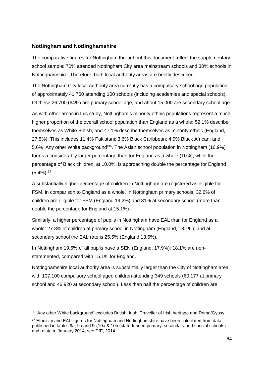## **Nottingham and Nottinghamshire**

-

The comparative figures for Nottingham throughout this document reflect the supplementary school sample: 70% attended Nottingham City area mainstream schools and 30% schools in Nottinghamshire. Therefore, both local authority areas are briefly described.

The Nottingham City local authority area currently has a compulsory school age population of approximately 41,760 attending 100 schools (including academies and special schools). Of these 26,700 (64%) are primary school age, and about 15,000 are secondary school age.

As with other areas in this study, Nottingham's minority ethnic populations represent a much higher proportion of the overall school population than England as a whole: 52.1% describe themselves as White British, and 47.1% describe themselves as minority ethnic (England, 27.5%). This includes 11.4% Pakistani; 3.6% Black Caribbean; 4.9% Black African; and 5.6% 'Any other White background'[36](#page-63-0). The Asian school population in Nottingham (16.9%) forms a considerably larger percentage than for England as a whole (10%), while the percentage of Black children, at 10.0%, is approaching double the percentage for England  $(5.4\%)$ .  $37$ 

A substantially higher percentage of children in Nottingham are registered as eligible for FSM, in comparison to England as a whole. In Nottingham primary schools, 32.6% of children are eligible for FSM (England 19.2%) and 31% at secondary school (more than double the percentage for England at 15.1%).

Similarly, a higher percentage of pupils in Nottingham have EAL than for England as a whole: 27.8% of children at primary school in Nottingham (England, 18.1%); and at secondary school the EAL rate is 25.5% (England 13.6%).

In Nottingham 19.6% of all pupils have a SEN (England, 17.9%); 18.1% are nonstatemented, compared with 15.1% for England.

Nottinghamshire local authority area is substantially larger than the City of Nottingham area with 107,100 compulsory school aged children attending 349 schools (60,177 at primary school and 46,920 at secondary school). Less than half the percentage of children are

<span id="page-63-0"></span><sup>36 &#</sup>x27;Any other White background' excludes British, Irish, Traveller of Irish heritage and Roma/Gypsy.

<span id="page-63-1"></span><sup>&</sup>lt;sup>37</sup> Ethnicity and EAL figures for Nottingham and Nottinghamshire have been calculated from data published in tables 9a, 9b and 9c,10a & 10b (state-funded primary, secondary and special schools) and relate to January 2014; see DfE, 2014.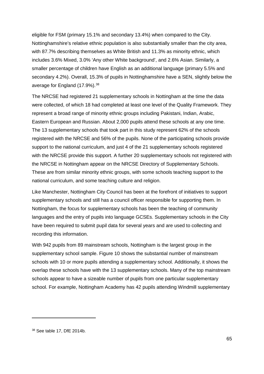eligible for FSM (primary 15.1% and secondary 13.4%) when compared to the City. Nottinghamshire's relative ethnic population is also substantially smaller than the city area, with 87.7% describing themselves as White British and 11.3% as minority ethnic, which includes 3.6% Mixed, 3.0% 'Any other White background', and 2.6% Asian. Similarly, a smaller percentage of children have English as an additional language (primary 5.5% and secondary 4.2%). Overall, 15.3% of pupils in Nottinghamshire have a SEN, slightly below the average for England (17.9%).<sup>[38](#page-64-0)</sup>

The NRCSE had registered 21 supplementary schools in Nottingham at the time the data were collected, of which 18 had completed at least one level of the Quality Framework. They represent a broad range of minority ethnic groups including Pakistani, Indian, Arabic, Eastern European and Russian. About 2,000 pupils attend these schools at any one time. The 13 supplementary schools that took part in this study represent 62% of the schools registered with the NRCSE and 56% of the pupils. None of the participating schools provide support to the national curriculum, and just 4 of the 21 supplementary schools registered with the NRCSE provide this support. A further 20 supplementary schools not registered with the NRCSE in Nottingham appear on the NRCSE Directory of Supplementary Schools. These are from similar minority ethnic groups, with some schools teaching support to the national curriculum, and some teaching culture and religion.

Like Manchester, Nottingham City Council has been at the forefront of initiatives to support supplementary schools and still has a council officer responsible for supporting them. In Nottingham, the focus for supplementary schools has been the teaching of community languages and the entry of pupils into language GCSEs. Supplementary schools in the City have been required to submit pupil data for several years and are used to collecting and recording this information.

With 942 pupils from 89 mainstream schools, Nottingham is the largest group in the supplementary school sample. Figure 10 shows the substantial number of mainstream schools with 10 or more pupils attending a supplementary school. Additionally, it shows the overlap these schools have with the 13 supplementary schools. Many of the top mainstream schools appear to have a sizeable number of pupils from one particular supplementary school. For example, Nottingham Academy has 42 pupils attending Windmill supplementary

<span id="page-64-0"></span><sup>38</sup> See table 17, DfE 2014b.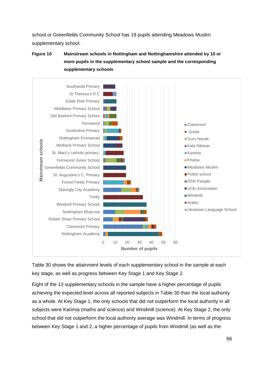school or Greenfields Community School has 19 pupils attending Meadows Muslim supplementary school.

**Figure 10 Mainstream schools in Nottingham and Nottinghamshire attended by 10 or more pupils in the supplementary school sample and the corresponding supplementary schools**



Table 30 shows the attainment levels of each supplementary school in the sample at each key stage, as well as progress between Key Stage 1 and Key Stage 2.

Eight of the 13 supplementary schools in the sample have a higher percentage of pupils achieving the expected level across all reported subjects in Table 30 than the local authority as a whole. At Key Stage 1, the only schools that did not outperform the local authority in all subjects were Karimia (maths and science) and Windmill (science). At Key Stage 2, the only school that did not outperform the local authority average was Windmill. In terms of progress between Key Stage 1 and 2, a higher percentage of pupils from Windmill (as well as the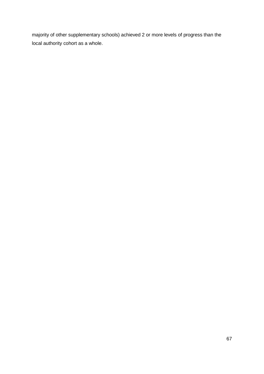majority of other supplementary schools) achieved 2 or more levels of progress than the local authority cohort as a whole.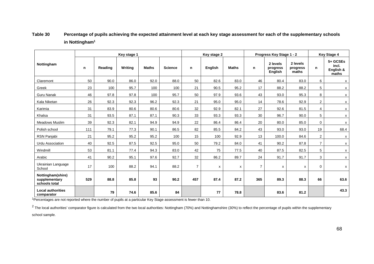# **Table 30 Percentage of pupils achieving the expected attainment level at each key stage assessment for each of the supplementary schools in Nottingham1**

|                                                     | Key stage 1 |         |         |              |                | Key stage 2    |         |              |                | Progress Key Stage 1 - 2               | <b>Key Stage 4</b>            |                |                                         |
|-----------------------------------------------------|-------------|---------|---------|--------------|----------------|----------------|---------|--------------|----------------|----------------------------------------|-------------------------------|----------------|-----------------------------------------|
| Nottingham                                          | n           | Reading | Writing | <b>Maths</b> | <b>Science</b> | n              | English | <b>Maths</b> | n              | 2 levels<br>progress<br><b>English</b> | 2 levels<br>progress<br>maths | n              | 5+ GCSEs<br>incl.<br>English &<br>maths |
| Claremont                                           | 50          | 90.0    | 86.0    | 92.0         | 88.0           | 50             | 82.6    | 83.0         | 46             | 80.4                                   | 83.0                          | 6              | x                                       |
| Greek                                               | 23          | 100     | 95.7    | 100          | 100            | 21             | 90.5    | 95.2         | 17             | 88.2                                   | 88.2                          | 5              | X                                       |
| <b>Guru Nanak</b>                                   | 46          | 97.8    | 97.8    | 100          | 95.7           | 50             | 97.9    | 93.6         | 43             | 93.0                                   | 95.3                          | 8              | X                                       |
| Kala Niketan                                        | 26          | 92.3    | 92.3    | 96.2         | 92.3           | 21             | 95.0    | 95.0         | 14             | 78.6                                   | 92.9                          | $\overline{2}$ | X                                       |
| Karimia                                             | 31          | 83.9    | 80.6    | 80.6         | 80.6           | 32             | 92.9    | 82.1         | 27             | 92.6                                   | 81.5                          | 4              | X                                       |
| Khalsa                                              | 31          | 93.5    | 87.1    | 87.1         | 90.3           | 33             | 93.3    | 93.3         | 30             | 96.7                                   | 90.0                          | 5              | X                                       |
| <b>Meadows Muslim</b>                               | 39          | 92.3    | 82.1    | 94.9         | 94.9           | 22             | 86.4    | 86.4         | 20             | 80.0                                   | 85.0                          | $\mathbf 0$    | X                                       |
| Polish school                                       | 111         | 79.1    | 77.3    | 90.1         | 86.5           | 82             | 85.5    | 84.2         | 43             | 93.0                                   | 93.0                          | 19             | 68.4                                    |
| RSN Panjabi                                         | 21          | 95.2    | 95.2    | 95.2         | 100            | 15             | 100     | 92.9         | 13             | 100.0                                  | 84.6                          | $\overline{2}$ | X                                       |
| <b>Urdu Association</b>                             | 40          | 92.5    | 87.5    | 92.5         | 95.0           | 50             | 79.2    | 84.0         | 41             | 90.2                                   | 87.8                          | $\overline{7}$ | X                                       |
| Windmill                                            | 53          | 81.1    | 77.4    | 94.3         | 83.0           | 42             | 75      | 77.5         | 40             | 87.5                                   | 82.5                          | 5              | X                                       |
| Arabic                                              | 41          | 90.2    | 95.1    | 97.6         | 92.7           | 32             | 86.2    | 89.7         | 24             | 91.7                                   | 91.7                          | 3              | X                                       |
| Ukrainian Language<br>School                        | 17          | 100     | 88.2    | 94.1         | 88.2           | $\overline{7}$ | x       | x            | $\overline{7}$ | x                                      | X                             | 0              | X                                       |
| Nottingham(shire)<br>supplementary<br>schools total | 529         | 88.8    | 85.8    | 93           | 90.2           | 457            | 87.4    | 87.2         | 365            | 89.3                                   | 88.3                          | 66             | 63.6                                    |
| <b>Local authorities</b><br>comparator              |             | 79      | 74.6    | 85.6         | 84             |                | 77      | 78.8         |                | 83.6                                   | 81.2                          |                | 43.3                                    |

<sup>1</sup>Percentages are not reported where the number of pupils at a particular Key Stage assessment is fewer than 10.

 $2$  The local authorities' comparator figure is calculated from the two local authorities: Nottingham (70%) and Nottinghamshire (30%) to reflect the percentage of pupils within the supplementary

school sample.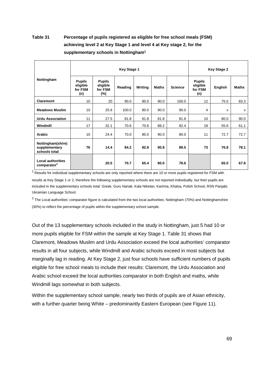# **Table 31 Percentage of pupils registered as eligible for free school meals (FSM) achieving level 2 at Key Stage 1 and level 4 at Key stage 2, for the supplementary schools in Nottingham1**

|                                                     |                                             |                                                | <b>Key Stage 1</b> |         |              |                |                                             | <b>Key Stage 2</b> |              |
|-----------------------------------------------------|---------------------------------------------|------------------------------------------------|--------------------|---------|--------------|----------------|---------------------------------------------|--------------------|--------------|
| Nottingham                                          | <b>Pupils</b><br>eligible<br>for FSM<br>(n) | <b>Pupils</b><br>eligible<br>for FSM<br>$(\%)$ | Reading            | Writing | <b>Maths</b> | <b>Science</b> | <b>Pupils</b><br>eligible<br>for FSM<br>(n) | <b>English</b>     | <b>Maths</b> |
| <b>Claremont</b>                                    | 10                                          | 20                                             | 90.0               | 90.0    | 90.0         | 100.0          | 12                                          | 75.0               | 83.3         |
| <b>Meadows Muslim</b>                               | 10                                          | 25.6                                           | 100.0              | 80.0    | 90.0         | 90.0           | 4                                           | x                  | $\mathsf{x}$ |
| <b>Urdu Association</b>                             | 11                                          | 27.5                                           | 81.8               | 81.8    | 81.8         | 81.8           | 10                                          | 80.0               | 90.0         |
| Windmill                                            | 17                                          | 32.1                                           | 70.6               | 70.6    | 88.2         | 82.4           | 18                                          | 55.6               | 61.1         |
| <b>Arabic</b>                                       | 10                                          | 24.4                                           | 70.0               | 80.0    | 90.0         | 80.0           | 11                                          | 72.7               | 72.7         |
| Nottingham(shire)<br>supplementary<br>schools total | 76                                          | 14.4                                           | 84.2               | 82.9    | 90.8         | 89.5           | 73                                          | 76.8               | 78.1         |
| <b>Local authorities</b><br>comparator <sup>2</sup> |                                             | 20.5                                           | 70.7               | 65.4    | 80.0         | 78.6           |                                             | 65.0               | 67.8         |

 $1$  Results for individual supplementary schools are only reported where there are 10 or more pupils registered for FSM with results at Key Stage 1 or 2, therefore the following supplementary schools are not reported individually, but their pupils are included in the supplementary schools total: Greek, Guru Nanak, Kala Niketan, Karimia, Khalsa, Polish School, RSN Panjabi, Ukrainian Language School.

 $2$  The Local authorities' comparator figure is calculated from the two local authorities: Nottingham (70%) and Nottinghamshire (30%) to reflect the percentage of pupils within the supplementary school sample.

Out of the 13 supplementary schools included in the study in Nottingham, just 5 had 10 or more pupils eligible for FSM within the sample at Key Stage 1. Table 31 shows that Claremont, Meadows Muslim and Urdu Association exceed the local authorities' comparator results in all four subjects, while Windmill and Arabic schools exceed in most subjects but marginally lag in reading. At Key Stage 2, just four schools have sufficient numbers of pupils eligible for free school meals to include their results: Claremont, the Urdu Association and Arabic school exceed the local authorities comparator in both English and maths, while Windmill lags somewhat in both subjects.

Within the supplementary school sample, nearly two thirds of pupils are of Asian ethnicity, with a further quarter being White – predominantly Eastern European (see Figure 11).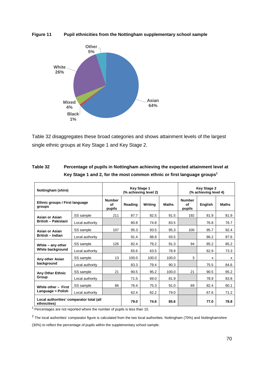**Figure 11 Pupil ethnicities from the Nottingham supplementary school sample**



Table 32 disaggregates these broad categories and shows attainment levels of the largest single ethnic groups at Key Stage 1 and Key Stage 2.

| Nottingham (shire)                                       |                               | <b>Key Stage 1</b> | (% achieving level 2) | <b>Key Stage 2</b><br>(% achieving level 4) |                               |         |              |      |
|----------------------------------------------------------|-------------------------------|--------------------|-----------------------|---------------------------------------------|-------------------------------|---------|--------------|------|
| Ethnic groups / First language<br>groups                 | <b>Number</b><br>of<br>pupils | Reading            | Writina               | <b>Maths</b>                                | <b>Number</b><br>of<br>pupils | English | <b>Maths</b> |      |
| Asian or Asian                                           | SS sample                     | 211                | 87.7                  | 82.5                                        | 91.5                          | 192     | 81.9         | 81.9 |
| <b>British - Pakistani</b>                               | Local authority               |                    | 80.8                  | 74.8                                        | 83.5                          |         | 76.8         | 76.7 |
| Asian or Asian                                           | SS sample                     | 107                | 95.3                  | 93.5                                        | 95.3                          | 100     | 95.7         | 92.4 |
| <b>British - Indian</b>                                  | Local authority               |                    | 91.4                  | 88.8                                        | 93.5                          |         | 86.2         | 87.6 |
| White - any other                                        | SS sample                     | 126                | 82.4                  | 79.2                                        | 91.3                          | 94      | 85.2         | 85.2 |
| White background                                         | Local authority               |                    | 65.6                  | 63.5                                        | 78.9                          |         | 62.9         | 73.3 |
| Any other Asian                                          | SS sample                     | 13                 | 100.0                 | 100.0                                       | 100.0                         | 3       | X            | x    |
| background                                               | Local authority               |                    | 83.3                  | 79.4                                        | 90.3                          |         | 75.5         | 84.6 |
| <b>Any Other Ethnic</b>                                  | SS sample                     | 21                 | 90.5                  | 95.2                                        | 100.0                         | 21      | 90.5         | 95.2 |
| Group                                                    | Local authority               |                    | 71.5                  | 69.0                                        | 81.9                          |         | 78.9         | 83.8 |
| White other - First                                      | SS sample                     | 86                 | 76.4                  | 75.3                                        | 91.0                          | 69      | 82.4         | 80.1 |
| Language = Polish                                        | Local authority               |                    | 62.4                  | 62.2                                        | 79.0                          |         | 67.6         | 71.2 |
| Local authorities' comparator total (all<br>ethnicities) |                               |                    | 79.0                  | 74.6                                        | 85.6                          |         | 77.0         | 78.8 |

| Table 32 | Percentage of pupils in Nottingham achieving the expected attainment level at       |
|----------|-------------------------------------------------------------------------------------|
|          | Key Stage 1 and 2, for the most common ethnic or first language groups <sup>1</sup> |

<sup>1</sup> Percentages are not reported where the number of pupils is less than 10.

 $2$  The local authorities' comparator figure is calculated from the two local authorities: Nottingham (70%) and Nottinghamshire

(30%) to reflect the percentage of pupils within the supplementary school sample.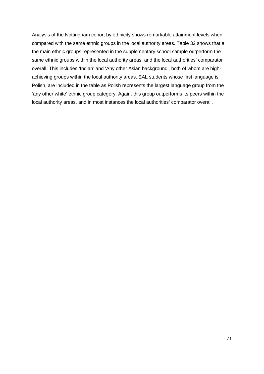Analysis of the Nottingham cohort by ethnicity shows remarkable attainment levels when compared with the same ethnic groups in the local authority areas. Table 32 shows that all the main ethnic groups represented in the supplementary school sample outperform the same ethnic groups within the local authority areas, and the local authorities' comparator overall. This includes 'Indian' and 'Any other Asian background', both of whom are highachieving groups within the local authority areas. EAL students whose first language is Polish, are included in the table as Polish represents the largest language group from the 'any other white' ethnic group category. Again, this group outperforms its peers within the local authority areas, and in most instances the local authorities' comparator overall.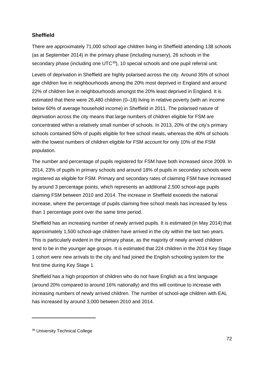# **Sheffield**

There are approximately 71,000 school age children living in Sheffield attending 138 schools (as at September 2014) in the primary phase (including nursery), 26 schools in the secondary phase (including one UTC<sup>[39](#page-71-0)</sup>), 10 special schools and one pupil referral unit.

Levels of deprivation in Sheffield are highly polarised across the city. Around 35% of school age children live in neighbourhoods among the 20% most deprived in England and around 22% of children live in neighbourhoods amongst the 20% least deprived in England. It is estimated that there were 26,480 children (0–18) living in relative poverty (with an income below 60% of average household income) in Sheffield in 2011. The polarised nature of deprivation across the city means that large numbers of children eligible for FSM are concentrated within a relatively small number of schools. In 2013, 20% of the city's primary schools contained 50% of pupils eligible for free school meals, whereas the 40% of schools with the lowest numbers of children eligible for FSM account for only 10% of the FSM population.

The number and percentage of pupils registered for FSM have both increased since 2009. In 2014, 23% of pupils in primary schools and around 18% of pupils in secondary schools were registered as eligible for FSM. Primary and secondary rates of claiming FSM have increased by around 3 percentage points, which represents an additional 2,500 school-age pupils claiming FSM between 2010 and 2014. The increase in Sheffield exceeds the national increase, where the percentage of pupils claiming free school meals has increased by less than 1 percentage point over the same time period.

Sheffield has an increasing number of newly arrived pupils. It is estimated (in May 2014) that approximately 1,500 school-age children have arrived in the city within the last two years. This is particularly evident in the primary phase, as the majority of newly arrived children tend to be in the younger age groups. It is estimated that 224 children in the 2014 Key Stage 1 cohort were new arrivals to the city and had joined the English schooling system for the first time during Key Stage 1.

Sheffield has a high proportion of children who do not have English as a first language (around 20% compared to around 16% nationally) and this will continue to increase with increasing numbers of newly arrived children. The number of school-age children with EAL has increased by around 3,000 between 2010 and 2014.

<span id="page-71-0"></span><sup>39</sup> University Technical College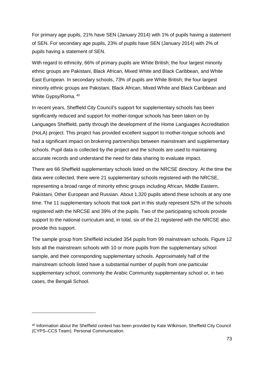For primary age pupils, 21% have SEN (January 2014) with 1% of pupils having a statement of SEN. For secondary age pupils, 23% of pupils have SEN (January 2014) with 2% of pupils having a statement of SEN.

With regard to ethnicity, 66% of primary pupils are White British; the four largest minority ethnic groups are Pakistani, Black African, Mixed White and Black Caribbean, and White East European. In secondary schools, 73% of pupils are White British; the four largest minority ethnic groups are Pakistani, Black African, Mixed White and Black Caribbean and White Gypsy/Roma. [40](#page-72-0)

In recent years, Sheffield City Council's support for supplementary schools has been significantly reduced and support for mother-tongue schools has been taken on by Languages Sheffield, partly through the development of the Home Languages Accreditation (HoLA) project. This project has provided excellent support to mother-tongue schools and had a significant impact on brokering partnerships between mainstream and supplementary schools. Pupil data is collected by the project and the schools are used to maintaining accurate records and understand the need for data sharing to evaluate impact.

There are 66 Sheffield supplementary schools listed on the NRCSE directory. At the time the data were collected, there were 21 supplementary schools registered with the NRCSE, representing a broad range of minority ethnic groups including African, Middle Eastern, Pakistani, Other European and Russian. About 1,320 pupils attend these schools at any one time. The 11 supplementary schools that took part in this study represent 52% of the schools registered with the NRCSE and 39% of the pupils. Two of the participating schools provide support to the national curriculum and, in total, six of the 21 registered with the NRCSE also provide this support.

The sample group from Sheffield included 354 pupils from 99 mainstream schools. Figure 12 lists all the mainstream schools with 10 or more pupils from the supplementary school sample, and their corresponding supplementary schools. Approximately half of the mainstream schools listed have a substantial number of pupils from one particular supplementary school, commonly the Arabic Community supplementary school or, in two cases, the Bengali School.

-

<span id="page-72-0"></span><sup>40</sup> Information about the Sheffield context has been provided by Kate Wilkinson, Sheffield City Council (CYPS–CCS Team). Personal Communication.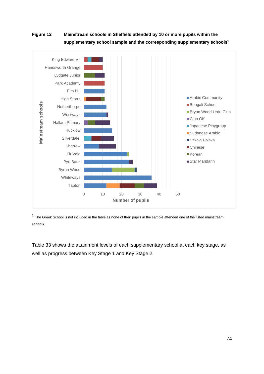### **Figure 12 Mainstream schools in Sheffield attended by 10 or more pupils within the supplementary school sample and the corresponding supplementary schools1**



 $1$  The Greek School is not included in the table as none of their pupils in the sample attended one of the listed mainstream schools.

Table 33 shows the attainment levels of each supplementary school at each key stage, as well as progress between Key Stage 1 and Key Stage 2.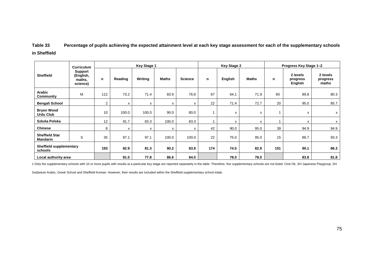### **Table 33 Percentage of pupils achieving the expected attainment level at each key stage assessment for each of the supplementary schools in Sheffield**

|                                           | <b>Key Stage 1</b><br><b>Key Stage 2</b><br><b>Curriculum</b> |                |         |         |              | Progress Key Stage 1-2 |     |         |              |     |                                 |                               |
|-------------------------------------------|---------------------------------------------------------------|----------------|---------|---------|--------------|------------------------|-----|---------|--------------|-----|---------------------------------|-------------------------------|
| <b>Sheffield</b>                          | Support<br>(English,<br>maths,<br>science)                    | n              | Reading | Writing | <b>Maths</b> | <b>Science</b>         | n   | English | <b>Maths</b> | n   | 2 levels<br>progress<br>English | 2 levels<br>progress<br>maths |
| Arabic<br>Community                       | M                                                             | 112            | 73.2    | 71.4    | 83.9         | 76.8                   | 67  | 64.1    | 71.9         | 60  | 89.8                            | 80.3                          |
| <b>Bengali School</b>                     |                                                               | $\overline{2}$ | x       | x       | x            | x                      | 22  | 71.4    | 72.7         | 20  | 95.0                            | 85.7                          |
| <b>Bryon Wood</b><br><b>Urdu Club</b>     |                                                               | 10             | 100.0   | 100.0   | 90.0         | 80.0                   |     | x       | x            | 1   | x                               | $\mathsf{x}$                  |
| Szkola Polska                             |                                                               | 12             | 91.7    | 83.3    | 100.0        | 83.3                   |     | X       | x            |     | x                               | X                             |
| <b>Chinese</b>                            |                                                               | 8              | x       | х       | x            | x                      | 42  | 90.0    | 95.0         | 39  | 94.9                            | 94.9                          |
| <b>Sheffield Star</b><br>Mandarin         | S                                                             | 35             | 97.1    | 97.1    | 100.0        | 100.0                  | 22  | 75.0    | 95.0         | 15  | 86.7                            | 93.3                          |
| <b>Sheffield supplementary</b><br>schools |                                                               | 193            | 82.9    | 81.3    | 90.2         | 83.9                   | 174 | 74.5    | 82.9         | 151 | 90.1                            | 86.3                          |
| Local authority area                      |                                                               |                | 81.0    | 77.8    | 86.6         | 84.0                   |     | 78.0    | 78.0         |     | 83.8                            | 81.8                          |

1 Only the supplementary schools with 10 or more pupils with results at a particular key stage are reported separately in the table. Therefore, five supplementary schools are not listed: Club Ok, SH Japanese Playgroup, SH

Sudanese Arabic, Greek School and Sheffield Korean. However, their results are included within the Sheffield supplementary school totals.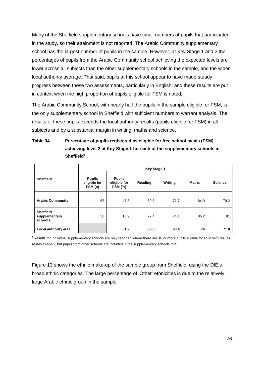Many of the Sheffield supplementary schools have small numbers of pupils that participated in the study, so their attainment is not reported. The Arabic Community supplementary school has the largest number of pupils in the sample. However, at Key Stage 1 and 2 the percentages of pupils from the Arabic Community school achieving the expected levels are lower across all subjects than the other supplementary schools in the sample, and the wider local authority average. That said, pupils at this school appear to have made steady progress between these two assessments, particularly in English; and these results are put in context when the high proportion of pupils eligible for FSM is noted.

The Arabic Community School, with nearly half the pupils in the sample eligible for FSM, is the only supplementary school in Sheffield with sufficient numbers to warrant analysis. The results of these pupils exceeds the local authority results (pupils eligible for FSM) in all subjects and by a substantial margin in writing, maths and science.

### **Table 34 Percentage of pupils registered as eligible for free school meals (FSM) achieving level 2 at Key Stage 1 for each of the supplementary schools in Sheffield1**

|                                              |                                          | <b>Key Stage 1</b>                              |         |         |              |                |  |  |  |  |  |
|----------------------------------------------|------------------------------------------|-------------------------------------------------|---------|---------|--------------|----------------|--|--|--|--|--|
| <b>Sheffield</b>                             | <b>Pupils</b><br>eligible for<br>FSM (n) | <b>Pupils</b><br>eligible for<br><b>FSM (%)</b> | Reading | Writing | <b>Maths</b> | <b>Science</b> |  |  |  |  |  |
| <b>Arabic Community</b>                      | 53                                       | 47.3                                            | 69.8    | 71.7    | 84.9         | 79.2           |  |  |  |  |  |
| <b>Sheffield</b><br>supplementary<br>schools | 58                                       | 18.9                                            | 72.4    | 74.1    | 86.2         | 81             |  |  |  |  |  |
| Local authority area                         |                                          | 31.2                                            | 68.6    | 63.4    | 76           | 71.8           |  |  |  |  |  |

1 Results for individual supplementary schools are only reported where there are 10 or more pupils eligible for FSM with results at Key Stage 1, but pupils from other schools are included in the supplementary schools total.

Figure 13 shows the ethnic make-up of the sample group from Sheffield, using the DfE's broad ethnic categories. The large percentage of 'Other' ethnicities is due to the relatively large Arabic ethnic group in the sample.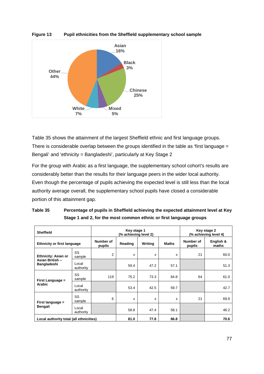

**Figure 13 Pupil ethnicities from the Sheffield supplementary school sample**

Table 35 shows the attainment of the largest Sheffield ethnic and first language groups. There is considerable overlap between the groups identified in the table as 'first language = Bengali' and 'ethnicity = Bangladeshi', particularly at Key Stage 2

For the group with Arabic as a first language, the supplementary school cohort's results are considerably better than the results for their language peers in the wider local authority. Even though the percentage of pupils achieving the expected level is still less than the local authority average overall, the supplementary school pupils have closed a considerable portion of this attainment gap.

| <b>Sheffield</b>                        |                     | Key stage 1<br>(% achieving level 2)                      | Key stage 2<br>(% achieving level 4) |      |                     |                    |      |
|-----------------------------------------|---------------------|-----------------------------------------------------------|--------------------------------------|------|---------------------|--------------------|------|
| <b>Ethnicity or first language</b>      |                     | Number of<br>Reading<br>Writing<br><b>Maths</b><br>pupils |                                      |      | Number of<br>pupils | English &<br>maths |      |
| <b>Ethnicity: Asian or</b>              | SS<br>sample        | $\overline{2}$                                            | x                                    | x    | x                   | 21                 | 60.0 |
| Asian British -<br>Bangladeshi          | Local<br>authority  |                                                           | 59.4                                 | 47.2 | 57.1                |                    | 51.3 |
| First Language =                        | <b>SS</b><br>sample | 119                                                       | 75.2                                 | 73.3 | 84.8                | 64                 | 61.0 |
| <b>Arabic</b>                           | Local<br>authority  |                                                           | 53.4                                 | 42.5 | 59.7                |                    | 42.7 |
| First language =                        | <b>SS</b><br>sample | 6                                                         | X                                    | X    | X                   | 21                 | 69.9 |
| Bengali                                 | Local<br>authority  |                                                           | 58.8                                 | 47.4 | 58.1                |                    | 46.2 |
| Local authority total (all ethnicities) |                     |                                                           | 81.0                                 | 77.8 | 86.8                |                    | 70.6 |

| Table 35 | Percentage of pupils in Sheffield achieving the expected attainment level at Key |
|----------|----------------------------------------------------------------------------------|
|          | Stage 1 and 2, for the most common ethnic or first language groups               |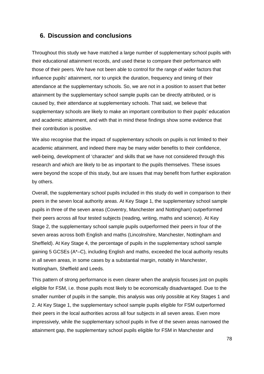### **6. Discussion and conclusions**

Throughout this study we have matched a large number of supplementary school pupils with their educational attainment records, and used these to compare their performance with those of their peers. We have not been able to control for the range of wider factors that influence pupils' attainment, nor to unpick the duration, frequency and timing of their attendance at the supplementary schools. So, we are not in a position to assert that better attainment by the supplementary school sample pupils can be directly attributed, or is caused by, their attendance at supplementary schools. That said, we believe that supplementary schools are likely to make an important contribution to their pupils' education and academic attainment, and with that in mind these findings show some evidence that their contribution is positive.

We also recognise that the impact of supplementary schools on pupils is not limited to their academic attainment, and indeed there may be many wider benefits to their confidence, well-being, development of 'character' and skills that we have not considered through this research and which are likely to be as important to the pupils themselves. These issues were beyond the scope of this study, but are issues that may benefit from further exploration by others.

Overall, the supplementary school pupils included in this study do well in comparison to their peers in the seven local authority areas. At Key Stage 1, the supplementary school sample pupils in three of the seven areas (Coventry, Manchester and Nottingham) outperformed their peers across all four tested subjects (reading, writing, maths and science). At Key Stage 2, the supplementary school sample pupils outperformed their peers in four of the seven areas across both English and maths (Lincolnshire, Manchester, Nottingham and Sheffield). At Key Stage 4, the percentage of pupils in the supplementary school sample gaining 5 GCSEs (A\*–C), including English and maths, exceeded the local authority results in all seven areas, in some cases by a substantial margin, notably in Manchester, Nottingham, Sheffield and Leeds.

This pattern of strong performance is even clearer when the analysis focuses just on pupils eligible for FSM, i.e. those pupils most likely to be economically disadvantaged. Due to the smaller number of pupils in the sample, this analysis was only possible at Key Stages 1 and 2. At Key Stage 1, the supplementary school sample pupils eligible for FSM outperformed their peers in the local authorities across all four subjects in all seven areas. Even more impressively, while the supplementary school pupils in five of the seven areas narrowed the attainment gap, the supplementary school pupils eligible for FSM in Manchester and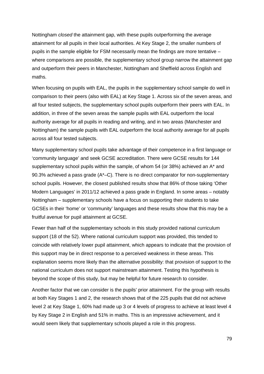Nottingham *closed* the attainment gap, with these pupils outperforming the average attainment for all pupils in their local authorities. At Key Stage 2, the smaller numbers of pupils in the sample eligible for FSM necessarily mean the findings are more tentative – where comparisons are possible, the supplementary school group narrow the attainment gap and outperform their peers in Manchester, Nottingham and Sheffield across English and maths.

When focusing on pupils with EAL, the pupils in the supplementary school sample do well in comparison to their peers (also with EAL) at Key Stage 1. Across six of the seven areas, and all four tested subjects, the supplementary school pupils outperform their peers with EAL. In addition, in three of the seven areas the sample pupils with EAL outperform the local authority average for all pupils in reading and writing, and in two areas (Manchester and Nottingham) the sample pupils with EAL outperform the local authority average for all pupils across all four tested subjects.

Many supplementary school pupils take advantage of their competence in a first language or 'community language' and seek GCSE accreditation. There were GCSE results for 144 supplementary school pupils within the sample, of whom 54 (or 38%) achieved an A\* and 90.3% achieved a pass grade (A\*–C). There is no direct comparator for non-supplementary school pupils. However, the closest published results show that 86% of those taking 'Other Modern Languages' in 2011/12 achieved a pass grade in England. In some areas – notably Nottingham – supplementary schools have a focus on supporting their students to take GCSEs in their 'home' or 'community' languages and these results show that this may be a fruitful avenue for pupil attainment at GCSE.

Fewer than half of the supplementary schools in this study provided national curriculum support (18 of the 52). Where national curriculum support was provided, this tended to coincide with relatively lower pupil attainment, which appears to indicate that the provision of this support may be in direct response to a perceived weakness in these areas. This explanation seems more likely than the alternative possibility: that provision of support to the national curriculum does not support mainstream attainment. Testing this hypothesis is beyond the scope of this study, but may be helpful for future research to consider.

Another factor that we can consider is the pupils' prior attainment. For the group with results at both Key Stages 1 and 2, the research shows that of the 225 pupils that did not achieve level 2 at Key Stage 1, 60% had made up 3 or 4 levels of progress to achieve at least level 4 by Key Stage 2 in English and 51% in maths. This is an impressive achievement, and it would seem likely that supplementary schools played a role in this progress.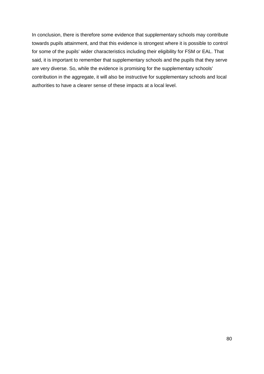In conclusion, there is therefore some evidence that supplementary schools may contribute towards pupils attainment, and that this evidence is strongest where it is possible to control for some of the pupils' wider characteristics including their eligibility for FSM or EAL. That said, it is important to remember that supplementary schools and the pupils that they serve are very diverse. So, while the evidence is promising for the supplementary schools' contribution in the aggregate, it will also be instructive for supplementary schools and local authorities to have a clearer sense of these impacts at a local level.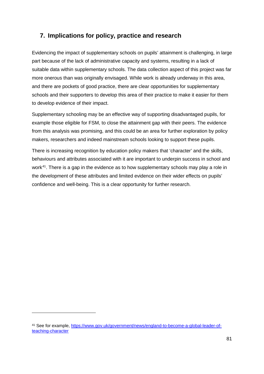### **7. Implications for policy, practice and research**

Evidencing the impact of supplementary schools on pupils' attainment is challenging, in large part because of the lack of administrative capacity and systems, resulting in a lack of suitable data within supplementary schools. The data collection aspect of this project was far more onerous than was originally envisaged. While work is already underway in this area, and there are pockets of good practice, there are clear opportunities for supplementary schools and their supporters to develop this area of their practice to make it easier for them to develop evidence of their impact.

Supplementary schooling may be an effective way of supporting disadvantaged pupils, for example those eligible for FSM, to close the attainment gap with their peers. The evidence from this analysis was promising, and this could be an area for further exploration by policy makers, researchers and indeed mainstream schools looking to support these pupils.

There is increasing recognition by education policy makers that 'character' and the skills, behaviours and attributes associated with it are important to underpin success in school and work<sup>[41](#page-80-0)</sup>. There is a gap in the evidence as to how supplementary schools may play a role in the development of these attributes and limited evidence on their wider effects on pupils' confidence and well-being. This is a clear opportunity for further research.

-

<span id="page-80-0"></span><sup>41</sup> See for example, [https://www.gov.uk/government/news/england-to-become-a-global-leader-of](https://www.gov.uk/government/news/england-to-become-a-global-leader-of-teaching-character)[teaching-character](https://www.gov.uk/government/news/england-to-become-a-global-leader-of-teaching-character)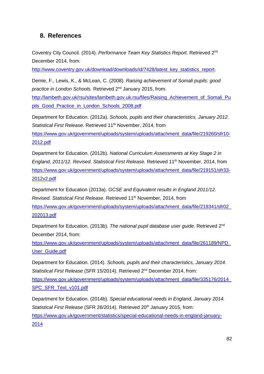### **8. References**

Coventry City Council. (2014). *Performance Team Key Statistics Report*. Retrieved 2nd December 2014, from:

[http://www.coventry.gov.uk/download/downloads/id/7428/latest\\_key\\_statistics\\_report.](http://www.coventry.gov.uk/download/downloads/id/7428/latest_key_statistics_report)

Demie, F., Lewis, K., & McLean, C. (2008). *Raising achievement of Somali pupils: good practice in London Schools.* Retrieved 2nd January 2015, from:

[http://lambeth.gov.uk/rsu/sites/lambeth.gov.uk.rsu/files/Raising\\_Achievement\\_of\\_Somali\\_Pu](http://lambeth.gov.uk/rsu/sites/lambeth.gov.uk.rsu/files/Raising_Achievement_of_Somali_Pupils_Good_Practice_in_London_Schools_2008.pdf) [pils\\_Good\\_Practice\\_in\\_London\\_Schools\\_2008.pdf](http://lambeth.gov.uk/rsu/sites/lambeth.gov.uk.rsu/files/Raising_Achievement_of_Somali_Pupils_Good_Practice_in_London_Schools_2008.pdf)

Department for Education. (2012a). *Schools, pupils and their characteristics, January 2012.*  Statistical First Release. Retrieved 11<sup>th</sup> November, 2014, from [https://www.gov.uk/government/uploads/system/uploads/attachment\\_data/file/219260/sfr10-](https://www.gov.uk/government/uploads/system/uploads/attachment_data/file/219260/sfr10-2012.pdf) [2012.pdf](https://www.gov.uk/government/uploads/system/uploads/attachment_data/file/219260/sfr10-2012.pdf)

Department for Education. (2012b). *National Curriculum Assessments at Key Stage 2 in England, 2011/12. Revised. Statistical First Release. Retrieved 11<sup>th</sup> November, 2014, from* [https://www.gov.uk/government/uploads/system/uploads/attachment\\_data/file/219151/sfr33-](https://www.gov.uk/government/uploads/system/uploads/attachment_data/file/219151/sfr33-2012v2.pdf) [2012v2.pdf](https://www.gov.uk/government/uploads/system/uploads/attachment_data/file/219151/sfr33-2012v2.pdf)

Department for Education (2013a). *GCSE and Equivalent results in England 2011/12. Revised. Statistical First Release. Retrieved* 11<sup>th</sup> November, 2014, from [https://www.gov.uk/government/uploads/system/uploads/attachment\\_data/file/219341/sfr02\\_](https://www.gov.uk/government/uploads/system/uploads/attachment_data/file/219341/sfr02_202013.pdf) [202013.pdf](https://www.gov.uk/government/uploads/system/uploads/attachment_data/file/219341/sfr02_202013.pdf)

Department for Education. (2013b). *The national pupil database user guide*. Retrieved 2nd December 2014, from:

[https://www.gov.uk/government/uploads/system/uploads/attachment\\_data/file/261189/NPD\\_](https://www.gov.uk/government/uploads/system/uploads/attachment_data/file/261189/NPD_User_Guide.pdf) [User\\_Guide.pdf](https://www.gov.uk/government/uploads/system/uploads/attachment_data/file/261189/NPD_User_Guide.pdf)

Department for Education. (2014). *Schools, pupils and their characteristics, January 2014. Statistical First Release* (SFR 15/2014). Retrieved 2nd December 2014, from:

https://www.gov.uk/government/uploads/system/uploads/attachment\_data/file/335176/2014 [SPC\\_SFR\\_Text\\_v101.pdf](https://www.gov.uk/government/uploads/system/uploads/attachment_data/file/335176/2014_SPC_SFR_Text_v101.pdf)

Department for Education. (2014b). *Special educational needs in England, January 2014.*  Statistical First Release (SFR 26/2014). Retrieved 20<sup>th</sup> January 2015, from: [https://www.gov.uk/government/statistics/special-educational-needs-in-england-january-](https://www.gov.uk/government/statistics/special-educational-needs-in-england-january-2014)[2014](https://www.gov.uk/government/statistics/special-educational-needs-in-england-january-2014)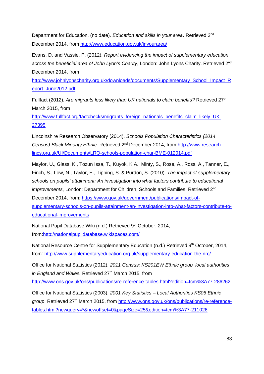Department for Education. (no date). *Education and skills in your area*. Retrieved 2nd December 2014, from <http://www.education.gov.uk/inyourarea/>

Evans, D. and Vassie, P. (2012). *Report evidencing the impact of supplementary education across the beneficial area of John Lyon's Charity*, London: John Lyons Charity. Retrieved 2nd December 2014, from

[http://www.johnlyonscharity.org.uk/downloads/documents/Supplementary\\_School\\_Impact\\_R](http://www.johnlyonscharity.org.uk/downloads/documents/Supplementary_School_Impact_Report_June2012.pdf) [eport\\_June2012.pdf](http://www.johnlyonscharity.org.uk/downloads/documents/Supplementary_School_Impact_Report_June2012.pdf)

Fullfact (2012). *Are migrants less likely than UK nationals to claim benefits?* Retrieved 27th March 2015, from

[http://www.fullfact.org/factchecks/migrants\\_foreign\\_nationals\\_benefits\\_claim\\_likely\\_UK-](http://www.fullfact.org/factchecks/migrants_foreign_nationals_benefits_claim_likely_UK-27395)[27395](http://www.fullfact.org/factchecks/migrants_foreign_nationals_benefits_claim_likely_UK-27395)

Lincolnshire Research Observatory (2014). *Schools Population Characteristics (2014 Census) Black Minority Ethnic*. Retrieved 2nd December 2014, from [http://www.research](http://www.research-lincs.org.uk/UI/Documents/LRO-schools-population-char-BME-012014.pdf)[lincs.org.uk/UI/Documents/LRO-schools-population-char-BME-012014.pdf](http://www.research-lincs.org.uk/UI/Documents/LRO-schools-population-char-BME-012014.pdf)

Maylor, U., Glass, K., Tozun Issa, T., Kuyok, K.A., Minty, S., Rose, A., Ross, A., Tanner, E., Finch, S., Low, N., Taylor, E., Tipping, S. & Purdon, S. (2010). *The impact of supplementary schools on pupils' attainment: An investigation into what factors contribute to educational improvements*, London: Department for Children, Schools and Families. Retrieved 2<sup>nd</sup> December 2014, from: [https://www.gov.uk/government/publications/impact-of](https://www.gov.uk/government/publications/impact-of-supplementary-schools-on-pupils-attainment-an-investigation-into-what-factors-contribute-to-educational-improvements)[supplementary-schools-on-pupils-attainment-an-investigation-into-what-factors-contribute-to](https://www.gov.uk/government/publications/impact-of-supplementary-schools-on-pupils-attainment-an-investigation-into-what-factors-contribute-to-educational-improvements)[educational-improvements](https://www.gov.uk/government/publications/impact-of-supplementary-schools-on-pupils-attainment-an-investigation-into-what-factors-contribute-to-educational-improvements)

National Pupil Database Wiki (n.d.) Retrieved 9<sup>th</sup> October, 2014, from[:http://nationalpupildatabase.wikispaces.com/](http://nationalpupildatabase.wikispaces.com/)

National Resource Centre for Supplementary Education (n.d.) Retrieved 9th October, 2014, from: <http://www.supplementaryeducation.org.uk/supplementary-education-the-nrc/>

Office for National Statistics (2012). *2011 Census: KS201EW Ethnic group, local authorities in England and Wales.* Retrieved 27<sup>th</sup> March 2015, from <http://www.ons.gov.uk/ons/publications/re-reference-tables.html?edition=tcm%3A77-286262>

Office for National Statistics (2003). *2001 Key Statistics – Local Authorities KS06 Ethnic group*. Retrieved 27<sup>th</sup> March 2015, from [http://www.ons.gov.uk/ons/publications/re-reference](http://www.ons.gov.uk/ons/publications/re-reference-tables.html?newquery=*&newoffset=0&pageSize=25&edition=tcm%3A77-211026)[tables.html?newquery=\\*&newoffset=0&pageSize=25&edition=tcm%3A77-211026](http://www.ons.gov.uk/ons/publications/re-reference-tables.html?newquery=*&newoffset=0&pageSize=25&edition=tcm%3A77-211026)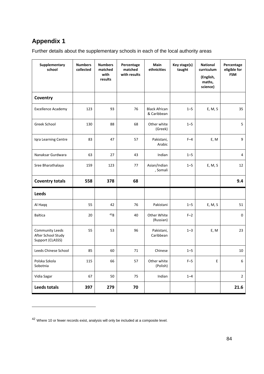-

Further details about the supplementary schools in each of the local authority areas

| Supplementary<br>school                                          | <b>Numbers</b><br>collected | <b>Numbers</b><br>matched<br>with<br>results | Percentage<br>matched<br>with results | Main<br>ethnicities                 | Key stage(s)<br>taught | <b>National</b><br>curriculum<br>(English,<br>maths,<br>science) | Percentage<br>eligible for<br><b>FSM</b> |
|------------------------------------------------------------------|-----------------------------|----------------------------------------------|---------------------------------------|-------------------------------------|------------------------|------------------------------------------------------------------|------------------------------------------|
| Coventry                                                         |                             |                                              |                                       |                                     |                        |                                                                  |                                          |
| <b>Excellence Academy</b>                                        | 123                         | 93                                           | 76                                    | <b>Black African</b><br>& Caribbean | $1 - 5$                | E, M, S                                                          | 35                                       |
| <b>Greek School</b>                                              | 130                         | 88                                           | 68                                    | Other white<br>(Greek)              | $1 - 5$                |                                                                  | 5                                        |
| Iqra Learning Centre                                             | 83                          | 47                                           | 57                                    | Pakistani,<br>Arabic                | $F-4$                  | E, M                                                             | 9                                        |
| Nanaksar Gurdwara                                                | 63                          | 27                                           | 43                                    | Indian                              | $1 - 5$                |                                                                  | $\overline{4}$                           |
| Sree Bharathalaya                                                | 159                         | 123                                          | 77                                    | Asian/Indian<br>, Somali            | $1 - 5$                | E, M, S                                                          | 12                                       |
| <b>Coventry totals</b>                                           | 558                         | 378                                          | 68                                    |                                     |                        |                                                                  | 9.4                                      |
| <b>Leeds</b>                                                     |                             |                                              |                                       |                                     |                        |                                                                  |                                          |
| Al Haqq                                                          | 55                          | 42                                           | 76                                    | Pakistani                           | $1 - 5$                | E, M, S                                                          | 51                                       |
| <b>Baltica</b>                                                   | 20                          | 42g                                          | 40                                    | Other White<br>(Russian)            | $F-2$                  |                                                                  | $\mathbf 0$                              |
| <b>Community Leeds</b><br>After School Study<br>Support (CLASSS) | 55                          | 53                                           | 96                                    | Pakistani,<br>Caribbean             | $1 - 3$                | E, M                                                             | 23                                       |
| Leeds Chinese School                                             | 85                          | 60                                           | 71                                    | Chinese                             | $1 - 5$                |                                                                  | 10                                       |
| Polska Szkola<br>Sobotnia                                        | 115                         | 66                                           | 57                                    | Other white<br>(Polish)             | $F-5$                  | E                                                                | 6                                        |
| Vidia Sagar                                                      | 67                          | 50                                           | 75                                    | Indian                              | $1 - 4$                |                                                                  | $\overline{2}$                           |
| <b>Leeds totals</b>                                              | 397                         | 279                                          | 70                                    |                                     |                        |                                                                  | 21.6                                     |

<span id="page-83-0"></span><sup>42</sup> Where 10 or fewer records exist, analysis will only be included at a composite level.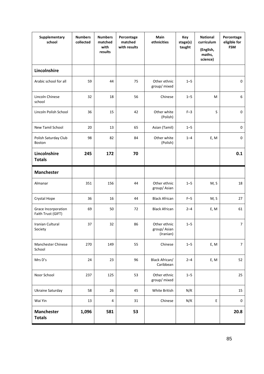| Supplementary<br>school                   | <b>Numbers</b><br>collected | <b>Numbers</b><br>matched<br>with<br>results | Percentage<br>matched<br>with results | Main<br>ethnicities                      | Key<br>stage(s)<br>taught | <b>National</b><br>curriculum<br>(English,<br>maths,<br>science) | Percentage<br>eligible for<br><b>FSM</b> |
|-------------------------------------------|-----------------------------|----------------------------------------------|---------------------------------------|------------------------------------------|---------------------------|------------------------------------------------------------------|------------------------------------------|
| Lincolnshire                              |                             |                                              |                                       |                                          |                           |                                                                  |                                          |
| Arabic school for all                     | 59                          | 44                                           | 75                                    | Other ethnic<br>group/ mixed             | $1 - 5$                   |                                                                  | $\mathbf 0$                              |
| <b>Lincoln Chinese</b><br>school          | 32                          | 18                                           | 56                                    | Chinese                                  | $1 - 5$                   | M                                                                | 6                                        |
| Lincoln Polish School                     | 36                          | 15                                           | 42                                    | Other white<br>(Polish)                  | $F-3$                     | S                                                                | $\mathbf 0$                              |
| New Tamil School                          | 20                          | 13                                           | 65                                    | Asian (Tamil)                            | $1 - 5$                   |                                                                  | $\pmb{0}$                                |
| Polish Saturday Club<br><b>Boston</b>     | 98                          | 82                                           | 84                                    | Other white<br>(Polish)                  | $1 - 4$                   | E, M                                                             | $\pmb{0}$                                |
| Lincolnshire<br><b>Totals</b>             | 245                         | 172                                          | 70                                    |                                          |                           |                                                                  | 0.1                                      |
| <b>Manchester</b>                         |                             |                                              |                                       |                                          |                           |                                                                  |                                          |
| Almanar                                   | 351                         | 156                                          | 44                                    | Other ethnic<br>group/Asian              | $1 - 5$                   | M, S                                                             | 18                                       |
| Crystal Hope                              | 36                          | 16                                           | 44                                    | <b>Black African</b>                     | $F-5$                     | M, S                                                             | 27                                       |
| Grace Incorporation<br>Faith Trust (GIFT) | 69                          | 50                                           | 72                                    | <b>Black African</b>                     | $2 - 4$                   | E, M                                                             | 61                                       |
| Iranian Cultural<br>Society               | 37                          | 32                                           | 86                                    | Other ethnic<br>group/Asian<br>(Iranian) | $1 - 5$                   |                                                                  | $\overline{7}$                           |
| Manchester Chinese<br>School              | 270                         | 149                                          | 55                                    | Chinese                                  | $1 - 5$                   | E, M                                                             | $\boldsymbol{7}$                         |
| Mrs D's                                   | 24                          | 23                                           | 96                                    | <b>Black African/</b><br>Caribbean       | $2 - 4$                   | E, M                                                             | 52                                       |
| Noor School                               | 237                         | 125                                          | 53                                    | Other ethnic<br>group/ mixed             | $1 - 5$                   |                                                                  | 25                                       |
| Ukraine Saturday                          | 58                          | 26                                           | 45                                    | White British                            | N/K                       |                                                                  | 15                                       |
| Wai Yin                                   | 13                          | $\overline{\mathbf{4}}$                      | 31                                    | Chinese                                  | N/K                       | Ε                                                                | $\pmb{0}$                                |
| <b>Manchester</b><br><b>Totals</b>        | 1,096                       | 581                                          | 53                                    |                                          |                           |                                                                  | 20.8                                     |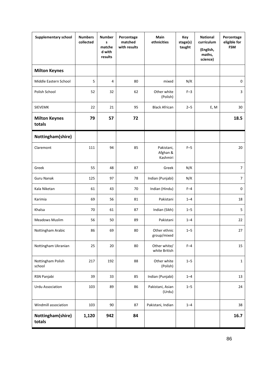| <b>Supplementary school</b>    | <b>Numbers</b><br>collected | <b>Number</b><br>s<br>matche<br>d with<br>results | Percentage<br>matched<br>with results | Main<br>ethnicities                | Key<br>stage(s)<br>taught | <b>National</b><br>curriculum<br>(English,<br>maths,<br>science) | Percentage<br>eligible for<br><b>FSM</b> |
|--------------------------------|-----------------------------|---------------------------------------------------|---------------------------------------|------------------------------------|---------------------------|------------------------------------------------------------------|------------------------------------------|
| <b>Milton Keynes</b>           |                             |                                                   |                                       |                                    |                           |                                                                  |                                          |
| Middle Eastern School          | 5                           | $\overline{4}$                                    | 80                                    | mixed                              | N/K                       |                                                                  | $\mathbf 0$                              |
| Polish School                  | 52                          | 32                                                | 62                                    | Other white<br>(Polish)            | $F-3$                     |                                                                  | 3                                        |
| <b>SIEVEMK</b>                 | 22                          | 21                                                | 95                                    | <b>Black African</b>               | $2 - 5$                   | E, M                                                             | 30                                       |
| <b>Milton Keynes</b><br>totals | 79                          | 57                                                | 72                                    |                                    |                           |                                                                  | 18.5                                     |
| Nottingham(shire)              |                             |                                                   |                                       |                                    |                           |                                                                  |                                          |
| Claremont                      | 111                         | 94                                                | 85                                    | Pakistani,<br>Afghan &<br>Kashmiri | $F-5$                     |                                                                  | 20                                       |
| Greek                          | 55                          | 48                                                | 87                                    | Greek                              | N/K                       |                                                                  | $\overline{7}$                           |
| <b>Guru Nanak</b>              | 125                         | 97                                                | 78                                    | Indian (Punjabi)                   | N/K                       |                                                                  | 7                                        |
| Kala Niketan                   | 61                          | 43                                                | 70                                    | Indian (Hindu)                     | $F-4$                     |                                                                  | 0                                        |
| Karimia                        | 69                          | 56                                                | 81                                    | Pakistani                          | $1 - 4$                   |                                                                  | 18                                       |
| Khalsa                         | 70                          | 61                                                | 87                                    | Indian (Sikh)                      | $1 - 5$                   |                                                                  | 5                                        |
| <b>Meadows Muslim</b>          | 56                          | 50                                                | 89                                    | Pakistani                          | $1 - 4$                   |                                                                  | 22                                       |
| Nottingham Arabic              | 86                          | 69                                                | $80\,$                                | Other ethnic<br>group/mixed        | $1 - 5$                   |                                                                  | 27                                       |
| Nottingham Ukranian            | 25                          | 20                                                | 80                                    | Other white/<br>white British      | $F-4$                     |                                                                  | 15                                       |
| Nottingham Polish<br>school    | 217                         | 192                                               | 88                                    | Other white<br>(Polish)            | $1 - 5$                   |                                                                  | $\mathbf{1}$                             |
| RSN Panjabi                    | 39                          | 33                                                | 85                                    | Indian (Punjabi)                   | $1 - 4$                   |                                                                  | 13                                       |
| <b>Urdu Association</b>        | 103                         | 89                                                | 86                                    | Pakistani, Asian<br>(Urdu)         | $1 - 5$                   |                                                                  | 24                                       |
| Windmill association           | 103                         | 90                                                | 87                                    | Pakistani, Indian                  | $1 - 4$                   |                                                                  | 38                                       |
| Nottingham(shire)<br>totals    | 1,120                       | 942                                               | 84                                    |                                    |                           |                                                                  | 16.7                                     |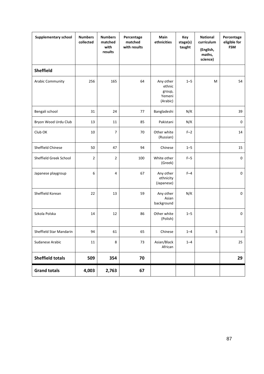| <b>Supplementary school</b> | <b>Numbers</b><br>collected | <b>Numbers</b><br>matched<br>with<br>results | Percentage<br>matched<br>with results | Main<br>ethnicities                                 | Key<br>stage(s)<br>taught | <b>National</b><br>curriculum<br>(English,<br>maths,<br>science) | Percentage<br>eligible for<br><b>FSM</b> |
|-----------------------------|-----------------------------|----------------------------------------------|---------------------------------------|-----------------------------------------------------|---------------------------|------------------------------------------------------------------|------------------------------------------|
| <b>Sheffield</b>            |                             |                                              |                                       |                                                     |                           |                                                                  |                                          |
| Arabic Community            | 256                         | 165                                          | 64                                    | Any other<br>ethnic<br>group,<br>Yemeni<br>(Arabic) | $1 - 5$                   | M                                                                | 54                                       |
| Bengali school              | 31                          | 24                                           | 77                                    | Bangladeshi                                         | N/K                       |                                                                  | 39                                       |
| Bryon Wood Urdu Club        | 13                          | 11                                           | 85                                    | Pakistani                                           | N/K                       |                                                                  | $\pmb{0}$                                |
| Club OK                     | 10                          | 7                                            | 70                                    | Other white<br>(Russian)                            | $F-2$                     |                                                                  | 14                                       |
| Sheffield Chinese           | 50                          | 47                                           | 94                                    | Chinese                                             | $1 - 5$                   |                                                                  | 15                                       |
| Sheffield Greek School      | $\overline{2}$              | $\overline{2}$                               | 100                                   | White other<br>(Greek)                              | $F-5$                     |                                                                  | $\pmb{0}$                                |
| Japanese playgroup          | 6                           | 4                                            | 67                                    | Any other<br>ethnicity<br>(Japanese)                | $F-4$                     |                                                                  | $\pmb{0}$                                |
| Sheffield Korean            | 22                          | 13                                           | 59                                    | Any other<br>Asian<br>background                    | N/K                       |                                                                  | $\pmb{0}$                                |
| Szkola Polska               | 14                          | 12                                           | 86                                    | Other white<br>(Polish)                             | $1 - 5$                   |                                                                  | $\mathbf 0$                              |
| Sheffield Star Mandarin     | 94                          | 61                                           | 65                                    | Chinese                                             | $1 - 4$                   | S.                                                               | 3                                        |
| Sudanese Arabic             | 11                          | 8                                            | 73                                    | Asian/Black<br>African                              | $1 - 4$                   |                                                                  | 25                                       |
| <b>Sheffield totals</b>     | 509                         | 354                                          | 70                                    |                                                     |                           |                                                                  | 29                                       |
| <b>Grand totals</b>         | 4,003                       | 2,763                                        | 67                                    |                                                     |                           |                                                                  |                                          |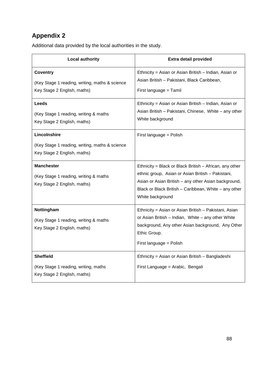Additional data provided by the local authorities in the study.

| <b>Local authority</b>                                                                           | <b>Extra detail provided</b>                                                                                                                                                                                                                        |
|--------------------------------------------------------------------------------------------------|-----------------------------------------------------------------------------------------------------------------------------------------------------------------------------------------------------------------------------------------------------|
| <b>Coventry</b><br>(Key Stage 1 reading, writing, maths & science<br>Key Stage 2 English, maths) | Ethnicity = Asian or Asian British - Indian, Asian or<br>Asian British - Pakistani, Black Caribbean,<br>First language = Tamil                                                                                                                      |
| Leeds<br>(Key Stage 1 reading, writing & maths<br>Key Stage 2 English, maths)                    | Ethnicity = Asian or Asian British - Indian, Asian or<br>Asian British - Pakistani, Chinese, White - any other<br>White background                                                                                                                  |
| Lincolnshire<br>(Key Stage 1 reading, writing, maths & science<br>Key Stage 2 English, maths)    | First language = Polish                                                                                                                                                                                                                             |
| <b>Manchester</b><br>(Key Stage 1 reading, writing & maths<br>Key Stage 2 English, maths)        | Ethnicity = Black or Black British $-$ African, any other<br>ethnic group, Asian or Asian British - Pakistani,<br>Asian or Asian British - any other Asian background,<br>Black or Black British - Caribbean, White - any other<br>White background |
| Nottingham<br>(Key Stage 1 reading, writing & maths<br>Key Stage 2 English, maths)               | Ethnicity = Asian or Asian British - Pakistani, Asian<br>or Asian British - Indian, White - any other White<br>background, Any other Asian background, Any Other<br>Ethic Group.<br>First language = Polish                                         |
| <b>Sheffield</b><br>(Key Stage 1 reading, writing, maths<br>Key Stage 2 English, maths)          | Ethnicity = Asian or Asian British – Bangladeshi<br>First Language = Arabic, Bengali                                                                                                                                                                |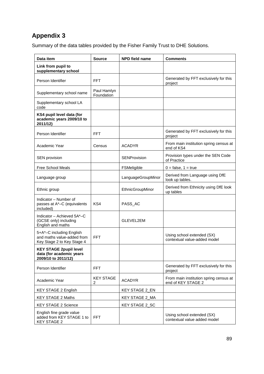Summary of the data tables provided by the Fisher Family Trust to DHE Solutions.

| Data item                                                                            | <b>Source</b>             | <b>NPD field name</b> | <b>Comments</b>                                              |
|--------------------------------------------------------------------------------------|---------------------------|-----------------------|--------------------------------------------------------------|
| Link from pupil to<br>supplementary school                                           |                           |                       |                                                              |
| Person Identifier                                                                    | <b>FFT</b>                |                       | Generated by FFT exclusively for this<br>project             |
| Supplementary school name                                                            | Paul Hamlyn<br>Foundation |                       |                                                              |
| Supplementary school LA<br>code                                                      |                           |                       |                                                              |
| KS4 pupil level data (for<br>academic years 2009/10 to<br>2011/12)                   |                           |                       |                                                              |
| Person Identifier                                                                    | <b>FFT</b>                |                       | Generated by FFT exclusively for this<br>project             |
| Academic Year                                                                        | Census                    | ACADYR                | From main institution spring census at<br>end of KS4         |
| SEN provision                                                                        |                           | <b>SENProvision</b>   | Provision types under the SEN Code<br>of Practice            |
| <b>Free School Meals</b>                                                             |                           | FSMeligible           | $0 = false$ , $1 = true$                                     |
| Language group                                                                       |                           | LanguageGroupMinor    | Derived from Language using DfE<br>look up tables.           |
| Ethnic group                                                                         |                           | EthnicGroupMinor      | Derived from Ethnicity using DfE look<br>up tables           |
| Indicator - Number of<br>passes at A*-C (equivalents<br>included)                    | KS4                       | PASS_AC               |                                                              |
| Indicator - Achieved 5A*-C<br>(GCSE only) including<br>English and maths             |                           | GLEVEL2EM             |                                                              |
| 5+A*-C including English<br>and maths value-added from<br>Key Stage 2 to Key Stage 4 | <b>FFT</b>                |                       | Using school extended (SX)<br>contextual value-added model   |
| <b>KEY STAGE 2pupil level</b><br>data (for academic years<br>2009/10 to 2011/12)     |                           |                       |                                                              |
| Person Identifier                                                                    | <b>FFT</b>                |                       | Generated by FFT exclusively for this<br>project             |
| Academic Year                                                                        | <b>KEY STAGE</b><br>2     | <b>ACADYR</b>         | From main institution spring census at<br>end of KEY STAGE 2 |
| <b>KEY STAGE 2 English</b>                                                           |                           | <b>KEY STAGE 2_EN</b> |                                                              |
| <b>KEY STAGE 2 Maths</b>                                                             |                           | KEY STAGE 2_MA        |                                                              |
| <b>KEY STAGE 2 Science</b>                                                           |                           | KEY STAGE 2_SC        |                                                              |
| English fine grade value<br>added from KEY STAGE 1 to<br><b>KEY STAGE 2</b>          | <b>FFT</b>                |                       | Using school extended (SX)<br>contextual value added model   |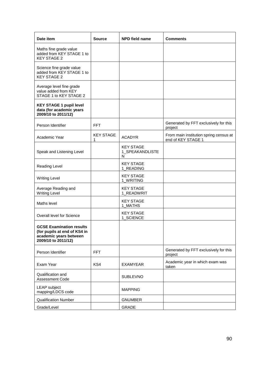| Date item                                                                                                        | <b>Source</b>         | <b>NPD field name</b>                    | Comments                                                     |
|------------------------------------------------------------------------------------------------------------------|-----------------------|------------------------------------------|--------------------------------------------------------------|
| Maths fine grade value<br>added from KEY STAGE 1 to<br><b>KEY STAGE 2</b>                                        |                       |                                          |                                                              |
| Science fine grade value<br>added from KEY STAGE 1 to<br><b>KEY STAGE 2</b>                                      |                       |                                          |                                                              |
| Average level fine grade<br>value added from KEY<br>STAGE 1 to KEY STAGE 2                                       |                       |                                          |                                                              |
| <b>KEY STAGE 1 pupil level</b><br>data (for academic years<br>2009/10 to 2011/12)                                |                       |                                          |                                                              |
| Person Identifier                                                                                                | <b>FFT</b>            |                                          | Generated by FFT exclusively for this<br>project             |
| Academic Year                                                                                                    | <b>KEY STAGE</b><br>1 | <b>ACADYR</b>                            | From main institution spring census at<br>end of KEY STAGE 1 |
| Speak and Listening Level                                                                                        |                       | <b>KEY STAGE</b><br>1_SPEAKANDLISTE<br>N |                                                              |
| Reading Level                                                                                                    |                       | <b>KEY STAGE</b><br>1_READING            |                                                              |
| <b>Writing Level</b>                                                                                             |                       | <b>KEY STAGE</b><br>1_WRITING            |                                                              |
| Average Reading and<br><b>Writing Level</b>                                                                      |                       | <b>KEY STAGE</b><br>1_READWRIT           |                                                              |
| Maths level                                                                                                      |                       | <b>KEY STAGE</b><br>1_MATHS              |                                                              |
| Overall level for Science                                                                                        |                       | <b>KEY STAGE</b><br>1_SCIENCE            |                                                              |
| <b>GCSE Examination results</b><br>(for pupils at end of KS4 in<br>academic years between<br>2009/10 to 2011/12) |                       |                                          |                                                              |
| Person Identifier                                                                                                | <b>FFT</b>            |                                          | Generated by FFT exclusively for this<br>project             |
| Exam Year                                                                                                        | KS4                   | <b>EXAMYEAR</b>                          | Academic year in which exam was<br>taken                     |
| Qualification and<br><b>Assessment Code</b>                                                                      |                       | <b>SUBLEVNO</b>                          |                                                              |
| <b>LEAP</b> subject<br>mapping/LDCS code                                                                         |                       | <b>MAPPING</b>                           |                                                              |
| <b>Qualification Number</b>                                                                                      |                       | <b>GNUMBER</b>                           |                                                              |
| Grade/Level                                                                                                      |                       | <b>GRADE</b>                             |                                                              |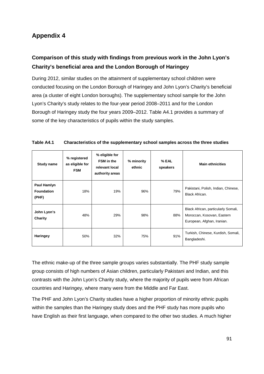## **Comparison of this study with findings from previous work in the John Lyon's Charity's beneficial area and the London Borough of Haringey**

During 2012, similar studies on the attainment of supplementary school children were conducted focusing on the London Borough of Haringey and John Lyon's Charity's beneficial area (a cluster of eight London boroughs). The supplementary school sample for the John Lyon's Charity's study relates to the four-year period 2008–2011 and for the London Borough of Haringey study the four years 2009–2012. Table A4.1 provides a summary of some of the key characteristics of pupils within the study samples.

| <b>Study name</b>                         | % registered<br>as eligible for<br><b>FSM</b> | % eligible for<br>FSM in the<br>relevant local<br>authority areas | % minority<br>ethnic | % EAL<br>speakers | <b>Main ethnicities</b>                                                                         |
|-------------------------------------------|-----------------------------------------------|-------------------------------------------------------------------|----------------------|-------------------|-------------------------------------------------------------------------------------------------|
| Paul Hamlyn<br><b>Foundation</b><br>(PHF) | 18%                                           | 19%                                                               | 96%                  | 79%               | Pakistani, Polish, Indian, Chinese,<br><b>Black African.</b>                                    |
| John Lyon's<br>Charity                    | 48%                                           | 29%                                                               | 98%                  | 88%               | Black African, particularly Somali,<br>Moroccan, Kosovan, Eastern<br>European, Afghan, Iranian. |
| <b>Haringey</b>                           | 50%                                           | 32%                                                               | 75%                  | 91%               | Turkish, Chinese, Kurdish, Somali,<br>Bangladeshi.                                              |

| Table A4.1 | Characteristics of the supplementary school samples across the three studies |
|------------|------------------------------------------------------------------------------|
|------------|------------------------------------------------------------------------------|

The ethnic make-up of the three sample groups varies substantially. The PHF study sample group consists of high numbers of Asian children, particularly Pakistani and Indian, and this contrasts with the John Lyon's Charity study, where the majority of pupils were from African countries and Haringey, where many were from the Middle and Far East.

The PHF and John Lyon's Charity studies have a higher proportion of minority ethnic pupils within the samples than the Haringey study does and the PHF study has more pupils who have English as their first language, when compared to the other two studies. A much higher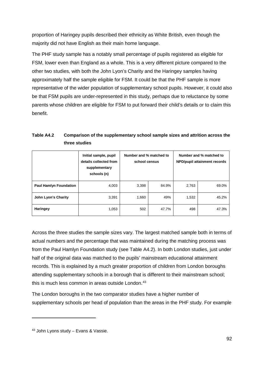proportion of Haringey pupils described their ethnicity as White British, even though the majority did not have English as their main home language.

The PHF study sample has a notably small percentage of pupils registered as eligible for FSM, lower even than England as a whole. This is a very different picture compared to the other two studies, with both the John Lyon's Charity and the Haringey samples having approximately half the sample eligible for FSM. It could be that the PHF sample is more representative of the wider population of supplementary school pupils. However, it could also be that FSM pupils are under-represented in this study, perhaps due to reluctance by some parents whose children are eligible for FSM to put forward their child's details or to claim this benefit.

| Table A4.2 | Comparison of the supplementary school sample sizes and attrition across the |
|------------|------------------------------------------------------------------------------|
|            | three studies                                                                |

|                               | Initial sample, pupil<br>details collected from<br>supplementary<br>schools (n) | Number and % matched to<br>school census |       | Number and % matched to<br>NPD/pupil attainment records |       |  |
|-------------------------------|---------------------------------------------------------------------------------|------------------------------------------|-------|---------------------------------------------------------|-------|--|
| <b>Paul Hamlyn Foundation</b> | 4,003                                                                           | 3,398                                    | 84.9% | 2,763                                                   | 69.0% |  |
| John Lyon's Charity           | 3,391                                                                           | 1,660                                    | 49%   | 1,532                                                   | 45.2% |  |
| Haringey                      | 1,053                                                                           | 502                                      | 47.7% | 498                                                     | 47.3% |  |

Across the three studies the sample sizes vary. The largest matched sample both in terms of actual numbers and the percentage that was maintained during the matching process was from the Paul Hamlyn Foundation study (see Table A4.2). In both London studies, just under half of the original data was matched to the pupils' mainstream educational attainment records. This is explained by a much greater proportion of children from London boroughs attending supplementary schools in a borough that is different to their mainstream school; this is much less common in areas outside London. [43](#page-91-0)

The London boroughs in the two comparator studies have a higher number of supplementary schools per head of population than the areas in the PHF study. For example

-

<span id="page-91-0"></span><sup>43</sup> John Lyons study – Evans & Vassie.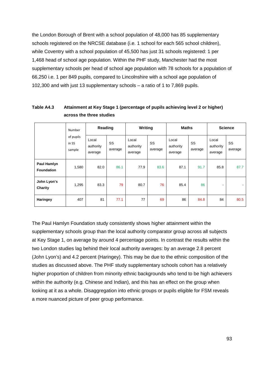the London Borough of Brent with a school population of 48,000 has 85 supplementary schools registered on the NRCSE database (i.e. 1 school for each 565 school children), while Coventry with a school population of 45,500 has just 31 schools registered: 1 per 1,468 head of school age population. Within the PHF study, Manchester had the most supplementary schools per head of school age population with 78 schools for a population of 66,250 i.e. 1 per 849 pupils, compared to Lincolnshire with a school age population of 102,300 and with just 13 supplementary schools – a ratio of 1 to 7,869 pupils.

|                                  | Number<br>of pupils<br>in SS<br>sample | Reading                       |               | Writing                       |               | <b>Maths</b>                  |               | <b>Science</b>                |               |
|----------------------------------|----------------------------------------|-------------------------------|---------------|-------------------------------|---------------|-------------------------------|---------------|-------------------------------|---------------|
|                                  |                                        | Local<br>authority<br>average | SS<br>average | Local<br>authority<br>average | SS<br>average | Local<br>authority<br>average | SS<br>average | Local<br>authority<br>average | SS<br>average |
| Paul Hamlyn<br><b>Foundation</b> | 1,580                                  | 82.0                          | 86.1          | 77.9                          | 83.6          | 87.1                          | 91.7          | 85.8                          | 87.7          |
| John Lyon's<br>Charity           | 1,295                                  | 83.3                          | 79            | 80.7                          | 76            | 85.4                          | 86            | ۰                             |               |
| Haringey                         | 407                                    | 81                            | 77.1          | 77                            | 69            | 86                            | 84.8          | 84                            | 80.5          |

#### **Table A4.3 Attainment at Key Stage 1 (percentage of pupils achieving level 2 or higher) across the three studies**

The Paul Hamlyn Foundation study consistently shows higher attainment within the supplementary schools group than the local authority comparator group across all subjects at Key Stage 1, on average by around 4 percentage points. In contrast the results within the two London studies lag behind their local authority averages: by an average 2.8 percent (John Lyon's) and 4.2 percent (Haringey). This may be due to the ethnic composition of the studies as discussed above. The PHF study supplementary schools cohort has a relatively higher proportion of children from minority ethnic backgrounds who tend to be high achievers within the authority (e.g. Chinese and Indian), and this has an effect on the group when looking at it as a whole. Disaggregation into ethnic groups or pupils eligible for FSM reveals a more nuanced picture of peer group performance.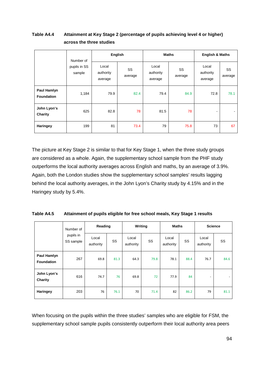### **Table A4.4 Attainment at Key Stage 2 (percentage of pupils achieving level 4 or higher) across the three studies**

|                                  | Number of              | English                       |               |                               | <b>Maths</b>  | <b>English &amp; Maths</b>    |               |  |
|----------------------------------|------------------------|-------------------------------|---------------|-------------------------------|---------------|-------------------------------|---------------|--|
|                                  | pupils in SS<br>sample | Local<br>authority<br>average | SS<br>average | Local<br>authority<br>average | SS<br>average | Local<br>authority<br>average | SS<br>average |  |
| Paul Hamlyn<br><b>Foundation</b> | 1,184                  | 79.9                          | 82.4          | 79.4                          | 84.9          | 72.8                          | 78.1          |  |
| John Lyon's<br>Charity           | 625                    | 82.8                          | 78            | 81.5                          | 78            |                               | ٠             |  |
| Haringey                         | 199                    | 81                            | 73.4          | 79                            | 75.8          | 73                            | 67            |  |

The picture at Key Stage 2 is similar to that for Key Stage 1, when the three study groups are considered as a whole. Again, the supplementary school sample from the PHF study outperforms the local authority averages across English and maths, by an average of 3.9%. Again, both the London studies show the supplementary school samples' results lagging behind the local authority averages, in the John Lyon's Charity study by 4.15% and in the Haringey study by 5.4%.

| Table A4.5 | Attainment of pupils eligible for free school meals, Key Stage 1 results |
|------------|--------------------------------------------------------------------------|
|------------|--------------------------------------------------------------------------|

|                                  | Number of<br>pupils in<br>SS sample | Reading            |      | Writing            |           | <b>Maths</b>       |      | <b>Science</b>           |                          |
|----------------------------------|-------------------------------------|--------------------|------|--------------------|-----------|--------------------|------|--------------------------|--------------------------|
|                                  |                                     | Local<br>authority | SS   | Local<br>authority | <b>SS</b> | Local<br>authority | SS   | Local<br>authority       | SS                       |
| Paul Hamlyn<br><b>Foundation</b> | 267                                 | 69.8               | 81.3 | 64.3               | 79.8      | 78.1               | 88.4 | 76.7                     | 84.6                     |
| John Lyon's<br>Charity           | 616                                 | 74.7               | 76   | 69.8               | 72        | 77.9               | 84   | $\overline{\phantom{a}}$ | $\overline{\phantom{a}}$ |
| Haringey                         | 203                                 | 76                 | 76.1 | 70                 | 71.4      | 82                 | 86.2 | 79                       | 81.1                     |

When focusing on the pupils within the three studies' samples who are eligible for FSM, the supplementary school sample pupils consistently outperform their local authority area peers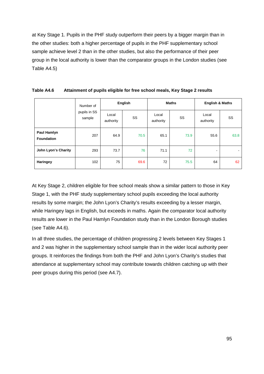at Key Stage 1. Pupils in the PHF study outperform their peers by a bigger margin than in the other studies: both a higher percentage of pupils in the PHF supplementary school sample achieve level 2 than in the other studies, but also the performance of their peer group in the local authority is lower than the comparator groups in the London studies (see Table A4.5)

|                                  | Number of              | English            |      |                    | <b>Maths</b> | <b>English &amp; Maths</b> |        |  |
|----------------------------------|------------------------|--------------------|------|--------------------|--------------|----------------------------|--------|--|
|                                  | pupils in SS<br>sample | Local<br>authority | SS   | Local<br>authority | SS           | Local<br>authority         | SS     |  |
| Paul Hamlyn<br><b>Foundation</b> | 207                    | 64.9               | 70.5 | 65.1               | 73.9         | 55.6                       | 63.8   |  |
| John Lyon's Charity              | 293                    | 73.7               | 76   | 71.1               | 72           |                            | $\sim$ |  |
| Haringey                         | 102                    | 75                 | 69.6 | 72                 | 75.5         | 64                         | 62     |  |

| Table A4.6 | Attainment of pupils eligible for free school meals, Key Stage 2 results |
|------------|--------------------------------------------------------------------------|
|------------|--------------------------------------------------------------------------|

At Key Stage 2, children eligible for free school meals show a similar pattern to those in Key Stage 1, with the PHF study supplementary school pupils exceeding the local authority results by some margin; the John Lyon's Charity's results exceeding by a lesser margin, while Haringey lags in English, but exceeds in maths. Again the comparator local authority results are lower in the Paul Hamlyn Foundation study than in the London Borough studies (see Table A4.6).

In all three studies, the percentage of children progressing 2 levels between Key Stages 1 and 2 was higher in the supplementary school sample than in the wider local authority peer groups. It reinforces the findings from both the PHF and John Lyon's Charity's studies that attendance at supplementary school may contribute towards children catching up with their peer groups during this period (see A4.7).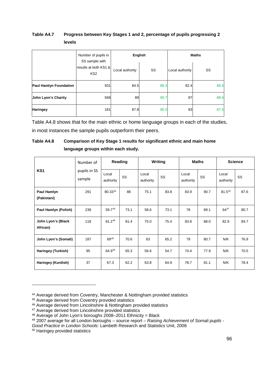#### **Table A4.7 Progress between Key Stages 1 and 2, percentage of pupils progressing 2 levels**

|                               | Number of pupils in<br>SS sample with    | <b>English</b>  |      | <b>Maths</b>    |      |  |  |
|-------------------------------|------------------------------------------|-----------------|------|-----------------|------|--|--|
|                               | results at both KS1 &<br>KS <sub>2</sub> | Local authority | SS   | Local authority | SS   |  |  |
| <b>Paul Hamlyn Foundation</b> | 931                                      | 84.5            | 89.3 | 82.4            | 88.4 |  |  |
| John Lyon's Charity           | 568                                      | 89              | 90.7 | 87              | 88.4 |  |  |
| <b>Haringey</b>               | 181                                      | 87.8            | 90.3 | 83              | 87.5 |  |  |

Table A4.8 shows that for the main ethnic or home language groups in each of the studies, in most instances the sample pupils outperform their peers.

### **Table A4.8 Comparison of Key Stage 1 results for significant ethnic and main home language groups within each study.**

|                                | Number of              | Reading            |      | Writing            |      | <b>Maths</b>       |      | <b>Science</b>     |      |
|--------------------------------|------------------------|--------------------|------|--------------------|------|--------------------|------|--------------------|------|
| KS <sub>1</sub>                | pupils in SS<br>sample | Local<br>authority | SS   | Local<br>authority | SS   | Local<br>authority | SS   | Local<br>authority | SS   |
| Paul Hamlyn<br>(Pakistani)     | 291                    | 80.3344            | 88   | 75.1               | 83.8 | 83.9               | 90.7 | $81.5^{45}$        | 87.6 |
| Paul Hamlyn (Polish)           | 238                    | 59.746             | 73.1 | 58.6               | 73.1 | 78                 | 89.1 | $64^{47}$          | 80.7 |
| John Lyon's (Black<br>African) | 118                    | $81.2^{48}$        | 81.4 | 75.0               | 75.4 | 83.8               | 88.0 | 82.9               | 84.7 |
| John Lyon's (Somali)           | 187                    | $69^{49}$          | 70.6 | 63                 | 65.2 | 79                 | 80.7 | N/K                | 76.9 |
| Haringey (Turkish)             | 95                     | 64.950             | 65.3 | 56.6               | 54.7 | 74.4               | 77.9 | N/K                | 70.5 |
| Haringey (Kurdish)             | 37                     | 67.3               | 62.2 | 63.8               | 64.9 | 78.7               | 81.1 | N/K                | 78.4 |

-

<span id="page-95-0"></span><sup>44</sup> Average derived from Coventry, Manchester & Nottingham provided statistics

<span id="page-95-1"></span><sup>45</sup> Average derived from Coventry provided statistics

<span id="page-95-2"></span><sup>46</sup> Average derived from Lincolnshire & Nottingham provided statistics

<span id="page-95-3"></span><sup>47</sup> Average derived from Lincolnshire provided statistics

<span id="page-95-4"></span><sup>48</sup> Average of John Lyon's boroughs 2008–2011 Ethnicity = Black

<span id="page-95-5"></span><sup>49</sup> 2007 average for all London boroughs – source report – *Raising Achievement of Somali pupils -*

*Good Practice in London Schools*: Lambeth Research and Statistics Unit, 2008

<span id="page-95-6"></span><sup>50</sup> Haringey provided statistics